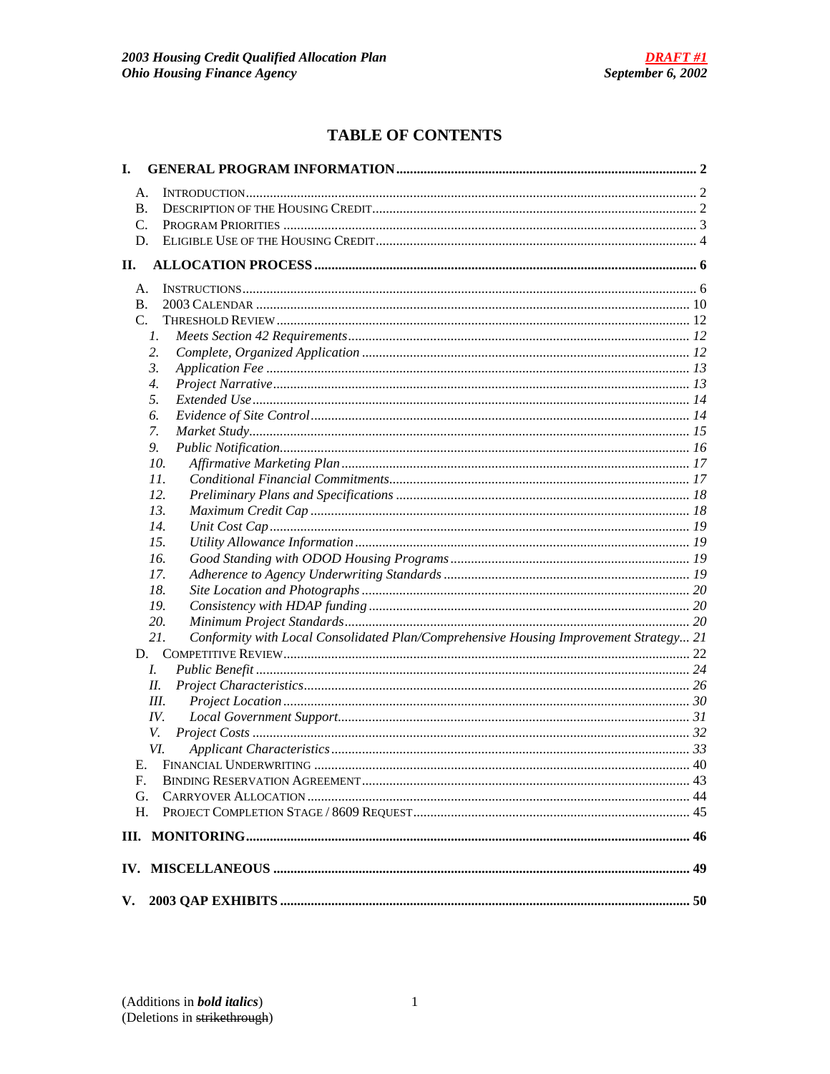# **TABLE OF CONTENTS**

| I. |                                                                                              |  |
|----|----------------------------------------------------------------------------------------------|--|
|    | А.                                                                                           |  |
|    | B.                                                                                           |  |
|    | C.                                                                                           |  |
|    | D.                                                                                           |  |
| П. |                                                                                              |  |
|    | A.                                                                                           |  |
|    | <b>B.</b>                                                                                    |  |
|    | $C_{\cdot}$                                                                                  |  |
|    | 1.                                                                                           |  |
|    | 2.                                                                                           |  |
|    | 3.                                                                                           |  |
|    | $\overline{4}$ .                                                                             |  |
|    | 5.                                                                                           |  |
|    | 6.                                                                                           |  |
|    | 7.                                                                                           |  |
|    | 9.                                                                                           |  |
|    | 10.                                                                                          |  |
|    |                                                                                              |  |
|    | 11.                                                                                          |  |
|    | 12.                                                                                          |  |
|    | 13.                                                                                          |  |
|    | 14.                                                                                          |  |
|    | 15.                                                                                          |  |
|    | 16.                                                                                          |  |
|    | 17.                                                                                          |  |
|    | 18.                                                                                          |  |
|    | 19.                                                                                          |  |
|    | 20.                                                                                          |  |
|    | 21.<br>Conformity with Local Consolidated Plan/Comprehensive Housing Improvement Strategy 21 |  |
|    | D.                                                                                           |  |
|    | L.                                                                                           |  |
|    | II.                                                                                          |  |
|    | Ш.                                                                                           |  |
|    | IV.                                                                                          |  |
|    | V.                                                                                           |  |
|    | VI.                                                                                          |  |
|    |                                                                                              |  |
|    | F.                                                                                           |  |
|    | G.                                                                                           |  |
|    | Η.                                                                                           |  |
|    |                                                                                              |  |
|    |                                                                                              |  |
| V. |                                                                                              |  |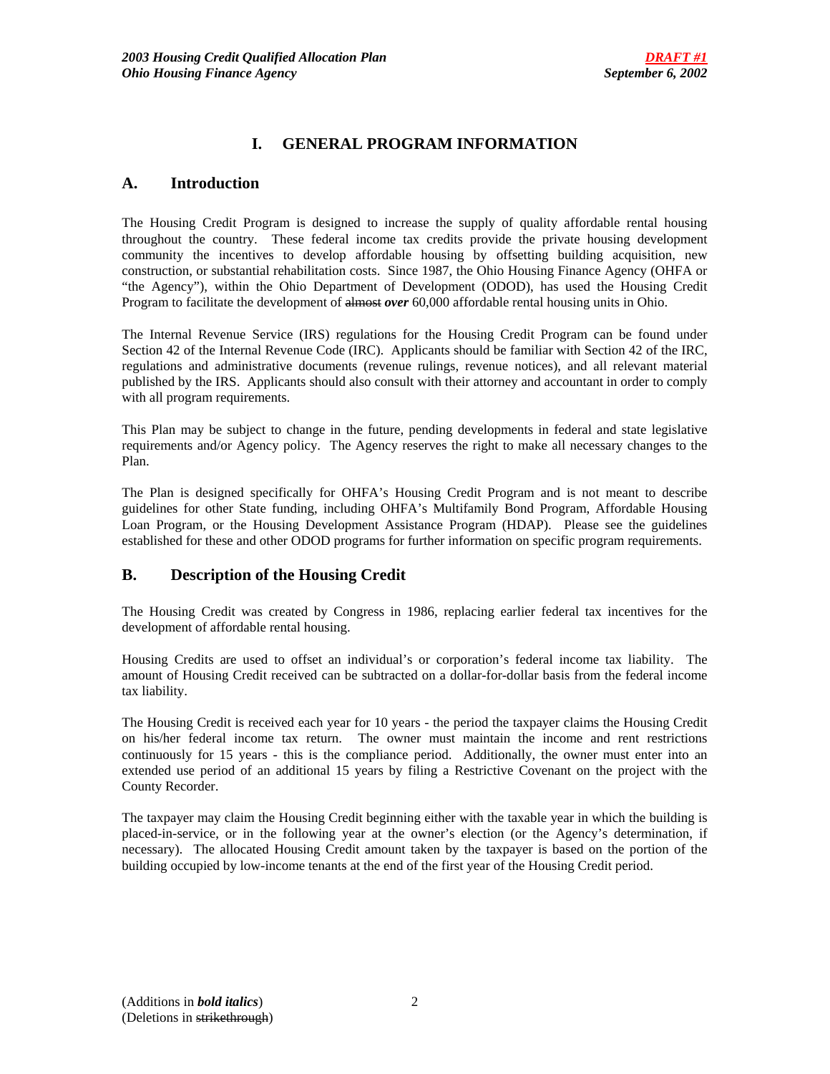# **I. GENERAL PROGRAM INFORMATION**

# **A. Introduction**

The Housing Credit Program is designed to increase the supply of quality affordable rental housing throughout the country. These federal income tax credits provide the private housing development community the incentives to develop affordable housing by offsetting building acquisition, new construction, or substantial rehabilitation costs. Since 1987, the Ohio Housing Finance Agency (OHFA or "the Agency"), within the Ohio Department of Development (ODOD), has used the Housing Credit Program to facilitate the development of almost *over* 60,000 affordable rental housing units in Ohio.

The Internal Revenue Service (IRS) regulations for the Housing Credit Program can be found under Section 42 of the Internal Revenue Code (IRC). Applicants should be familiar with Section 42 of the IRC, regulations and administrative documents (revenue rulings, revenue notices), and all relevant material published by the IRS. Applicants should also consult with their attorney and accountant in order to comply with all program requirements.

This Plan may be subject to change in the future, pending developments in federal and state legislative requirements and/or Agency policy. The Agency reserves the right to make all necessary changes to the Plan.

The Plan is designed specifically for OHFA's Housing Credit Program and is not meant to describe guidelines for other State funding, including OHFA's Multifamily Bond Program, Affordable Housing Loan Program, or the Housing Development Assistance Program (HDAP). Please see the guidelines established for these and other ODOD programs for further information on specific program requirements.

# **B. Description of the Housing Credit**

The Housing Credit was created by Congress in 1986, replacing earlier federal tax incentives for the development of affordable rental housing.

Housing Credits are used to offset an individual's or corporation's federal income tax liability. The amount of Housing Credit received can be subtracted on a dollar-for-dollar basis from the federal income tax liability.

The Housing Credit is received each year for 10 years - the period the taxpayer claims the Housing Credit on his/her federal income tax return. The owner must maintain the income and rent restrictions continuously for 15 years - this is the compliance period. Additionally, the owner must enter into an extended use period of an additional 15 years by filing a Restrictive Covenant on the project with the County Recorder.

The taxpayer may claim the Housing Credit beginning either with the taxable year in which the building is placed-in-service, or in the following year at the owner's election (or the Agency's determination, if necessary). The allocated Housing Credit amount taken by the taxpayer is based on the portion of the building occupied by low-income tenants at the end of the first year of the Housing Credit period.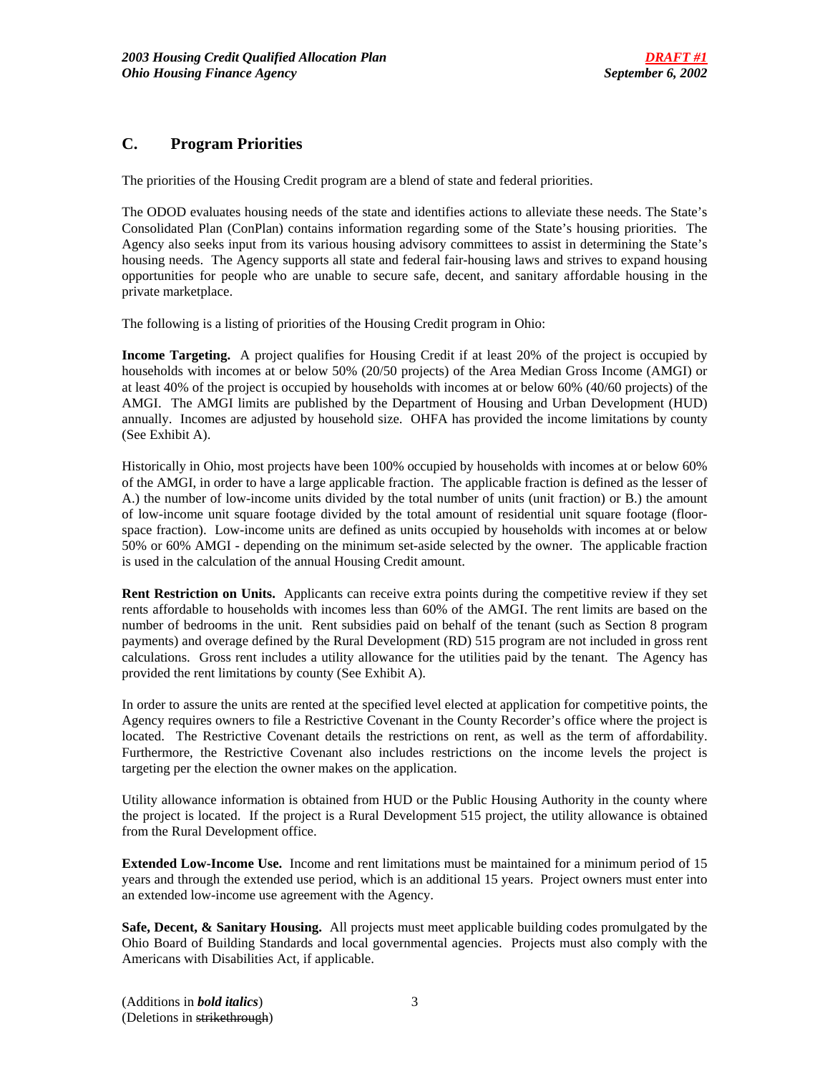# **C. Program Priorities**

The priorities of the Housing Credit program are a blend of state and federal priorities.

The ODOD evaluates housing needs of the state and identifies actions to alleviate these needs. The State's Consolidated Plan (ConPlan) contains information regarding some of the State's housing priorities. The Agency also seeks input from its various housing advisory committees to assist in determining the State's housing needs. The Agency supports all state and federal fair-housing laws and strives to expand housing opportunities for people who are unable to secure safe, decent, and sanitary affordable housing in the private marketplace.

The following is a listing of priorities of the Housing Credit program in Ohio:

**Income Targeting.** A project qualifies for Housing Credit if at least 20% of the project is occupied by households with incomes at or below 50% (20/50 projects) of the Area Median Gross Income (AMGI) or at least 40% of the project is occupied by households with incomes at or below 60% (40/60 projects) of the AMGI. The AMGI limits are published by the Department of Housing and Urban Development (HUD) annually. Incomes are adjusted by household size. OHFA has provided the income limitations by county (See Exhibit A).

Historically in Ohio, most projects have been 100% occupied by households with incomes at or below 60% of the AMGI, in order to have a large applicable fraction. The applicable fraction is defined as the lesser of A.) the number of low-income units divided by the total number of units (unit fraction) or B.) the amount of low-income unit square footage divided by the total amount of residential unit square footage (floorspace fraction). Low-income units are defined as units occupied by households with incomes at or below 50% or 60% AMGI - depending on the minimum set-aside selected by the owner. The applicable fraction is used in the calculation of the annual Housing Credit amount.

**Rent Restriction on Units.** Applicants can receive extra points during the competitive review if they set rents affordable to households with incomes less than 60% of the AMGI. The rent limits are based on the number of bedrooms in the unit. Rent subsidies paid on behalf of the tenant (such as Section 8 program payments) and overage defined by the Rural Development (RD) 515 program are not included in gross rent calculations. Gross rent includes a utility allowance for the utilities paid by the tenant. The Agency has provided the rent limitations by county (See Exhibit A).

In order to assure the units are rented at the specified level elected at application for competitive points, the Agency requires owners to file a Restrictive Covenant in the County Recorder's office where the project is located. The Restrictive Covenant details the restrictions on rent, as well as the term of affordability. Furthermore, the Restrictive Covenant also includes restrictions on the income levels the project is targeting per the election the owner makes on the application.

Utility allowance information is obtained from HUD or the Public Housing Authority in the county where the project is located. If the project is a Rural Development 515 project, the utility allowance is obtained from the Rural Development office.

**Extended Low-Income Use.** Income and rent limitations must be maintained for a minimum period of 15 years and through the extended use period, which is an additional 15 years. Project owners must enter into an extended low-income use agreement with the Agency.

**Safe, Decent, & Sanitary Housing.** All projects must meet applicable building codes promulgated by the Ohio Board of Building Standards and local governmental agencies. Projects must also comply with the Americans with Disabilities Act, if applicable.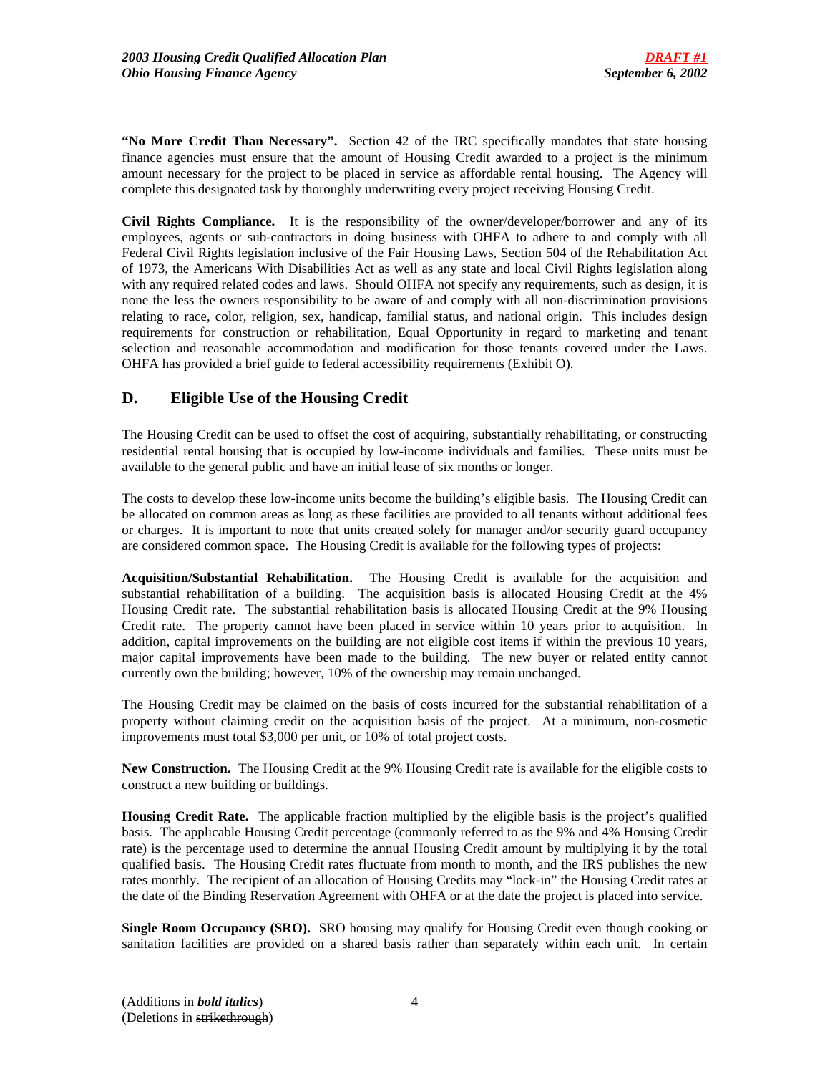**"No More Credit Than Necessary".** Section 42 of the IRC specifically mandates that state housing finance agencies must ensure that the amount of Housing Credit awarded to a project is the minimum amount necessary for the project to be placed in service as affordable rental housing. The Agency will complete this designated task by thoroughly underwriting every project receiving Housing Credit.

**Civil Rights Compliance.** It is the responsibility of the owner/developer/borrower and any of its employees, agents or sub-contractors in doing business with OHFA to adhere to and comply with all Federal Civil Rights legislation inclusive of the Fair Housing Laws, Section 504 of the Rehabilitation Act of 1973, the Americans With Disabilities Act as well as any state and local Civil Rights legislation along with any required related codes and laws. Should OHFA not specify any requirements, such as design, it is none the less the owners responsibility to be aware of and comply with all non-discrimination provisions relating to race, color, religion, sex, handicap, familial status, and national origin. This includes design requirements for construction or rehabilitation, Equal Opportunity in regard to marketing and tenant selection and reasonable accommodation and modification for those tenants covered under the Laws. OHFA has provided a brief guide to federal accessibility requirements (Exhibit O).

# **D. Eligible Use of the Housing Credit**

The Housing Credit can be used to offset the cost of acquiring, substantially rehabilitating, or constructing residential rental housing that is occupied by low-income individuals and families. These units must be available to the general public and have an initial lease of six months or longer.

The costs to develop these low-income units become the building's eligible basis. The Housing Credit can be allocated on common areas as long as these facilities are provided to all tenants without additional fees or charges. It is important to note that units created solely for manager and/or security guard occupancy are considered common space. The Housing Credit is available for the following types of projects:

**Acquisition/Substantial Rehabilitation.** The Housing Credit is available for the acquisition and substantial rehabilitation of a building. The acquisition basis is allocated Housing Credit at the 4% Housing Credit rate. The substantial rehabilitation basis is allocated Housing Credit at the 9% Housing Credit rate. The property cannot have been placed in service within 10 years prior to acquisition. In addition, capital improvements on the building are not eligible cost items if within the previous 10 years, major capital improvements have been made to the building. The new buyer or related entity cannot currently own the building; however, 10% of the ownership may remain unchanged.

The Housing Credit may be claimed on the basis of costs incurred for the substantial rehabilitation of a property without claiming credit on the acquisition basis of the project. At a minimum, non-cosmetic improvements must total \$3,000 per unit, or 10% of total project costs.

**New Construction.** The Housing Credit at the 9% Housing Credit rate is available for the eligible costs to construct a new building or buildings.

**Housing Credit Rate.** The applicable fraction multiplied by the eligible basis is the project's qualified basis. The applicable Housing Credit percentage (commonly referred to as the 9% and 4% Housing Credit rate) is the percentage used to determine the annual Housing Credit amount by multiplying it by the total qualified basis. The Housing Credit rates fluctuate from month to month, and the IRS publishes the new rates monthly. The recipient of an allocation of Housing Credits may "lock-in" the Housing Credit rates at the date of the Binding Reservation Agreement with OHFA or at the date the project is placed into service.

**Single Room Occupancy (SRO).** SRO housing may qualify for Housing Credit even though cooking or sanitation facilities are provided on a shared basis rather than separately within each unit. In certain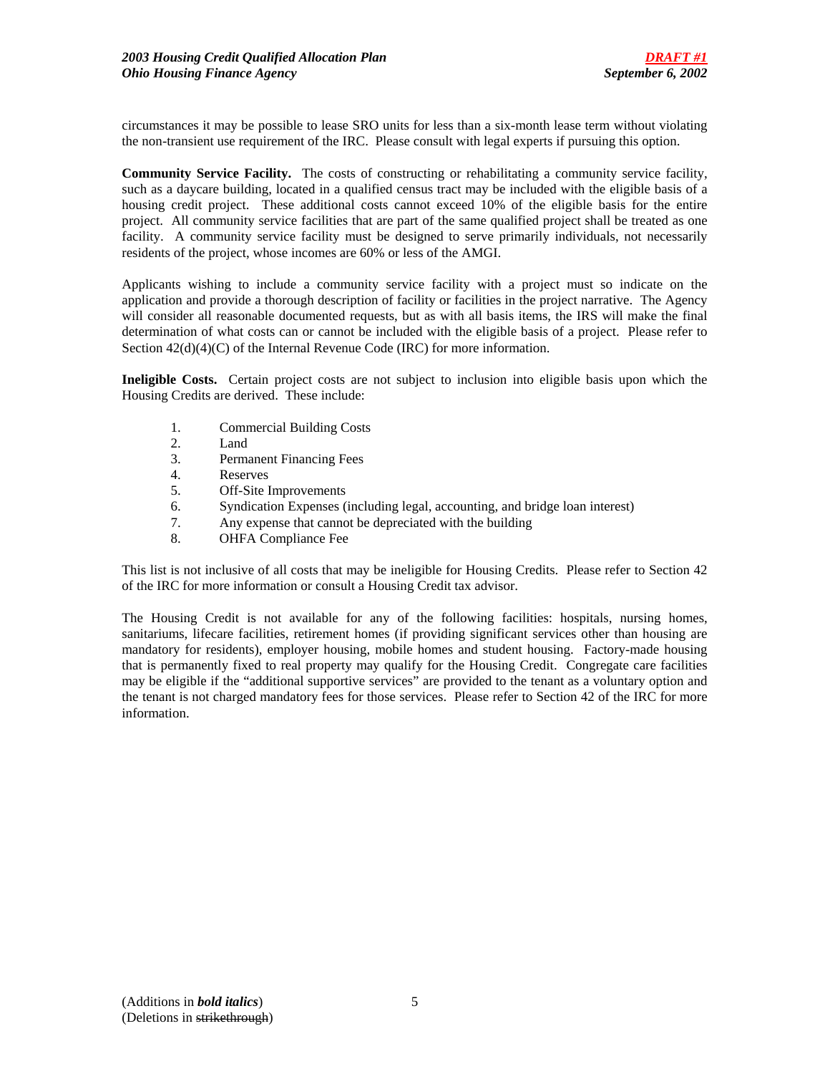circumstances it may be possible to lease SRO units for less than a six-month lease term without violating the non-transient use requirement of the IRC. Please consult with legal experts if pursuing this option.

**Community Service Facility.** The costs of constructing or rehabilitating a community service facility, such as a daycare building, located in a qualified census tract may be included with the eligible basis of a housing credit project. These additional costs cannot exceed 10% of the eligible basis for the entire project. All community service facilities that are part of the same qualified project shall be treated as one facility. A community service facility must be designed to serve primarily individuals, not necessarily residents of the project, whose incomes are 60% or less of the AMGI.

Applicants wishing to include a community service facility with a project must so indicate on the application and provide a thorough description of facility or facilities in the project narrative. The Agency will consider all reasonable documented requests, but as with all basis items, the IRS will make the final determination of what costs can or cannot be included with the eligible basis of a project. Please refer to Section  $42(d)(4)(C)$  of the Internal Revenue Code (IRC) for more information.

**Ineligible Costs.** Certain project costs are not subject to inclusion into eligible basis upon which the Housing Credits are derived. These include:

- 1. Commercial Building Costs
- 2. Land
- 3. Permanent Financing Fees
- 4. Reserves
- 5. Off-Site Improvements
- 6. Syndication Expenses (including legal, accounting, and bridge loan interest)
- 7. Any expense that cannot be depreciated with the building
- 8. OHFA Compliance Fee

This list is not inclusive of all costs that may be ineligible for Housing Credits. Please refer to Section 42 of the IRC for more information or consult a Housing Credit tax advisor.

The Housing Credit is not available for any of the following facilities: hospitals, nursing homes, sanitariums, lifecare facilities, retirement homes (if providing significant services other than housing are mandatory for residents), employer housing, mobile homes and student housing. Factory-made housing that is permanently fixed to real property may qualify for the Housing Credit. Congregate care facilities may be eligible if the "additional supportive services" are provided to the tenant as a voluntary option and the tenant is not charged mandatory fees for those services. Please refer to Section 42 of the IRC for more information.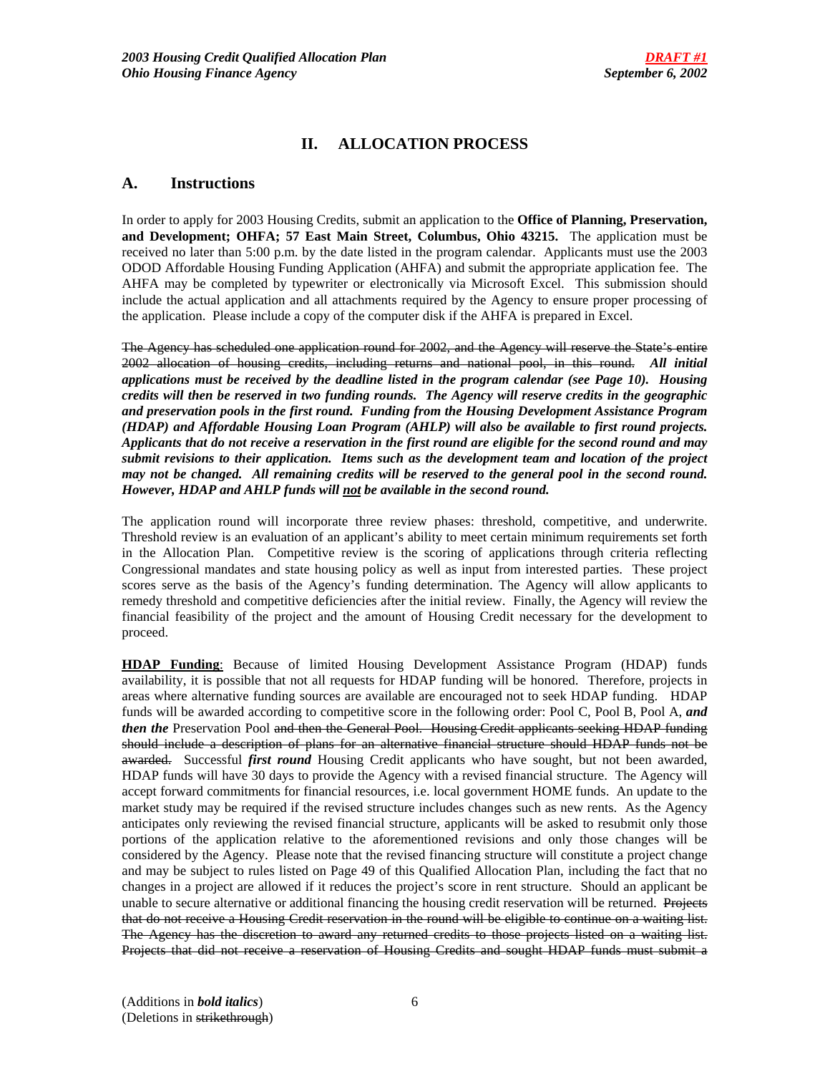# **II. ALLOCATION PROCESS**

# **A. Instructions**

In order to apply for 2003 Housing Credits, submit an application to the **Office of Planning, Preservation, and Development; OHFA; 57 East Main Street, Columbus, Ohio 43215.** The application must be received no later than 5:00 p.m. by the date listed in the program calendar. Applicants must use the 2003 ODOD Affordable Housing Funding Application (AHFA) and submit the appropriate application fee. The AHFA may be completed by typewriter or electronically via Microsoft Excel. This submission should include the actual application and all attachments required by the Agency to ensure proper processing of the application. Please include a copy of the computer disk if the AHFA is prepared in Excel.

The Agency has scheduled one application round for 2002, and the Agency will reserve the State's entire 2002 allocation of housing credits, including returns and national pool, in this round. *All initial applications must be received by the deadline listed in the program calendar (see Page 10). Housing credits will then be reserved in two funding rounds. The Agency will reserve credits in the geographic and preservation pools in the first round. Funding from the Housing Development Assistance Program (HDAP) and Affordable Housing Loan Program (AHLP) will also be available to first round projects. Applicants that do not receive a reservation in the first round are eligible for the second round and may submit revisions to their application. Items such as the development team and location of the project may not be changed. All remaining credits will be reserved to the general pool in the second round. However, HDAP and AHLP funds will not be available in the second round.*

The application round will incorporate three review phases: threshold, competitive, and underwrite. Threshold review is an evaluation of an applicant's ability to meet certain minimum requirements set forth in the Allocation Plan. Competitive review is the scoring of applications through criteria reflecting Congressional mandates and state housing policy as well as input from interested parties. These project scores serve as the basis of the Agency's funding determination. The Agency will allow applicants to remedy threshold and competitive deficiencies after the initial review. Finally, the Agency will review the financial feasibility of the project and the amount of Housing Credit necessary for the development to proceed.

**HDAP Funding**: Because of limited Housing Development Assistance Program (HDAP) funds availability, it is possible that not all requests for HDAP funding will be honored. Therefore, projects in areas where alternative funding sources are available are encouraged not to seek HDAP funding. HDAP funds will be awarded according to competitive score in the following order: Pool C, Pool B, Pool A, *and then the* Preservation Pool and then the General Pool. Housing Credit applicants seeking HDAP funding should include a description of plans for an alternative financial structure should HDAP funds not be awarded. Successful *first round* Housing Credit applicants who have sought, but not been awarded, HDAP funds will have 30 days to provide the Agency with a revised financial structure. The Agency will accept forward commitments for financial resources, i.e. local government HOME funds. An update to the market study may be required if the revised structure includes changes such as new rents. As the Agency anticipates only reviewing the revised financial structure, applicants will be asked to resubmit only those portions of the application relative to the aforementioned revisions and only those changes will be considered by the Agency. Please note that the revised financing structure will constitute a project change and may be subject to rules listed on Page 49 of this Qualified Allocation Plan, including the fact that no changes in a project are allowed if it reduces the project's score in rent structure. Should an applicant be unable to secure alternative or additional financing the housing credit reservation will be returned. Projects that do not receive a Housing Credit reservation in the round will be eligible to continue on a waiting list. The Agency has the discretion to award any returned credits to those projects listed on a waiting list. Projects that did not receive a reservation of Housing Credits and sought HDAP funds must submit a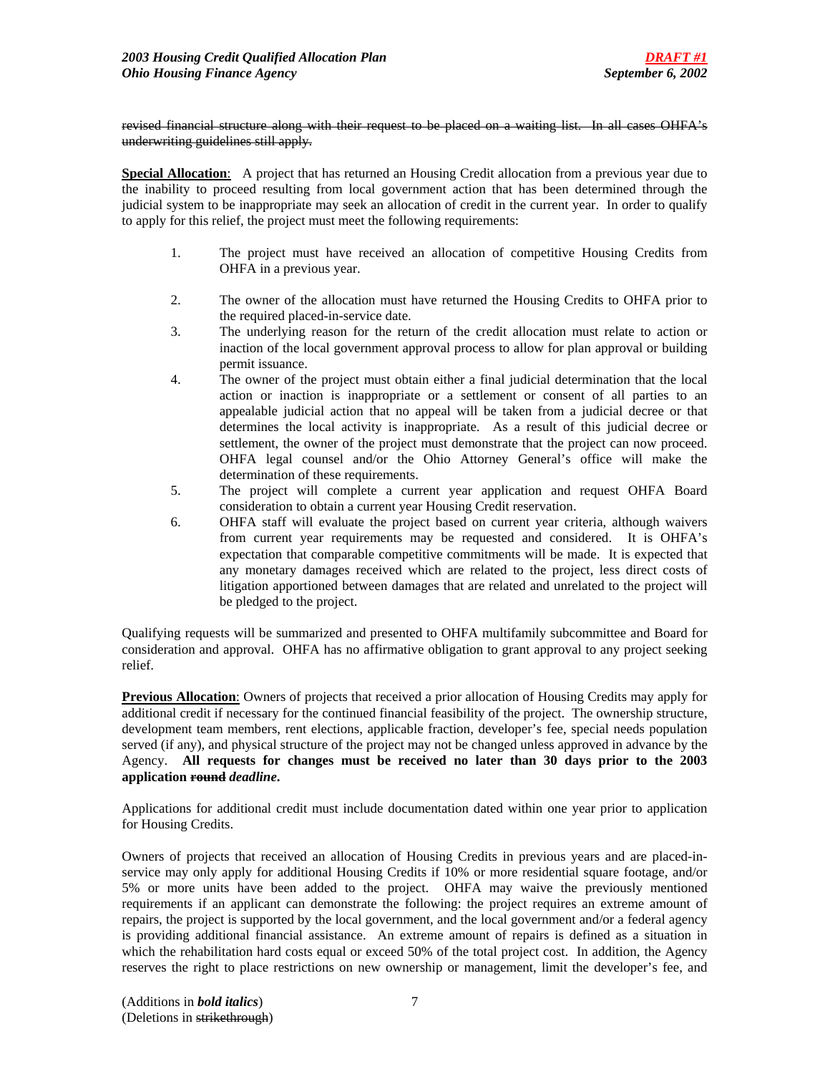revised financial structure along with their request to be placed on a waiting list. In all cases OHFA's underwriting guidelines still apply.

**Special Allocation**: A project that has returned an Housing Credit allocation from a previous year due to the inability to proceed resulting from local government action that has been determined through the judicial system to be inappropriate may seek an allocation of credit in the current year. In order to qualify to apply for this relief, the project must meet the following requirements:

- 1. The project must have received an allocation of competitive Housing Credits from OHFA in a previous year.
- 2. The owner of the allocation must have returned the Housing Credits to OHFA prior to the required placed-in-service date.
- 3. The underlying reason for the return of the credit allocation must relate to action or inaction of the local government approval process to allow for plan approval or building permit issuance.
- 4. The owner of the project must obtain either a final judicial determination that the local action or inaction is inappropriate or a settlement or consent of all parties to an appealable judicial action that no appeal will be taken from a judicial decree or that determines the local activity is inappropriate. As a result of this judicial decree or settlement, the owner of the project must demonstrate that the project can now proceed. OHFA legal counsel and/or the Ohio Attorney General's office will make the determination of these requirements.
- 5. The project will complete a current year application and request OHFA Board consideration to obtain a current year Housing Credit reservation.
- 6. OHFA staff will evaluate the project based on current year criteria, although waivers from current year requirements may be requested and considered. It is OHFA's expectation that comparable competitive commitments will be made. It is expected that any monetary damages received which are related to the project, less direct costs of litigation apportioned between damages that are related and unrelated to the project will be pledged to the project.

Qualifying requests will be summarized and presented to OHFA multifamily subcommittee and Board for consideration and approval. OHFA has no affirmative obligation to grant approval to any project seeking relief.

**Previous Allocation**: Owners of projects that received a prior allocation of Housing Credits may apply for additional credit if necessary for the continued financial feasibility of the project. The ownership structure, development team members, rent elections, applicable fraction, developer's fee, special needs population served (if any), and physical structure of the project may not be changed unless approved in advance by the Agency. **All requests for changes must be received no later than 30 days prior to the 2003 application round** *deadline***.**

Applications for additional credit must include documentation dated within one year prior to application for Housing Credits.

Owners of projects that received an allocation of Housing Credits in previous years and are placed-inservice may only apply for additional Housing Credits if 10% or more residential square footage, and/or 5% or more units have been added to the project. OHFA may waive the previously mentioned requirements if an applicant can demonstrate the following: the project requires an extreme amount of repairs, the project is supported by the local government, and the local government and/or a federal agency is providing additional financial assistance. An extreme amount of repairs is defined as a situation in which the rehabilitation hard costs equal or exceed 50% of the total project cost. In addition, the Agency reserves the right to place restrictions on new ownership or management, limit the developer's fee, and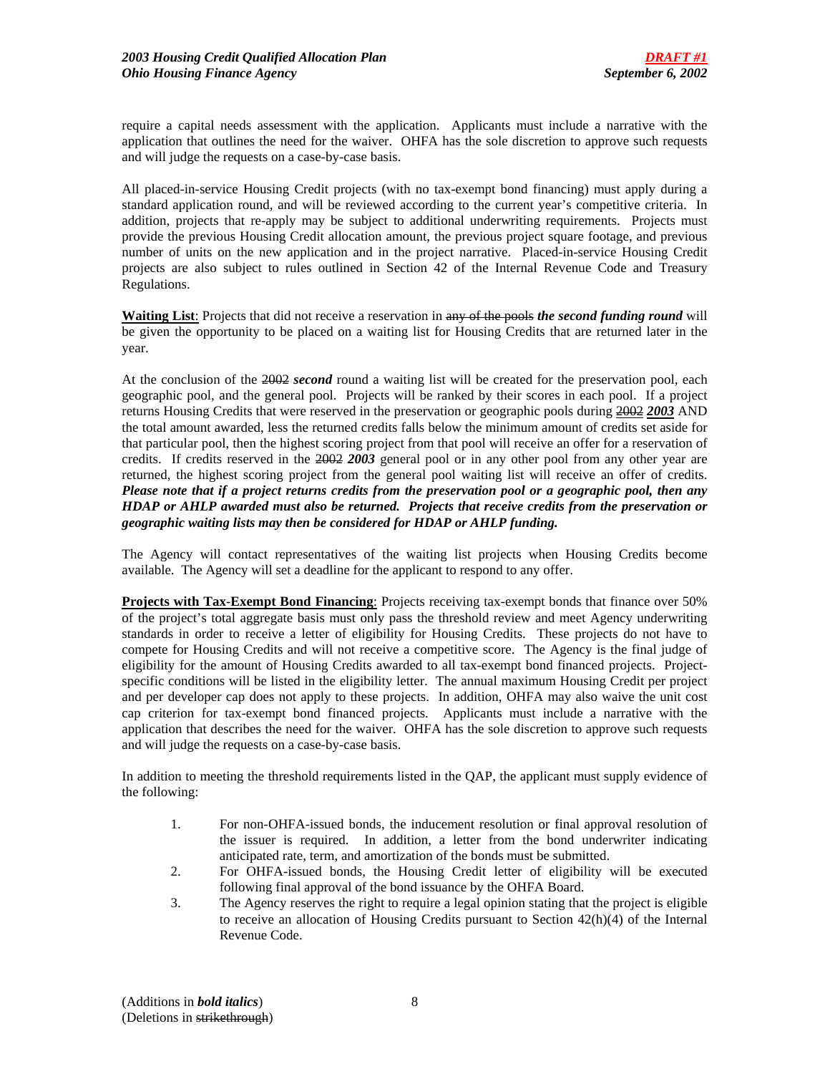require a capital needs assessment with the application. Applicants must include a narrative with the application that outlines the need for the waiver. OHFA has the sole discretion to approve such requests and will judge the requests on a case-by-case basis.

All placed-in-service Housing Credit projects (with no tax-exempt bond financing) must apply during a standard application round, and will be reviewed according to the current year's competitive criteria. In addition, projects that re-apply may be subject to additional underwriting requirements. Projects must provide the previous Housing Credit allocation amount, the previous project square footage, and previous number of units on the new application and in the project narrative. Placed-in-service Housing Credit projects are also subject to rules outlined in Section 42 of the Internal Revenue Code and Treasury Regulations.

**Waiting List**: Projects that did not receive a reservation in any of the pools *the second funding round* will be given the opportunity to be placed on a waiting list for Housing Credits that are returned later in the year.

At the conclusion of the 2002 *second* round a waiting list will be created for the preservation pool, each geographic pool, and the general pool. Projects will be ranked by their scores in each pool. If a project returns Housing Credits that were reserved in the preservation or geographic pools during 2002 *2003* AND the total amount awarded, less the returned credits falls below the minimum amount of credits set aside for that particular pool, then the highest scoring project from that pool will receive an offer for a reservation of credits. If credits reserved in the 2002 *2003* general pool or in any other pool from any other year are returned, the highest scoring project from the general pool waiting list will receive an offer of credits. *Please note that if a project returns credits from the preservation pool or a geographic pool, then any HDAP or AHLP awarded must also be returned. Projects that receive credits from the preservation or geographic waiting lists may then be considered for HDAP or AHLP funding.* 

The Agency will contact representatives of the waiting list projects when Housing Credits become available. The Agency will set a deadline for the applicant to respond to any offer.

**Projects with Tax-Exempt Bond Financing**: Projects receiving tax-exempt bonds that finance over 50% of the project's total aggregate basis must only pass the threshold review and meet Agency underwriting standards in order to receive a letter of eligibility for Housing Credits. These projects do not have to compete for Housing Credits and will not receive a competitive score. The Agency is the final judge of eligibility for the amount of Housing Credits awarded to all tax-exempt bond financed projects. Projectspecific conditions will be listed in the eligibility letter. The annual maximum Housing Credit per project and per developer cap does not apply to these projects. In addition, OHFA may also waive the unit cost cap criterion for tax-exempt bond financed projects. Applicants must include a narrative with the application that describes the need for the waiver. OHFA has the sole discretion to approve such requests and will judge the requests on a case-by-case basis.

In addition to meeting the threshold requirements listed in the QAP, the applicant must supply evidence of the following:

- 1. For non-OHFA-issued bonds, the inducement resolution or final approval resolution of the issuer is required. In addition, a letter from the bond underwriter indicating anticipated rate, term, and amortization of the bonds must be submitted.
- 2. For OHFA-issued bonds, the Housing Credit letter of eligibility will be executed following final approval of the bond issuance by the OHFA Board.
- 3. The Agency reserves the right to require a legal opinion stating that the project is eligible to receive an allocation of Housing Credits pursuant to Section 42(h)(4) of the Internal Revenue Code.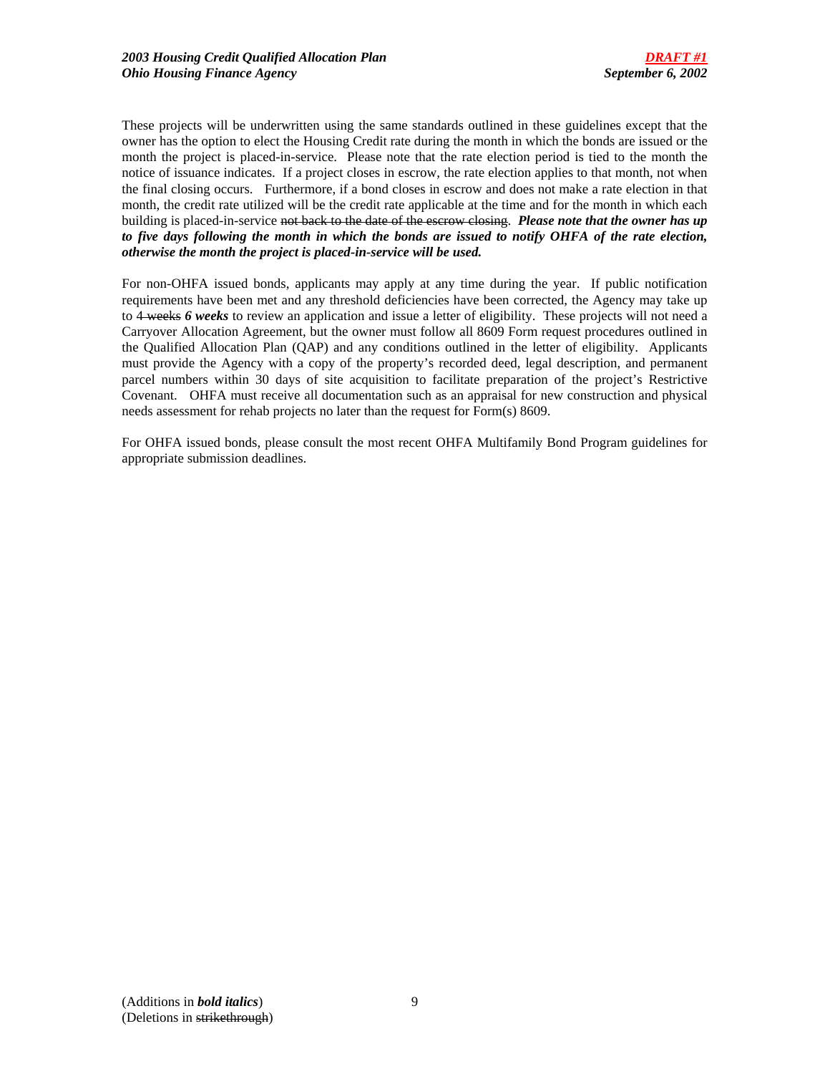These projects will be underwritten using the same standards outlined in these guidelines except that the owner has the option to elect the Housing Credit rate during the month in which the bonds are issued or the month the project is placed-in-service. Please note that the rate election period is tied to the month the notice of issuance indicates. If a project closes in escrow, the rate election applies to that month, not when the final closing occurs. Furthermore, if a bond closes in escrow and does not make a rate election in that month, the credit rate utilized will be the credit rate applicable at the time and for the month in which each building is placed-in-service not back to the date of the escrow closing. *Please note that the owner has up to five days following the month in which the bonds are issued to notify OHFA of the rate election, otherwise the month the project is placed-in-service will be used.*

For non-OHFA issued bonds, applicants may apply at any time during the year. If public notification requirements have been met and any threshold deficiencies have been corrected, the Agency may take up to 4 weeks *6 weeks* to review an application and issue a letter of eligibility. These projects will not need a Carryover Allocation Agreement, but the owner must follow all 8609 Form request procedures outlined in the Qualified Allocation Plan (QAP) and any conditions outlined in the letter of eligibility. Applicants must provide the Agency with a copy of the property's recorded deed, legal description, and permanent parcel numbers within 30 days of site acquisition to facilitate preparation of the project's Restrictive Covenant. OHFA must receive all documentation such as an appraisal for new construction and physical needs assessment for rehab projects no later than the request for Form(s) 8609.

For OHFA issued bonds, please consult the most recent OHFA Multifamily Bond Program guidelines for appropriate submission deadlines.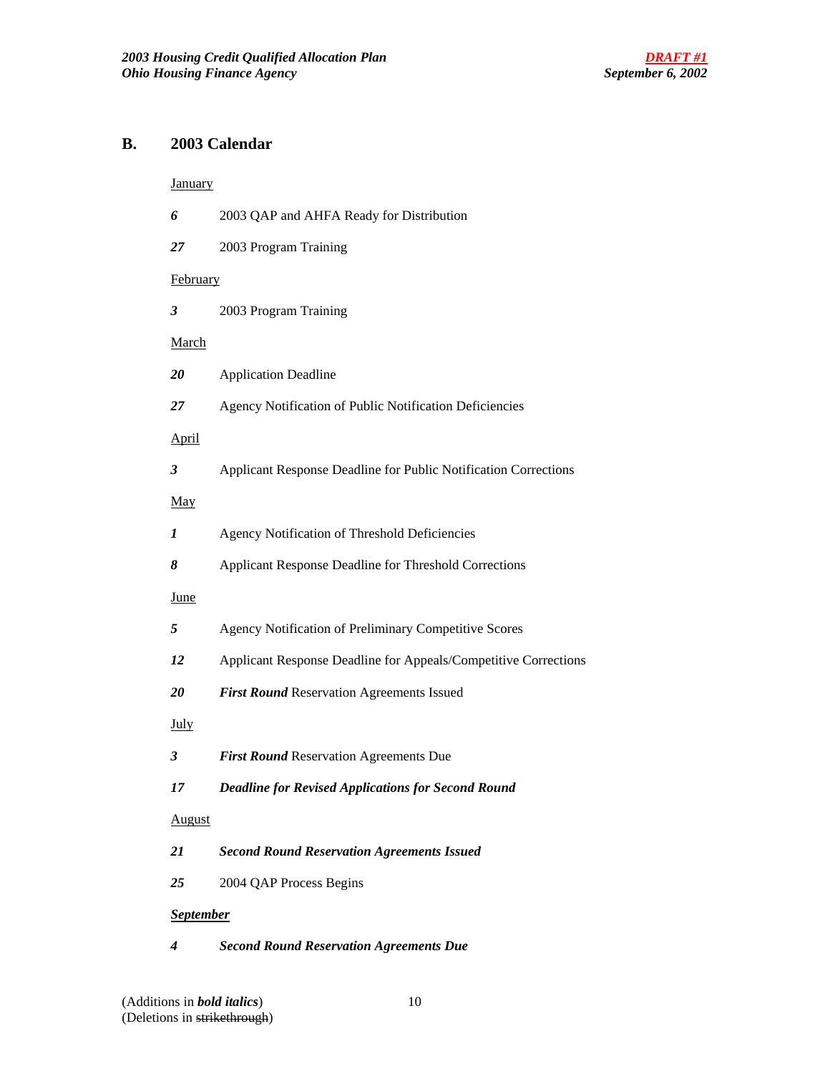# **B. 2003 Calendar**

# **January**

| 6                | 2003 QAP and AHFA Ready for Distribution                        |
|------------------|-----------------------------------------------------------------|
| 27               | 2003 Program Training                                           |
| <b>February</b>  |                                                                 |
| 3                | 2003 Program Training                                           |
| <b>March</b>     |                                                                 |
| 20               | <b>Application Deadline</b>                                     |
| 27               | Agency Notification of Public Notification Deficiencies         |
| <b>April</b>     |                                                                 |
| 3                | Applicant Response Deadline for Public Notification Corrections |
| <u>May</u>       |                                                                 |
| 1                | Agency Notification of Threshold Deficiencies                   |
| 8                | Applicant Response Deadline for Threshold Corrections           |
| <b>June</b>      |                                                                 |
| 5                | Agency Notification of Preliminary Competitive Scores           |
| 12               | Applicant Response Deadline for Appeals/Competitive Corrections |
| 20               | First Round Reservation Agreements Issued                       |
| <u>July</u>      |                                                                 |
| 3                | First Round Reservation Agreements Due                          |
| 17               | <b>Deadline for Revised Applications for Second Round</b>       |
| August           |                                                                 |
| 21               | <b>Second Round Reservation Agreements Issued</b>               |
| 25               | 2004 QAP Process Begins                                         |
| <b>September</b> |                                                                 |
| 4                | <b>Second Round Reservation Agreements Due</b>                  |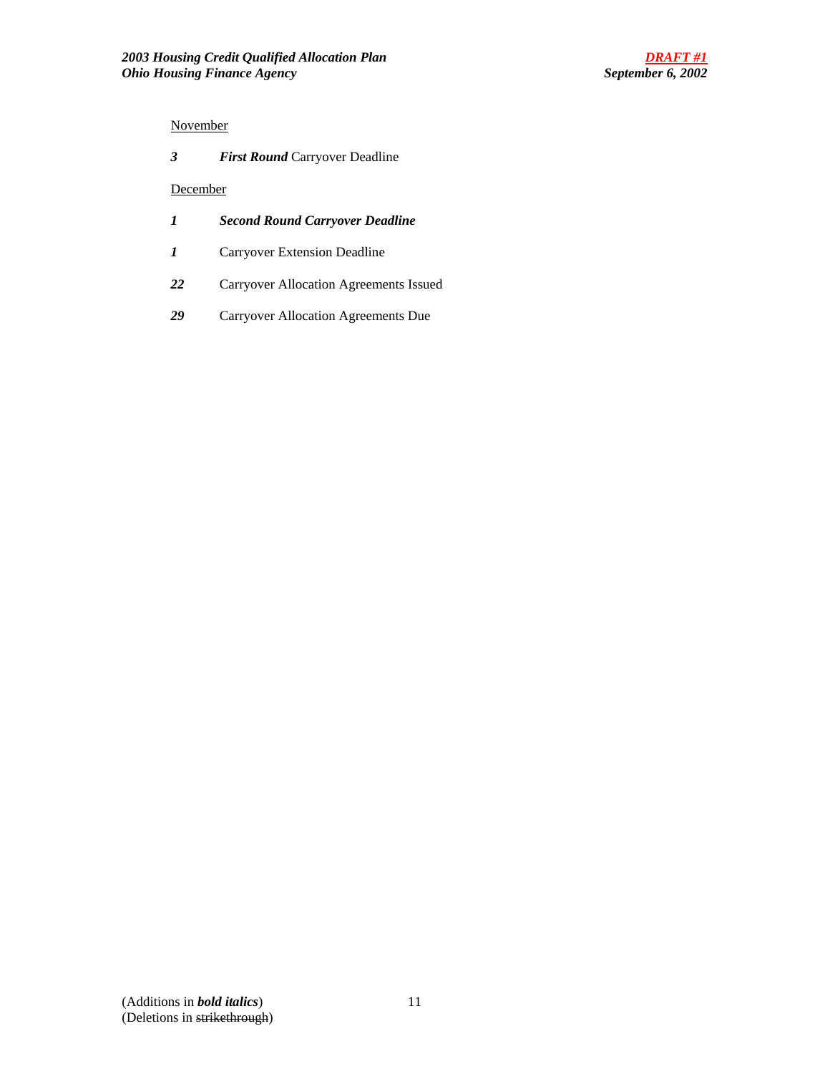# November

| 3<br><b>First Round Carryover Deadline</b> |  |
|--------------------------------------------|--|
|--------------------------------------------|--|

## December

- *1 Second Round Carryover Deadline*
- *1* Carryover Extension Deadline
- *22* Carryover Allocation Agreements Issued
- *29* Carryover Allocation Agreements Due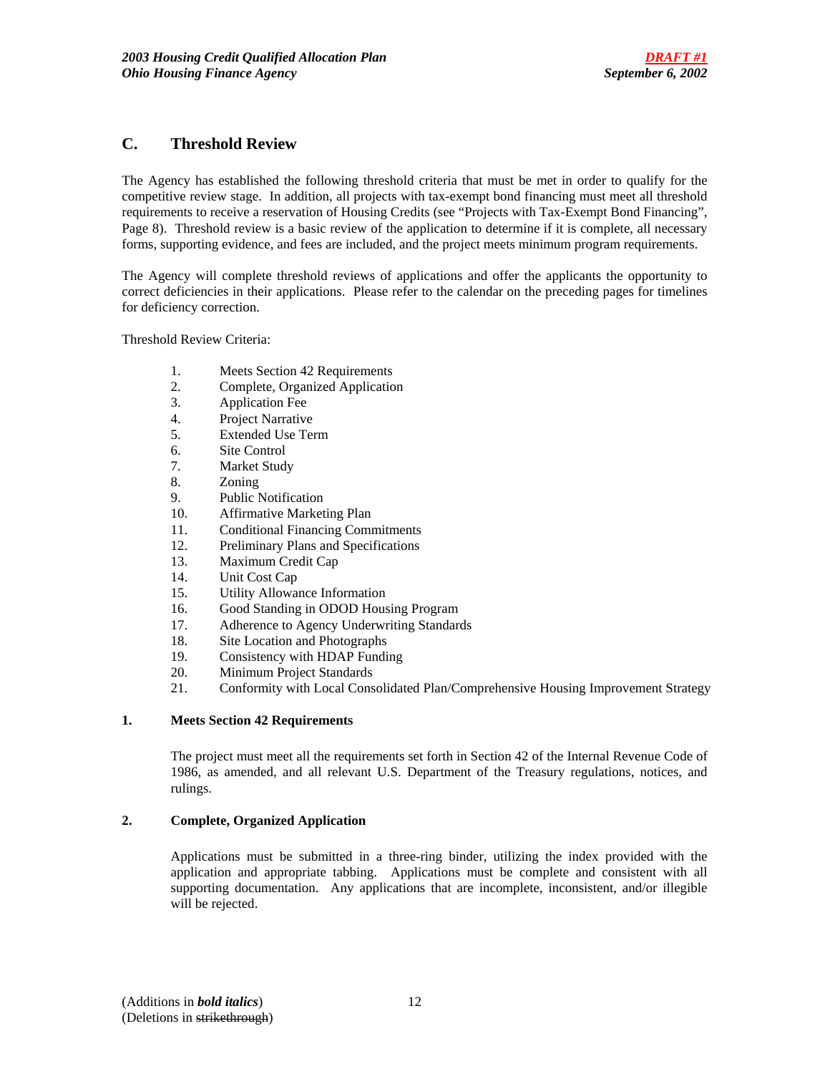# **C. Threshold Review**

The Agency has established the following threshold criteria that must be met in order to qualify for the competitive review stage. In addition, all projects with tax-exempt bond financing must meet all threshold requirements to receive a reservation of Housing Credits (see "Projects with Tax-Exempt Bond Financing", Page 8). Threshold review is a basic review of the application to determine if it is complete, all necessary forms, supporting evidence, and fees are included, and the project meets minimum program requirements.

The Agency will complete threshold reviews of applications and offer the applicants the opportunity to correct deficiencies in their applications. Please refer to the calendar on the preceding pages for timelines for deficiency correction.

Threshold Review Criteria:

- 1. Meets Section 42 Requirements
- 2. Complete, Organized Application
- 3. Application Fee
- 4. Project Narrative
- 5. Extended Use Term
- 6. Site Control
- 7. Market Study
- 8. Zoning
- 9. Public Notification
- 10. Affirmative Marketing Plan
- 11. Conditional Financing Commitments
- 12. Preliminary Plans and Specifications
- 13. Maximum Credit Cap
- 14. Unit Cost Cap
- 15. Utility Allowance Information
- 16. Good Standing in ODOD Housing Program
- 17. Adherence to Agency Underwriting Standards
- 18. Site Location and Photographs
- 19. Consistency with HDAP Funding
- 20. Minimum Project Standards
- 21. Conformity with Local Consolidated Plan/Comprehensive Housing Improvement Strategy

### **1. Meets Section 42 Requirements**

 The project must meet all the requirements set forth in Section 42 of the Internal Revenue Code of 1986, as amended, and all relevant U.S. Department of the Treasury regulations, notices, and rulings.

## **2. Complete, Organized Application**

Applications must be submitted in a three-ring binder, utilizing the index provided with the application and appropriate tabbing. Applications must be complete and consistent with all supporting documentation. Any applications that are incomplete, inconsistent, and/or illegible will be rejected.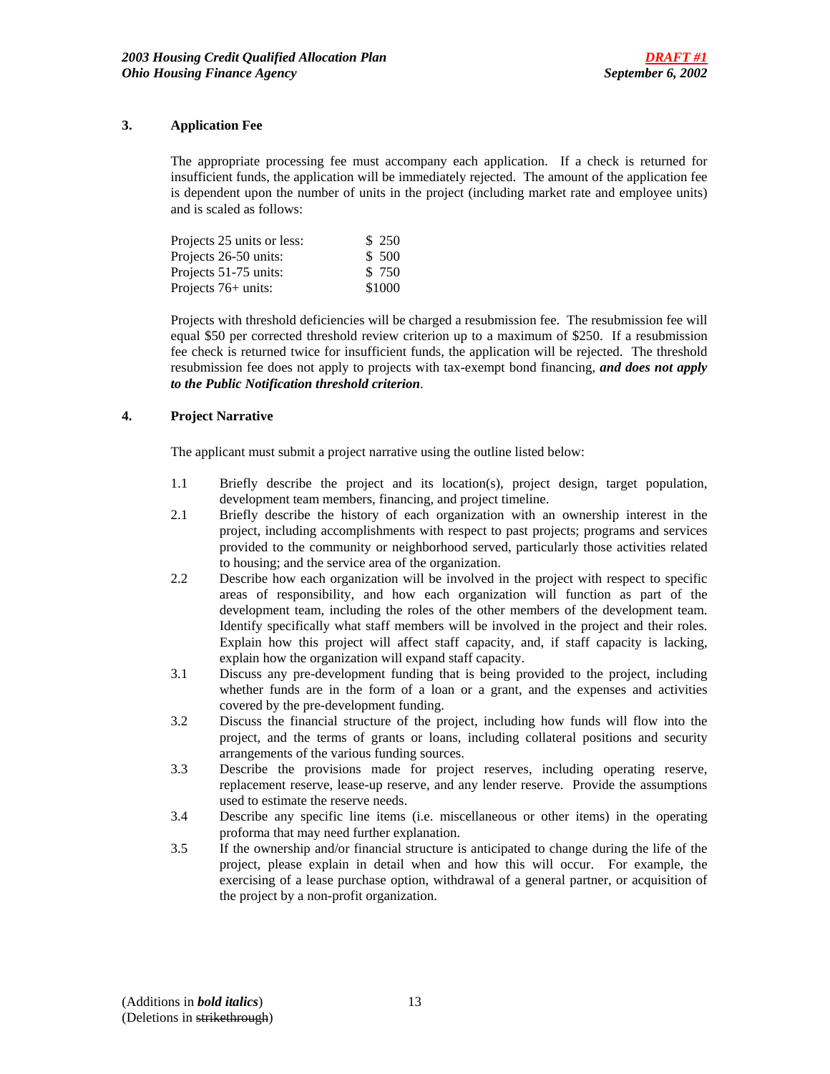## **3. Application Fee**

The appropriate processing fee must accompany each application. If a check is returned for insufficient funds, the application will be immediately rejected. The amount of the application fee is dependent upon the number of units in the project (including market rate and employee units) and is scaled as follows:

| Projects 25 units or less: | \$ 250 |
|----------------------------|--------|
| Projects 26-50 units:      | \$ 500 |
| Projects 51-75 units:      | \$750  |
| Projects $76+$ units:      | \$1000 |

Projects with threshold deficiencies will be charged a resubmission fee. The resubmission fee will equal \$50 per corrected threshold review criterion up to a maximum of \$250. If a resubmission fee check is returned twice for insufficient funds, the application will be rejected. The threshold resubmission fee does not apply to projects with tax-exempt bond financing, *and does not apply to the Public Notification threshold criterion*.

### **4. Project Narrative**

The applicant must submit a project narrative using the outline listed below:

- 1.1 Briefly describe the project and its location(s), project design, target population, development team members, financing, and project timeline.
- 2.1 Briefly describe the history of each organization with an ownership interest in the project, including accomplishments with respect to past projects; programs and services provided to the community or neighborhood served, particularly those activities related to housing; and the service area of the organization.
- 2.2 Describe how each organization will be involved in the project with respect to specific areas of responsibility, and how each organization will function as part of the development team, including the roles of the other members of the development team. Identify specifically what staff members will be involved in the project and their roles. Explain how this project will affect staff capacity, and, if staff capacity is lacking, explain how the organization will expand staff capacity.
- 3.1 Discuss any pre-development funding that is being provided to the project, including whether funds are in the form of a loan or a grant, and the expenses and activities covered by the pre-development funding.
- 3.2 Discuss the financial structure of the project, including how funds will flow into the project, and the terms of grants or loans, including collateral positions and security arrangements of the various funding sources.
- 3.3 Describe the provisions made for project reserves, including operating reserve, replacement reserve, lease-up reserve, and any lender reserve. Provide the assumptions used to estimate the reserve needs.
- 3.4 Describe any specific line items (i.e. miscellaneous or other items) in the operating proforma that may need further explanation.
- 3.5 If the ownership and/or financial structure is anticipated to change during the life of the project, please explain in detail when and how this will occur. For example, the exercising of a lease purchase option, withdrawal of a general partner, or acquisition of the project by a non-profit organization.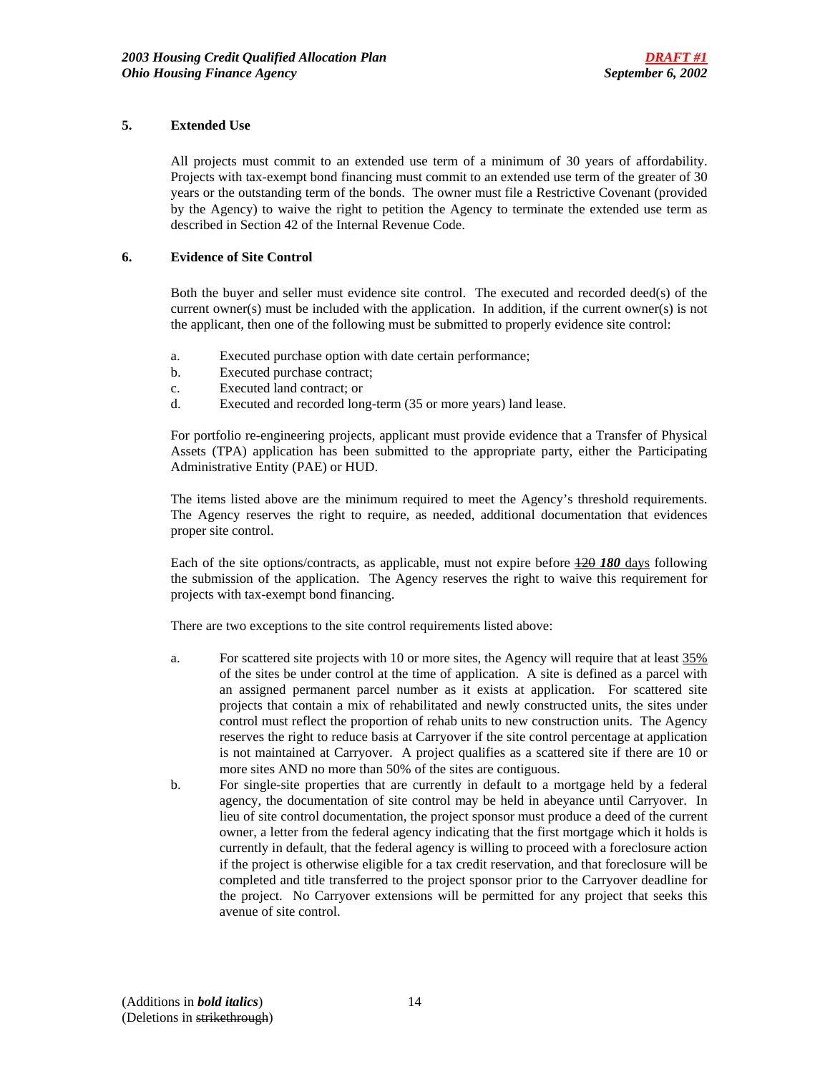## **5. Extended Use**

All projects must commit to an extended use term of a minimum of 30 years of affordability. Projects with tax-exempt bond financing must commit to an extended use term of the greater of 30 years or the outstanding term of the bonds. The owner must file a Restrictive Covenant (provided by the Agency) to waive the right to petition the Agency to terminate the extended use term as described in Section 42 of the Internal Revenue Code.

## **6. Evidence of Site Control**

Both the buyer and seller must evidence site control. The executed and recorded deed(s) of the current owner(s) must be included with the application. In addition, if the current owner(s) is not the applicant, then one of the following must be submitted to properly evidence site control:

- a. Executed purchase option with date certain performance;
- b. Executed purchase contract;
- c. Executed land contract; or
- d. Executed and recorded long-term (35 or more years) land lease.

For portfolio re-engineering projects, applicant must provide evidence that a Transfer of Physical Assets (TPA) application has been submitted to the appropriate party, either the Participating Administrative Entity (PAE) or HUD.

The items listed above are the minimum required to meet the Agency's threshold requirements. The Agency reserves the right to require, as needed, additional documentation that evidences proper site control.

Each of the site options/contracts, as applicable, must not expire before  $\frac{120}{180}$  days following the submission of the application. The Agency reserves the right to waive this requirement for projects with tax-exempt bond financing.

There are two exceptions to the site control requirements listed above:

- a. For scattered site projects with 10 or more sites, the Agency will require that at least 35% of the sites be under control at the time of application. A site is defined as a parcel with an assigned permanent parcel number as it exists at application. For scattered site projects that contain a mix of rehabilitated and newly constructed units, the sites under control must reflect the proportion of rehab units to new construction units. The Agency reserves the right to reduce basis at Carryover if the site control percentage at application is not maintained at Carryover. A project qualifies as a scattered site if there are 10 or more sites AND no more than 50% of the sites are contiguous.
- b. For single-site properties that are currently in default to a mortgage held by a federal agency, the documentation of site control may be held in abeyance until Carryover. In lieu of site control documentation, the project sponsor must produce a deed of the current owner, a letter from the federal agency indicating that the first mortgage which it holds is currently in default, that the federal agency is willing to proceed with a foreclosure action if the project is otherwise eligible for a tax credit reservation, and that foreclosure will be completed and title transferred to the project sponsor prior to the Carryover deadline for the project. No Carryover extensions will be permitted for any project that seeks this avenue of site control.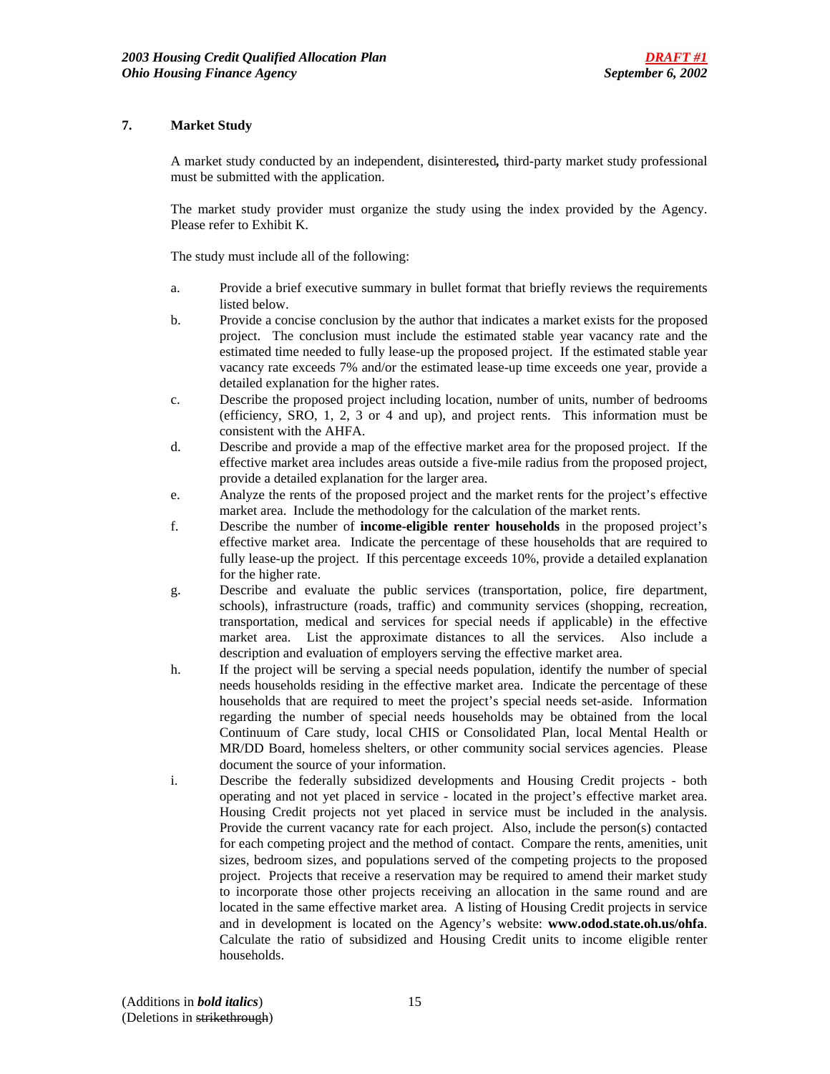## **7. Market Study**

A market study conducted by an independent, disinterested*,* third-party market study professional must be submitted with the application.

The market study provider must organize the study using the index provided by the Agency. Please refer to Exhibit K.

The study must include all of the following:

- a. Provide a brief executive summary in bullet format that briefly reviews the requirements listed below.
- b. Provide a concise conclusion by the author that indicates a market exists for the proposed project. The conclusion must include the estimated stable year vacancy rate and the estimated time needed to fully lease-up the proposed project. If the estimated stable year vacancy rate exceeds 7% and/or the estimated lease-up time exceeds one year, provide a detailed explanation for the higher rates.
- c. Describe the proposed project including location, number of units, number of bedrooms (efficiency, SRO, 1, 2, 3 or 4 and up), and project rents. This information must be consistent with the AHFA.
- d. Describe and provide a map of the effective market area for the proposed project. If the effective market area includes areas outside a five-mile radius from the proposed project, provide a detailed explanation for the larger area.
- e. Analyze the rents of the proposed project and the market rents for the project's effective market area. Include the methodology for the calculation of the market rents.
- f. Describe the number of **income-eligible renter households** in the proposed project's effective market area. Indicate the percentage of these households that are required to fully lease-up the project. If this percentage exceeds 10%, provide a detailed explanation for the higher rate.
- g. Describe and evaluate the public services (transportation, police, fire department, schools), infrastructure (roads, traffic) and community services (shopping, recreation, transportation, medical and services for special needs if applicable) in the effective market area. List the approximate distances to all the services. Also include a description and evaluation of employers serving the effective market area.
- h. If the project will be serving a special needs population, identify the number of special needs households residing in the effective market area. Indicate the percentage of these households that are required to meet the project's special needs set-aside. Information regarding the number of special needs households may be obtained from the local Continuum of Care study, local CHIS or Consolidated Plan, local Mental Health or MR/DD Board, homeless shelters, or other community social services agencies. Please document the source of your information.
- i. Describe the federally subsidized developments and Housing Credit projects both operating and not yet placed in service - located in the project's effective market area. Housing Credit projects not yet placed in service must be included in the analysis. Provide the current vacancy rate for each project. Also, include the person(s) contacted for each competing project and the method of contact. Compare the rents, amenities, unit sizes, bedroom sizes, and populations served of the competing projects to the proposed project. Projects that receive a reservation may be required to amend their market study to incorporate those other projects receiving an allocation in the same round and are located in the same effective market area. A listing of Housing Credit projects in service and in development is located on the Agency's website: **www.odod.state.oh.us/ohfa**. Calculate the ratio of subsidized and Housing Credit units to income eligible renter households.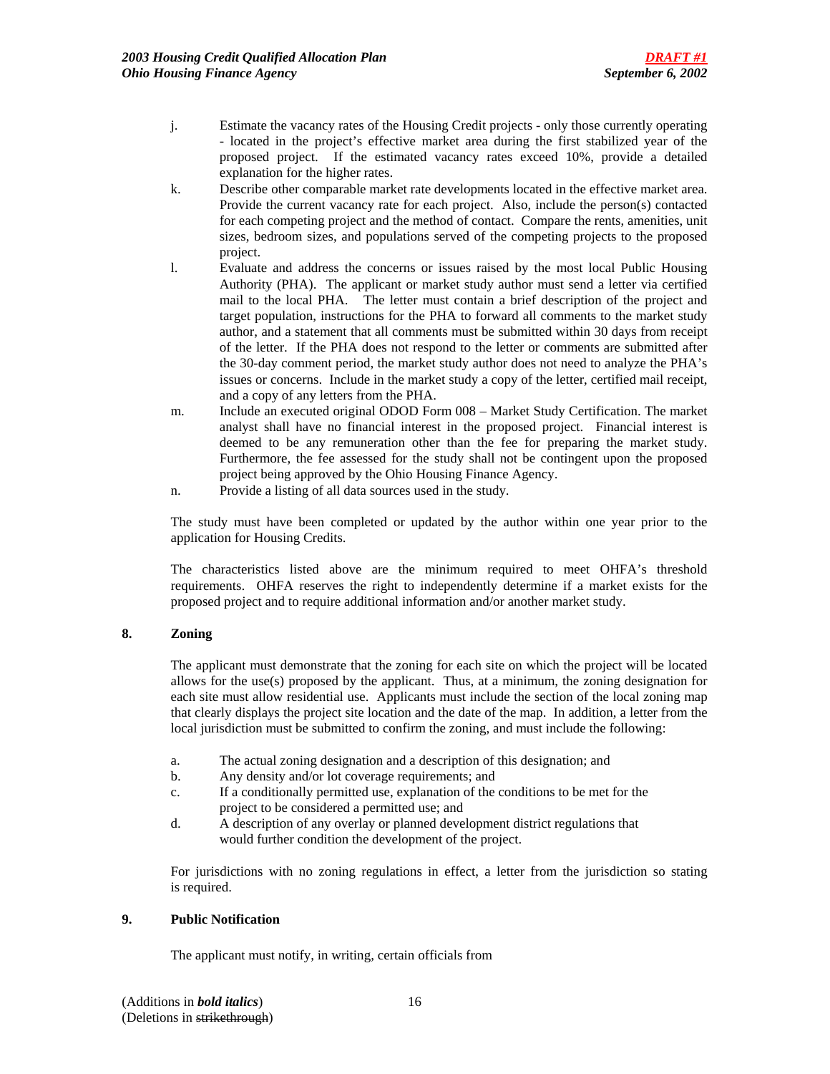- j. Estimate the vacancy rates of the Housing Credit projects only those currently operating - located in the project's effective market area during the first stabilized year of the proposed project. If the estimated vacancy rates exceed 10%, provide a detailed explanation for the higher rates.
- k. Describe other comparable market rate developments located in the effective market area. Provide the current vacancy rate for each project. Also, include the person(s) contacted for each competing project and the method of contact. Compare the rents, amenities, unit sizes, bedroom sizes, and populations served of the competing projects to the proposed project.
- l. Evaluate and address the concerns or issues raised by the most local Public Housing Authority (PHA). The applicant or market study author must send a letter via certified mail to the local PHA. The letter must contain a brief description of the project and target population, instructions for the PHA to forward all comments to the market study author, and a statement that all comments must be submitted within 30 days from receipt of the letter. If the PHA does not respond to the letter or comments are submitted after the 30-day comment period, the market study author does not need to analyze the PHA's issues or concerns. Include in the market study a copy of the letter, certified mail receipt, and a copy of any letters from the PHA.
- m. Include an executed original ODOD Form 008 Market Study Certification. The market analyst shall have no financial interest in the proposed project. Financial interest is deemed to be any remuneration other than the fee for preparing the market study. Furthermore, the fee assessed for the study shall not be contingent upon the proposed project being approved by the Ohio Housing Finance Agency.
- n. Provide a listing of all data sources used in the study.

The study must have been completed or updated by the author within one year prior to the application for Housing Credits.

The characteristics listed above are the minimum required to meet OHFA's threshold requirements. OHFA reserves the right to independently determine if a market exists for the proposed project and to require additional information and/or another market study.

# **8. Zoning**

The applicant must demonstrate that the zoning for each site on which the project will be located allows for the use(s) proposed by the applicant. Thus, at a minimum, the zoning designation for each site must allow residential use. Applicants must include the section of the local zoning map that clearly displays the project site location and the date of the map. In addition, a letter from the local jurisdiction must be submitted to confirm the zoning, and must include the following:

- a. The actual zoning designation and a description of this designation; and
- b. Any density and/or lot coverage requirements; and
- c. If a conditionally permitted use, explanation of the conditions to be met for the project to be considered a permitted use; and
- d. A description of any overlay or planned development district regulations that would further condition the development of the project.

 For jurisdictions with no zoning regulations in effect, a letter from the jurisdiction so stating is required.

## **9. Public Notification**

The applicant must notify, in writing, certain officials from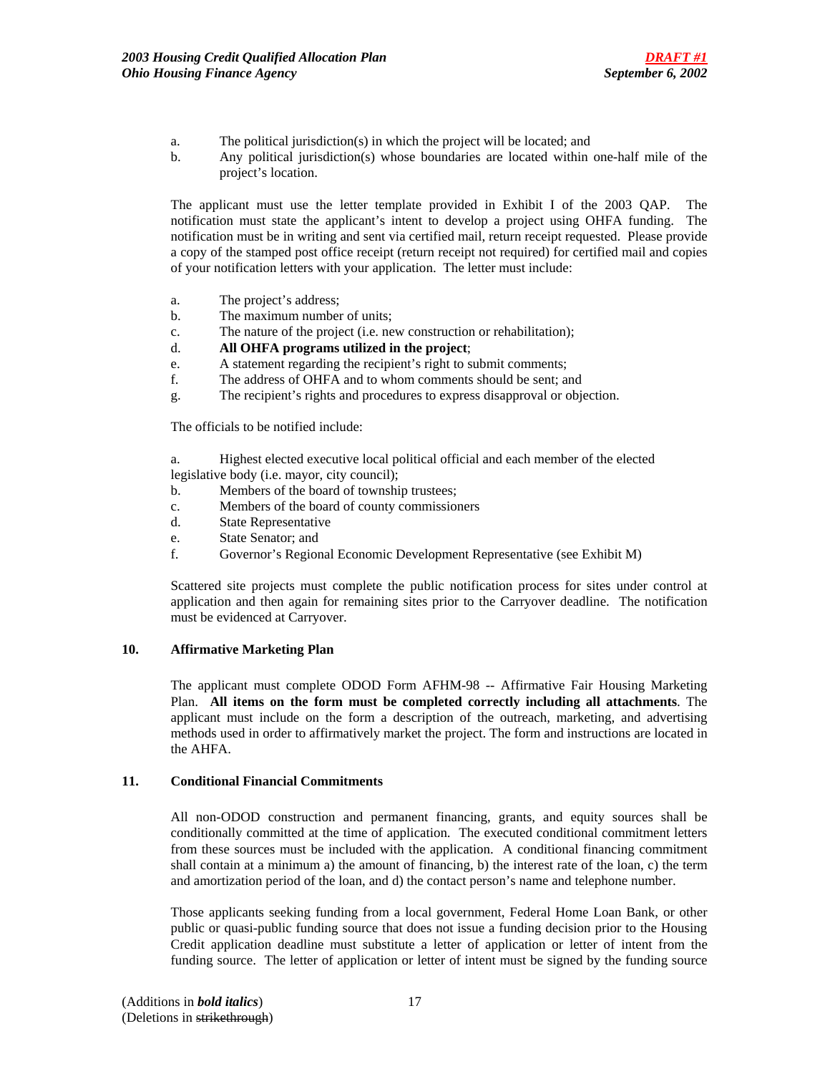- a. The political jurisdiction(s) in which the project will be located; and
- b. Any political jurisdiction(s) whose boundaries are located within one-half mile of the project's location.

 The applicant must use the letter template provided in Exhibit I of the 2003 QAP.The notification must state the applicant's intent to develop a project using OHFA funding. The notification must be in writing and sent via certified mail, return receipt requested. Please provide a copy of the stamped post office receipt (return receipt not required) for certified mail and copies of your notification letters with your application. The letter must include:

- a. The project's address;
- b. The maximum number of units;
- c. The nature of the project (i.e. new construction or rehabilitation);
- d. **All OHFA programs utilized in the project**;
- e. A statement regarding the recipient's right to submit comments;
- f. The address of OHFA and to whom comments should be sent; and
- g. The recipient's rights and procedures to express disapproval or objection.

The officials to be notified include:

 a. Highest elected executive local political official and each member of the elected legislative body (i.e. mayor, city council);

- b. Members of the board of township trustees;
- c. Members of the board of county commissioners
- d. State Representative
- e. State Senator; and
- f. Governor's Regional Economic Development Representative (see Exhibit M)

Scattered site projects must complete the public notification process for sites under control at application and then again for remaining sites prior to the Carryover deadline. The notification must be evidenced at Carryover.

## **10. Affirmative Marketing Plan**

The applicant must complete ODOD Form AFHM-98 -- Affirmative Fair Housing Marketing Plan. **All items on the form must be completed correctly including all attachments**. The applicant must include on the form a description of the outreach, marketing, and advertising methods used in order to affirmatively market the project. The form and instructions are located in the AHFA.

### **11. Conditional Financial Commitments**

All non-ODOD construction and permanent financing, grants, and equity sources shall be conditionally committed at the time of application. The executed conditional commitment letters from these sources must be included with the application. A conditional financing commitment shall contain at a minimum a) the amount of financing, b) the interest rate of the loan, c) the term and amortization period of the loan, and d) the contact person's name and telephone number.

Those applicants seeking funding from a local government, Federal Home Loan Bank, or other public or quasi-public funding source that does not issue a funding decision prior to the Housing Credit application deadline must substitute a letter of application or letter of intent from the funding source. The letter of application or letter of intent must be signed by the funding source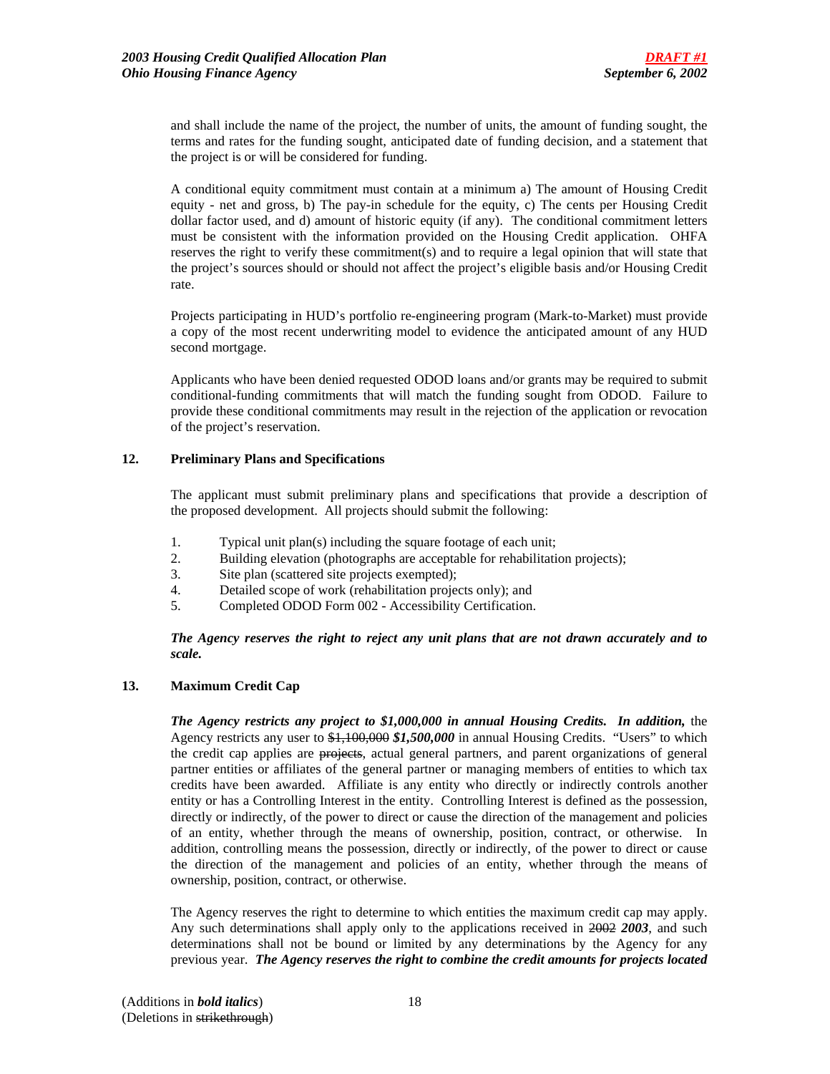and shall include the name of the project, the number of units, the amount of funding sought, the terms and rates for the funding sought, anticipated date of funding decision, and a statement that the project is or will be considered for funding.

A conditional equity commitment must contain at a minimum a) The amount of Housing Credit equity - net and gross, b) The pay-in schedule for the equity, c) The cents per Housing Credit dollar factor used, and d) amount of historic equity (if any). The conditional commitment letters must be consistent with the information provided on the Housing Credit application. OHFA reserves the right to verify these commitment(s) and to require a legal opinion that will state that the project's sources should or should not affect the project's eligible basis and/or Housing Credit rate.

Projects participating in HUD's portfolio re-engineering program (Mark-to-Market) must provide a copy of the most recent underwriting model to evidence the anticipated amount of any HUD second mortgage.

Applicants who have been denied requested ODOD loans and/or grants may be required to submit conditional-funding commitments that will match the funding sought from ODOD. Failure to provide these conditional commitments may result in the rejection of the application or revocation of the project's reservation.

## **12. Preliminary Plans and Specifications**

 The applicant must submit preliminary plans and specifications that provide a description of the proposed development. All projects should submit the following:

- 1. Typical unit plan(s) including the square footage of each unit;
- 2. Building elevation (photographs are acceptable for rehabilitation projects);
- 3. Site plan (scattered site projects exempted);
- 4. Detailed scope of work (rehabilitation projects only); and
- 5. Completed ODOD Form 002 Accessibility Certification.

*The Agency reserves the right to reject any unit plans that are not drawn accurately and to scale.*

## **13. Maximum Credit Cap**

*The Agency restricts any project to \$1,000,000 in annual Housing Credits. In addition,* the Agency restricts any user to \$1,100,000 *\$1,500,000* in annual Housing Credits. "Users" to which the credit cap applies are projects, actual general partners, and parent organizations of general partner entities or affiliates of the general partner or managing members of entities to which tax credits have been awarded. Affiliate is any entity who directly or indirectly controls another entity or has a Controlling Interest in the entity. Controlling Interest is defined as the possession, directly or indirectly, of the power to direct or cause the direction of the management and policies of an entity, whether through the means of ownership, position, contract, or otherwise. In addition, controlling means the possession, directly or indirectly, of the power to direct or cause the direction of the management and policies of an entity, whether through the means of ownership, position, contract, or otherwise.

The Agency reserves the right to determine to which entities the maximum credit cap may apply. Any such determinations shall apply only to the applications received in 2002 *2003*, and such determinations shall not be bound or limited by any determinations by the Agency for any previous year. *The Agency reserves the right to combine the credit amounts for projects located*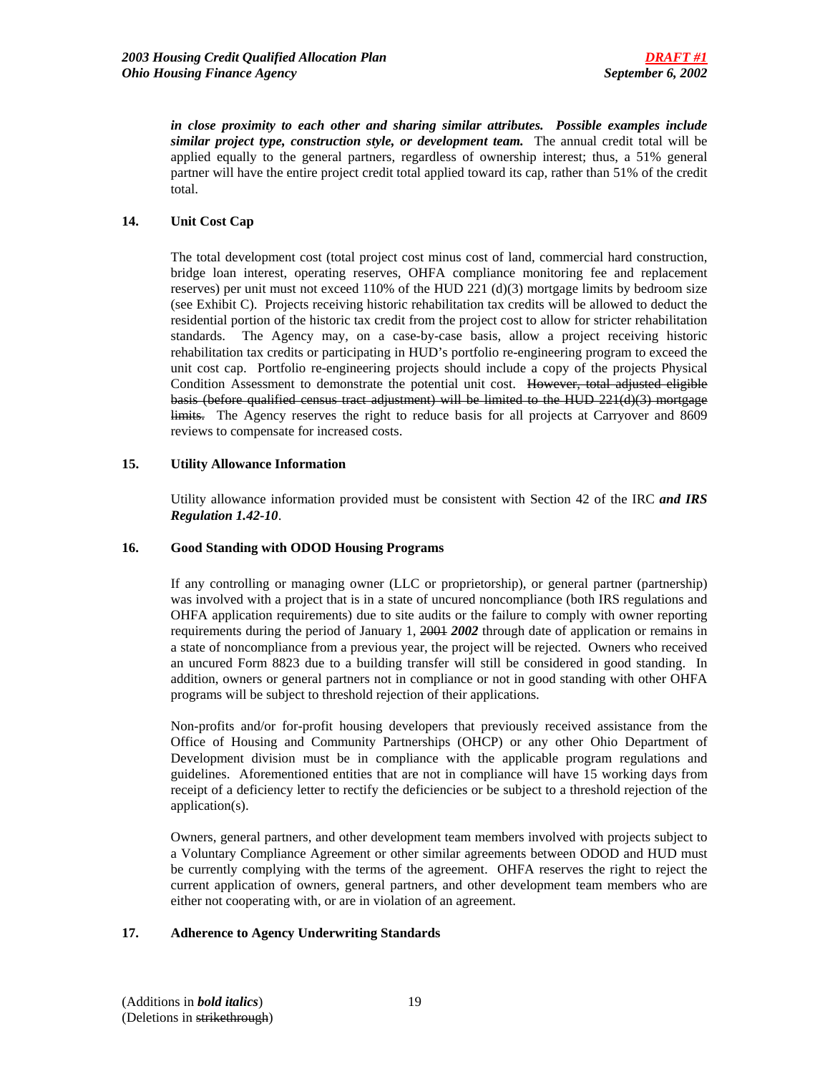*in close proximity to each other and sharing similar attributes. Possible examples include similar project type, construction style, or development team.* The annual credit total will be applied equally to the general partners, regardless of ownership interest; thus, a 51% general partner will have the entire project credit total applied toward its cap, rather than 51% of the credit total.

## **14. Unit Cost Cap**

 The total development cost (total project cost minus cost of land, commercial hard construction, bridge loan interest, operating reserves, OHFA compliance monitoring fee and replacement reserves) per unit must not exceed  $110\%$  of the HUD 221 (d)(3) mortgage limits by bedroom size (see Exhibit C). Projects receiving historic rehabilitation tax credits will be allowed to deduct the residential portion of the historic tax credit from the project cost to allow for stricter rehabilitation standards. The Agency may, on a case-by-case basis, allow a project receiving historic rehabilitation tax credits or participating in HUD's portfolio re-engineering program to exceed the unit cost cap. Portfolio re-engineering projects should include a copy of the projects Physical Condition Assessment to demonstrate the potential unit cost.However, total adjusted eligible basis (before qualified census tract adjustment) will be limited to the HUD 221(d)(3) mortgage limits. The Agency reserves the right to reduce basis for all projects at Carryover and 8609 reviews to compensate for increased costs.

## **15. Utility Allowance Information**

Utility allowance information provided must be consistent with Section 42 of the IRC *and IRS Regulation 1.42-10*.

## **16. Good Standing with ODOD Housing Programs**

If any controlling or managing owner (LLC or proprietorship), or general partner (partnership) was involved with a project that is in a state of uncured noncompliance (both IRS regulations and OHFA application requirements) due to site audits or the failure to comply with owner reporting requirements during the period of January 1, 2001 *2002* through date of application or remains in a state of noncompliance from a previous year, the project will be rejected. Owners who received an uncured Form 8823 due to a building transfer will still be considered in good standing. In addition, owners or general partners not in compliance or not in good standing with other OHFA programs will be subject to threshold rejection of their applications.

Non-profits and/or for-profit housing developers that previously received assistance from the Office of Housing and Community Partnerships (OHCP) or any other Ohio Department of Development division must be in compliance with the applicable program regulations and guidelines. Aforementioned entities that are not in compliance will have 15 working days from receipt of a deficiency letter to rectify the deficiencies or be subject to a threshold rejection of the application(s).

Owners, general partners, and other development team members involved with projects subject to a Voluntary Compliance Agreement or other similar agreements between ODOD and HUD must be currently complying with the terms of the agreement. OHFA reserves the right to reject the current application of owners, general partners, and other development team members who are either not cooperating with, or are in violation of an agreement.

## **17. Adherence to Agency Underwriting Standards**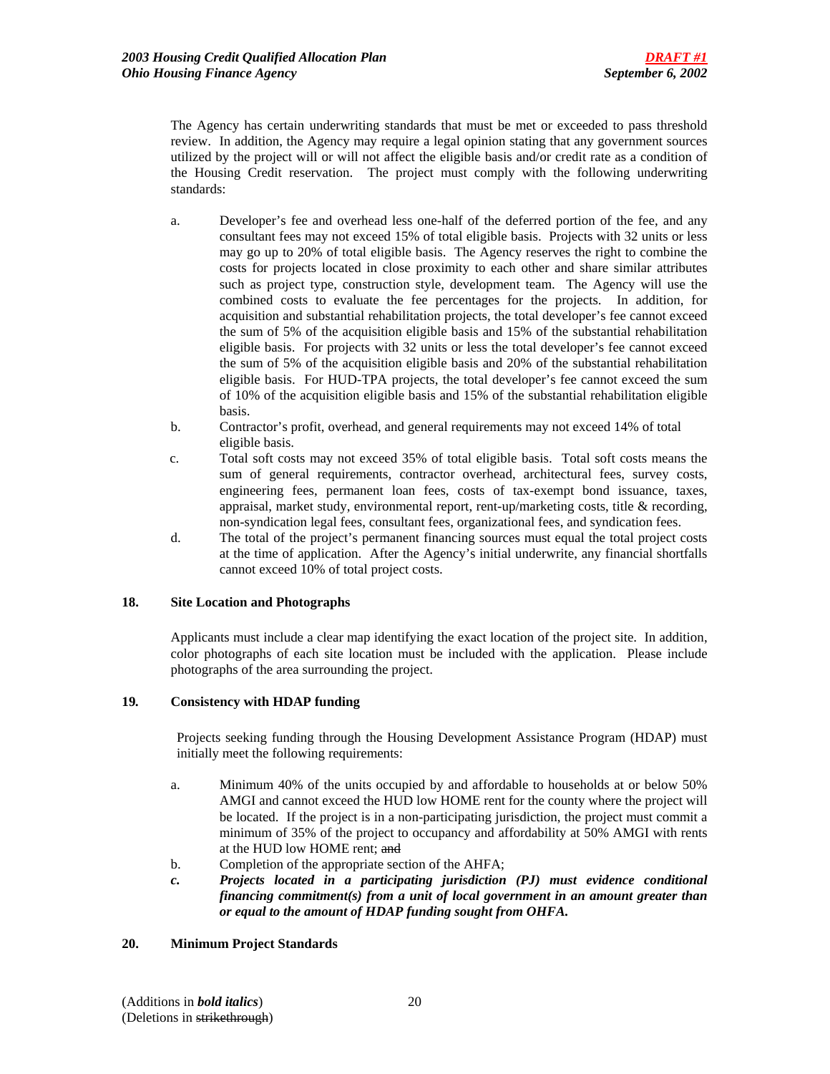The Agency has certain underwriting standards that must be met or exceeded to pass threshold review. In addition, the Agency may require a legal opinion stating that any government sources utilized by the project will or will not affect the eligible basis and/or credit rate as a condition of the Housing Credit reservation. The project must comply with the following underwriting standards:

- a. Developer's fee and overhead less one-half of the deferred portion of the fee, and any consultant fees may not exceed 15% of total eligible basis. Projects with 32 units or less may go up to 20% of total eligible basis. The Agency reserves the right to combine the costs for projects located in close proximity to each other and share similar attributes such as project type, construction style, development team. The Agency will use the combined costs to evaluate the fee percentages for the projects. In addition, for acquisition and substantial rehabilitation projects, the total developer's fee cannot exceed the sum of 5% of the acquisition eligible basis and 15% of the substantial rehabilitation eligible basis. For projects with 32 units or less the total developer's fee cannot exceed the sum of 5% of the acquisition eligible basis and 20% of the substantial rehabilitation eligible basis. For HUD-TPA projects, the total developer's fee cannot exceed the sum of 10% of the acquisition eligible basis and 15% of the substantial rehabilitation eligible basis.
- b. Contractor's profit, overhead, and general requirements may not exceed 14% of total eligible basis.
- c. Total soft costs may not exceed 35% of total eligible basis. Total soft costs means the sum of general requirements, contractor overhead, architectural fees, survey costs, engineering fees, permanent loan fees, costs of tax-exempt bond issuance, taxes, appraisal, market study, environmental report, rent-up/marketing costs, title & recording, non-syndication legal fees, consultant fees, organizational fees, and syndication fees.
- d. The total of the project's permanent financing sources must equal the total project costs at the time of application. After the Agency's initial underwrite, any financial shortfalls cannot exceed 10% of total project costs.

## **18. Site Location and Photographs**

Applicants must include a clear map identifying the exact location of the project site. In addition, color photographs of each site location must be included with the application. Please include photographs of the area surrounding the project.

## **19***.* **Consistency with HDAP funding**

Projects seeking funding through the Housing Development Assistance Program (HDAP) must initially meet the following requirements:

- a. Minimum 40% of the units occupied by and affordable to households at or below 50% AMGI and cannot exceed the HUD low HOME rent for the county where the project will be located. If the project is in a non-participating jurisdiction, the project must commit a minimum of 35% of the project to occupancy and affordability at 50% AMGI with rents at the HUD low HOME rent; and
- b. Completion of the appropriate section of the AHFA;
- *c. Projects located in a participating jurisdiction (PJ) must evidence conditional financing commitment(s) from a unit of local government in an amount greater than or equal to the amount of HDAP funding sought from OHFA.*

## **20. Minimum Project Standards**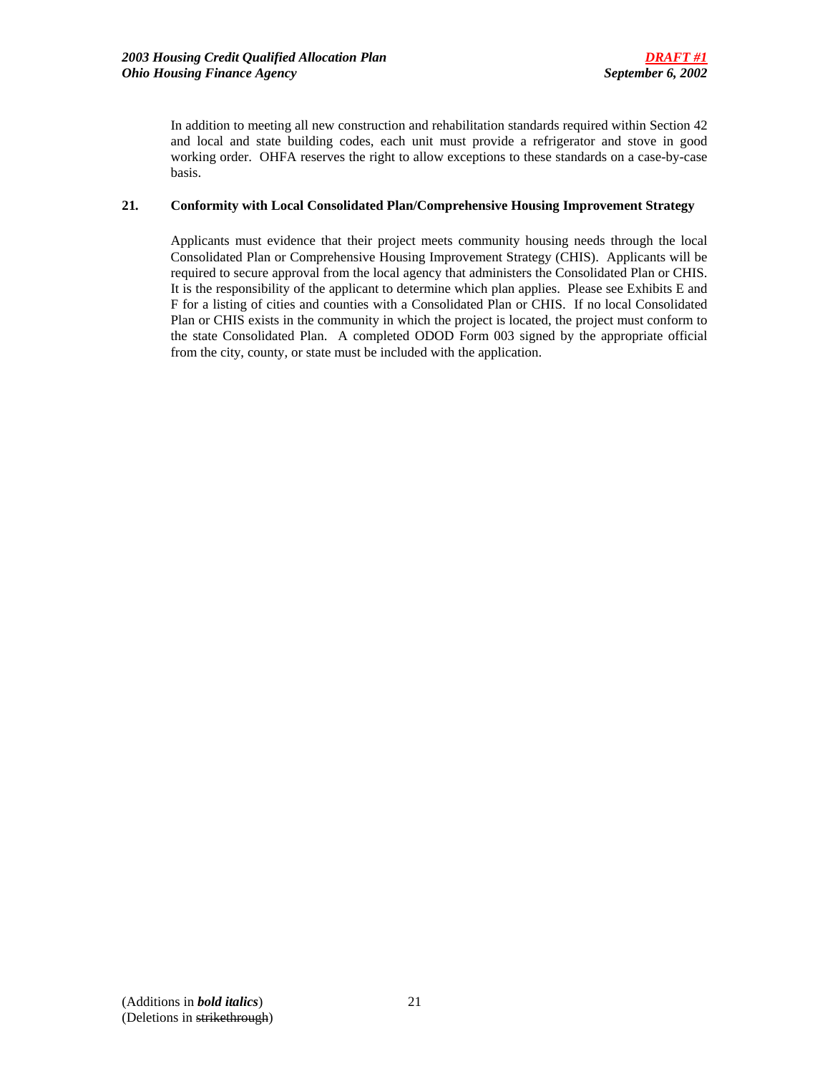In addition to meeting all new construction and rehabilitation standards required within Section 42 and local and state building codes, each unit must provide a refrigerator and stove in good working order. OHFA reserves the right to allow exceptions to these standards on a case-by-case basis.

## **21***.* **Conformity with Local Consolidated Plan/Comprehensive Housing Improvement Strategy**

Applicants must evidence that their project meets community housing needs through the local Consolidated Plan or Comprehensive Housing Improvement Strategy (CHIS). Applicants will be required to secure approval from the local agency that administers the Consolidated Plan or CHIS. It is the responsibility of the applicant to determine which plan applies. Please see Exhibits E and F for a listing of cities and counties with a Consolidated Plan or CHIS. If no local Consolidated Plan or CHIS exists in the community in which the project is located, the project must conform to the state Consolidated Plan. A completed ODOD Form 003 signed by the appropriate official from the city, county, or state must be included with the application.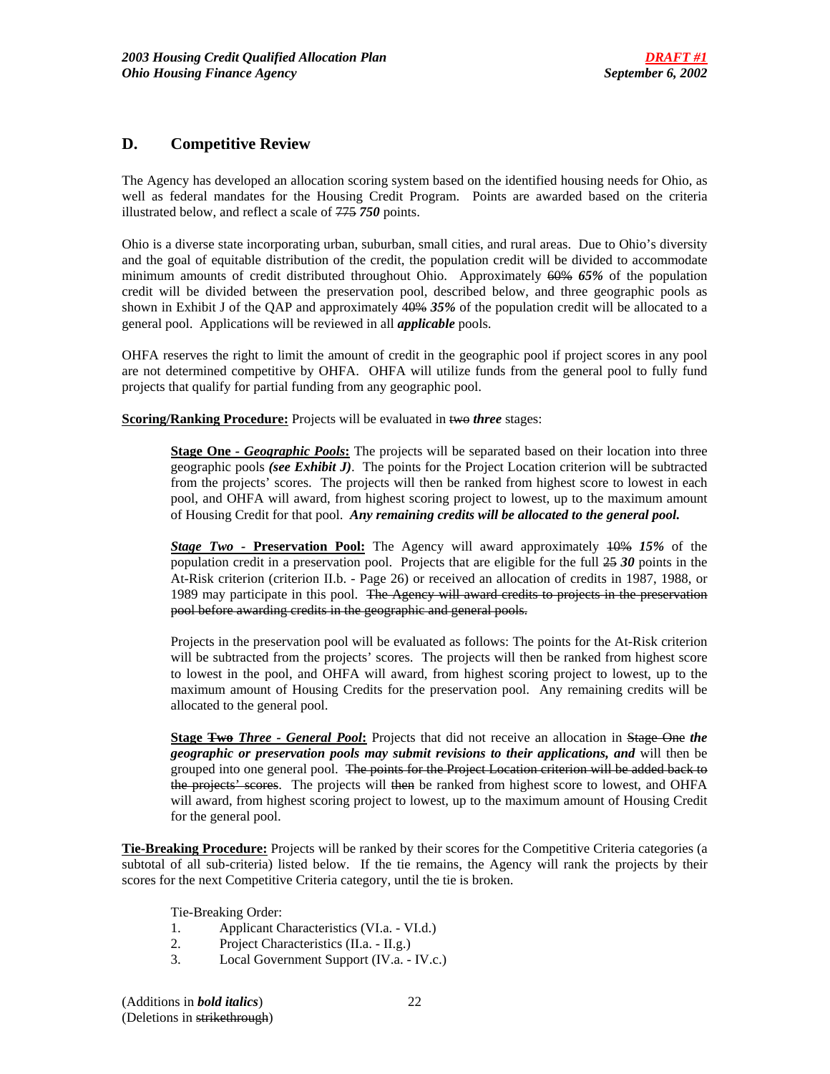# **D. Competitive Review**

The Agency has developed an allocation scoring system based on the identified housing needs for Ohio, as well as federal mandates for the Housing Credit Program. Points are awarded based on the criteria illustrated below, and reflect a scale of 775 *750* points.

Ohio is a diverse state incorporating urban, suburban, small cities, and rural areas. Due to Ohio's diversity and the goal of equitable distribution of the credit, the population credit will be divided to accommodate minimum amounts of credit distributed throughout Ohio. Approximately 60% *65%* of the population credit will be divided between the preservation pool, described below, and three geographic pools as shown in Exhibit J of the QAP and approximately 40% *35%* of the population credit will be allocated to a general pool. Applications will be reviewed in all *applicable* pools.

OHFA reserves the right to limit the amount of credit in the geographic pool if project scores in any pool are not determined competitive by OHFA. OHFA will utilize funds from the general pool to fully fund projects that qualify for partial funding from any geographic pool.

**Scoring/Ranking Procedure:** Projects will be evaluated in two *three* stages:

**Stage One** - Geographic Pools: The projects will be separated based on their location into three geographic pools *(see Exhibit J)*. The points for the Project Location criterion will be subtracted from the projects' scores. The projects will then be ranked from highest score to lowest in each pool, and OHFA will award, from highest scoring project to lowest, up to the maximum amount of Housing Credit for that pool. *Any remaining credits will be allocated to the general pool.* 

*Stage Two -* **Preservation Pool:** The Agency will award approximately 10% *15%* of the population credit in a preservation pool. Projects that are eligible for the full 25 *30* points in the At-Risk criterion (criterion II.b. - Page 26) or received an allocation of credits in 1987, 1988, or 1989 may participate in this pool. The Agency will award credits to projects in the preservation pool before awarding credits in the geographic and general pools.

Projects in the preservation pool will be evaluated as follows: The points for the At-Risk criterion will be subtracted from the projects' scores. The projects will then be ranked from highest score to lowest in the pool, and OHFA will award, from highest scoring project to lowest, up to the maximum amount of Housing Credits for the preservation pool. Any remaining credits will be allocated to the general pool.

**Stage Two** *Three - General Pool***:** Projects that did not receive an allocation in Stage One *the geographic or preservation pools may submit revisions to their applications, and* will then be grouped into one general pool. The points for the Project Location criterion will be added back to the projects' scores. The projects will then be ranked from highest score to lowest, and OHFA will award, from highest scoring project to lowest, up to the maximum amount of Housing Credit for the general pool.

**Tie-Breaking Procedure:** Projects will be ranked by their scores for the Competitive Criteria categories (a subtotal of all sub-criteria) listed below. If the tie remains, the Agency will rank the projects by their scores for the next Competitive Criteria category, until the tie is broken.

Tie-Breaking Order:

- 1. Applicant Characteristics (VI.a. VI.d.)
- 2. Project Characteristics (II.a. II.g.)
- 3. Local Government Support (IV.a. IV.c.)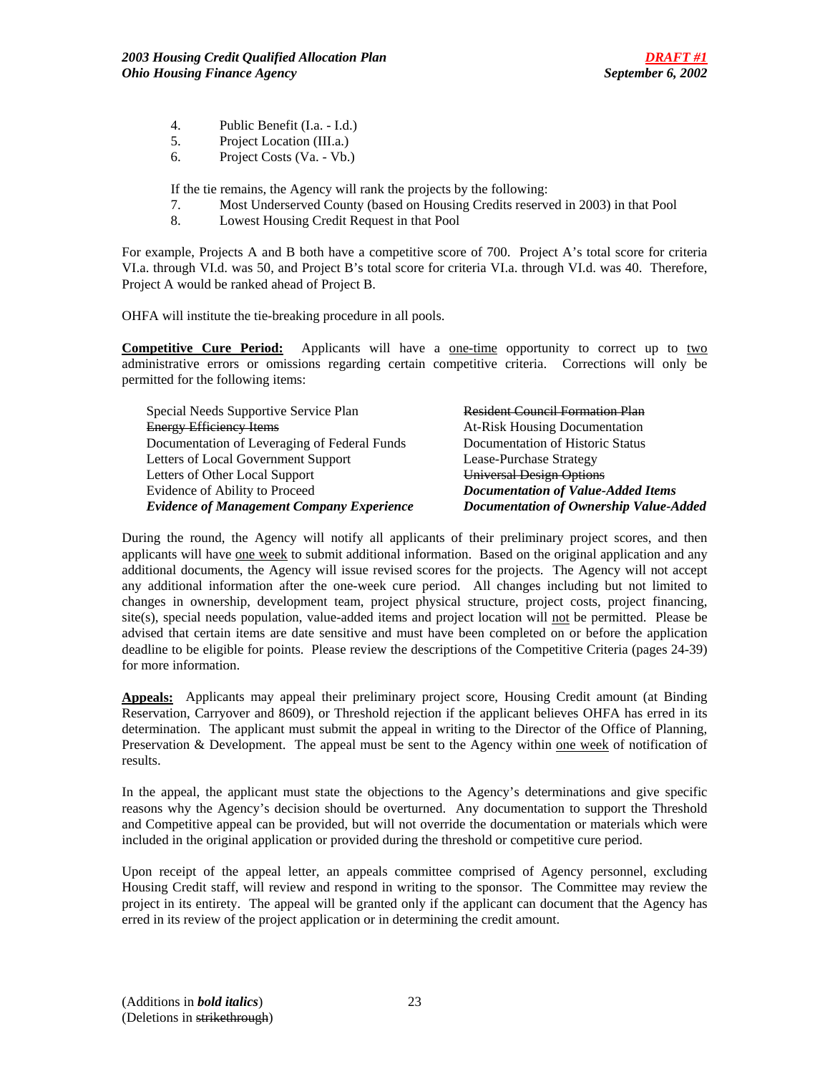- 4. Public Benefit (I.a. I.d.)
- 5. Project Location (III.a.)
- 6. Project Costs (Va. Vb.)

If the tie remains, the Agency will rank the projects by the following:

- 7. Most Underserved County (based on Housing Credits reserved in 2003) in that Pool
- 8. Lowest Housing Credit Request in that Pool

For example, Projects A and B both have a competitive score of 700. Project A's total score for criteria VI.a. through VI.d. was 50, and Project B's total score for criteria VI.a. through VI.d. was 40. Therefore, Project A would be ranked ahead of Project B.

OHFA will institute the tie-breaking procedure in all pools.

**Competitive Cure Period:** Applicants will have a <u>one-time</u> opportunity to correct up to two administrative errors or omissions regarding certain competitive criteria. Corrections will only be permitted for the following items:

| Special Needs Supportive Service Plan            | <b>Resident Council Formation Plan</b>    |
|--------------------------------------------------|-------------------------------------------|
| <b>Energy Efficiency Items</b>                   | <b>At-Risk Housing Documentation</b>      |
| Documentation of Leveraging of Federal Funds     | Documentation of Historic Status          |
| Letters of Local Government Support              | Lease-Purchase Strategy                   |
| Letters of Other Local Support                   | <b>Universal Design Options</b>           |
| Evidence of Ability to Proceed                   | <b>Documentation of Value-Added Items</b> |
| <b>Evidence of Management Company Experience</b> | Documentation of Ownership Value-Added    |

During the round, the Agency will notify all applicants of their preliminary project scores, and then applicants will have one week to submit additional information. Based on the original application and any additional documents, the Agency will issue revised scores for the projects. The Agency will not accept any additional information after the one-week cure period. All changes including but not limited to changes in ownership, development team, project physical structure, project costs, project financing, site(s), special needs population, value-added items and project location will not be permitted. Please be advised that certain items are date sensitive and must have been completed on or before the application deadline to be eligible for points. Please review the descriptions of the Competitive Criteria (pages 24-39) for more information.

**Appeals:** Applicants may appeal their preliminary project score, Housing Credit amount (at Binding Reservation, Carryover and 8609), or Threshold rejection if the applicant believes OHFA has erred in its determination. The applicant must submit the appeal in writing to the Director of the Office of Planning, Preservation & Development. The appeal must be sent to the Agency within one week of notification of results.

In the appeal, the applicant must state the objections to the Agency's determinations and give specific reasons why the Agency's decision should be overturned. Any documentation to support the Threshold and Competitive appeal can be provided, but will not override the documentation or materials which were included in the original application or provided during the threshold or competitive cure period.

Upon receipt of the appeal letter, an appeals committee comprised of Agency personnel, excluding Housing Credit staff, will review and respond in writing to the sponsor. The Committee may review the project in its entirety. The appeal will be granted only if the applicant can document that the Agency has erred in its review of the project application or in determining the credit amount.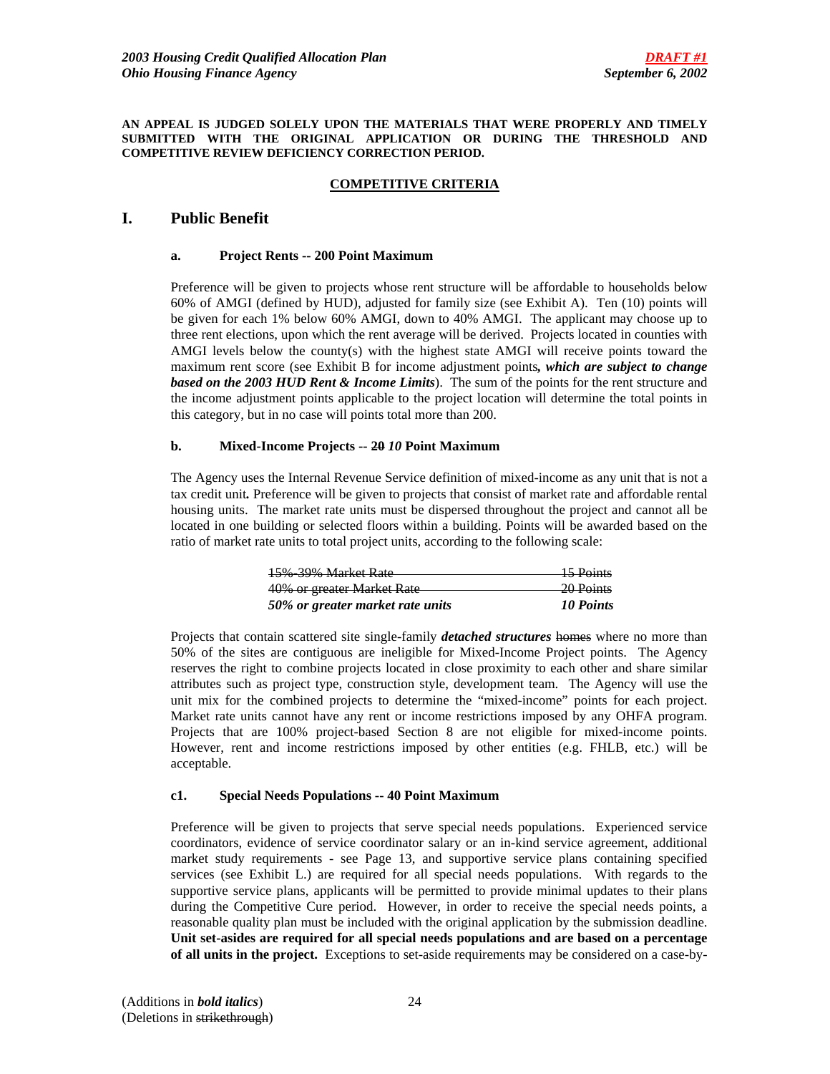#### **AN APPEAL IS JUDGED SOLELY UPON THE MATERIALS THAT WERE PROPERLY AND TIMELY SUBMITTED WITH THE ORIGINAL APPLICATION OR DURING THE THRESHOLD AND COMPETITIVE REVIEW DEFICIENCY CORRECTION PERIOD.**

## **COMPETITIVE CRITERIA**

# **I. Public Benefit**

### **a. Project Rents -- 200 Point Maximum**

Preference will be given to projects whose rent structure will be affordable to households below 60% of AMGI (defined by HUD), adjusted for family size (see Exhibit A). Ten (10) points will be given for each 1% below 60% AMGI, down to 40% AMGI. The applicant may choose up to three rent elections, upon which the rent average will be derived. Projects located in counties with AMGI levels below the county(s) with the highest state AMGI will receive points toward the maximum rent score (see Exhibit B for income adjustment points*, which are subject to change based on the 2003 HUD Rent & Income Limits*). The sum of the points for the rent structure and the income adjustment points applicable to the project location will determine the total points in this category, but in no case will points total more than 200.

### **b. Mixed-Income Projects -- 20** *10* **Point Maximum**

The Agency uses the Internal Revenue Service definition of mixed-income as any unit that is not a tax credit unit*.* Preference will be given to projects that consist of market rate and affordable rental housing units. The market rate units must be dispersed throughout the project and cannot all be located in one building or selected floors within a building. Points will be awarded based on the ratio of market rate units to total project units, according to the following scale:

| 15% 39% Market Rate              | <del>15 Points</del> |
|----------------------------------|----------------------|
| 40% or greater Market Rate       | <del>20 Points</del> |
| 50% or greater market rate units | 10 Points            |

Projects that contain scattered site single-family *detached structures* homes where no more than 50% of the sites are contiguous are ineligible for Mixed-Income Project points. The Agency reserves the right to combine projects located in close proximity to each other and share similar attributes such as project type, construction style, development team. The Agency will use the unit mix for the combined projects to determine the "mixed-income" points for each project. Market rate units cannot have any rent or income restrictions imposed by any OHFA program. Projects that are 100% project-based Section 8 are not eligible for mixed-income points. However, rent and income restrictions imposed by other entities (e.g. FHLB, etc.) will be acceptable.

## **c1. Special Needs Populations -- 40 Point Maximum**

Preference will be given to projects that serve special needs populations. Experienced service coordinators, evidence of service coordinator salary or an in-kind service agreement, additional market study requirements - see Page 13, and supportive service plans containing specified services (see Exhibit L.) are required for all special needs populations. With regards to the supportive service plans, applicants will be permitted to provide minimal updates to their plans during the Competitive Cure period. However, in order to receive the special needs points, a reasonable quality plan must be included with the original application by the submission deadline. **Unit set-asides are required for all special needs populations and are based on a percentage of all units in the project.** Exceptions to set-aside requirements may be considered on a case-by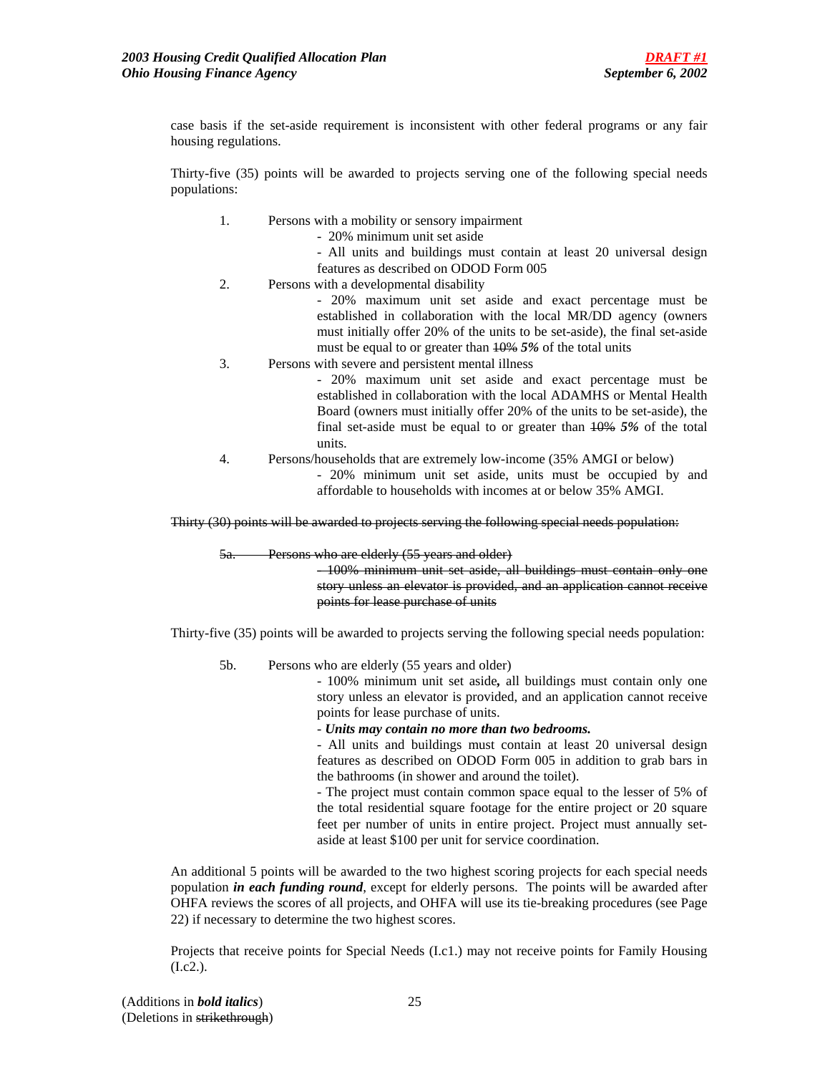case basis if the set-aside requirement is inconsistent with other federal programs or any fair housing regulations.

Thirty-five (35) points will be awarded to projects serving one of the following special needs populations:

- 1. Persons with a mobility or sensory impairment
	- 20% minimum unit set aside
	- All units and buildings must contain at least 20 universal design features as described on ODOD Form 005
- 2. Persons with a developmental disability

- 20% maximum unit set aside and exact percentage must be established in collaboration with the local MR/DD agency (owners must initially offer 20% of the units to be set-aside), the final set-aside must be equal to or greater than 10% *5%* of the total units

3. Persons with severe and persistent mental illness

- 20% maximum unit set aside and exact percentage must be established in collaboration with the local ADAMHS or Mental Health Board (owners must initially offer 20% of the units to be set-aside), the final set-aside must be equal to or greater than 10% *5%* of the total units.

4. Persons/households that are extremely low-income (35% AMGI or below)

- 20% minimum unit set aside, units must be occupied by and affordable to households with incomes at or below 35% AMGI.

Thirty (30) points will be awarded to projects serving the following special needs population:

5a. Persons who are elderly (55 years and older)

- 100% minimum unit set aside, all buildings must contain only one story unless an elevator is provided, and an application cannot receive points for lease purchase of units

Thirty-five (35) points will be awarded to projects serving the following special needs population:

5b. Persons who are elderly (55 years and older)

- 100% minimum unit set aside*,* all buildings must contain only one story unless an elevator is provided, and an application cannot receive points for lease purchase of units.

- *Units may contain no more than two bedrooms.* 

- All units and buildings must contain at least 20 universal design features as described on ODOD Form 005 in addition to grab bars in the bathrooms (in shower and around the toilet).

- The project must contain common space equal to the lesser of 5% of the total residential square footage for the entire project or 20 square feet per number of units in entire project. Project must annually setaside at least \$100 per unit for service coordination.

An additional 5 points will be awarded to the two highest scoring projects for each special needs population *in each funding round*, except for elderly persons. The points will be awarded after OHFA reviews the scores of all projects, and OHFA will use its tie-breaking procedures (see Page 22) if necessary to determine the two highest scores.

Projects that receive points for Special Needs (I.c1.) may not receive points for Family Housing  $(I.c2.)$ .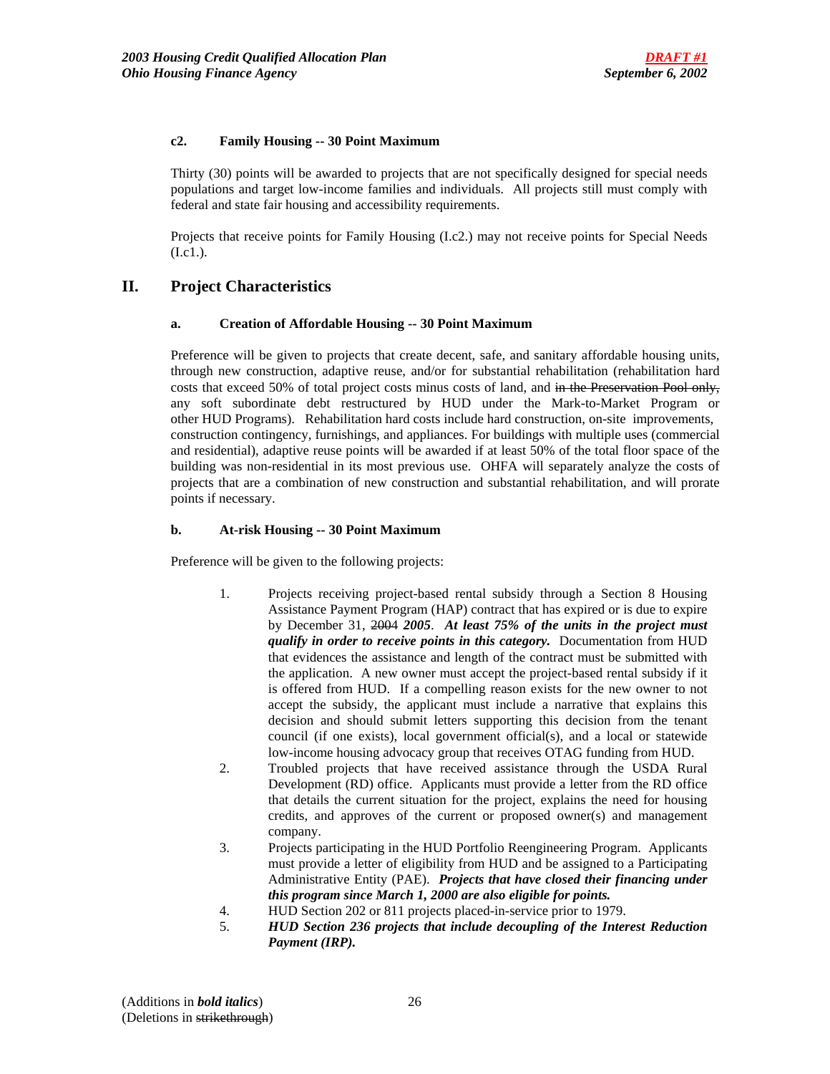## **c2. Family Housing -- 30 Point Maximum**

Thirty (30) points will be awarded to projects that are not specifically designed for special needs populations and target low-income families and individuals. All projects still must comply with federal and state fair housing and accessibility requirements.

Projects that receive points for Family Housing (I.c2.) may not receive points for Special Needs (I.c1.).

# **II. Project Characteristics**

### **a. Creation of Affordable Housing -- 30 Point Maximum**

Preference will be given to projects that create decent, safe, and sanitary affordable housing units, through new construction, adaptive reuse, and/or for substantial rehabilitation (rehabilitation hard costs that exceed 50% of total project costs minus costs of land, and in the Preservation Pool only, any soft subordinate debt restructured by HUD under the Mark-to-Market Program or other HUD Programs). Rehabilitation hard costs include hard construction, on-site improvements, construction contingency, furnishings, and appliances. For buildings with multiple uses (commercial and residential), adaptive reuse points will be awarded if at least 50% of the total floor space of the building was non-residential in its most previous use. OHFA will separately analyze the costs of projects that are a combination of new construction and substantial rehabilitation, and will prorate points if necessary.

### **b. At-risk Housing -- 30 Point Maximum**

Preference will be given to the following projects:

- 1. Projects receiving project-based rental subsidy through a Section 8 Housing Assistance Payment Program (HAP) contract that has expired or is due to expire by December 31, 2004 *2005*. *At least 75% of the units in the project must qualify in order to receive points in this category.* Documentation from HUD that evidences the assistance and length of the contract must be submitted with the application. A new owner must accept the project-based rental subsidy if it is offered from HUD. If a compelling reason exists for the new owner to not accept the subsidy, the applicant must include a narrative that explains this decision and should submit letters supporting this decision from the tenant council (if one exists), local government official(s), and a local or statewide low-income housing advocacy group that receives OTAG funding from HUD.
- 2. Troubled projects that have received assistance through the USDA Rural Development (RD) office. Applicants must provide a letter from the RD office that details the current situation for the project, explains the need for housing credits, and approves of the current or proposed owner(s) and management company.
- 3. Projects participating in the HUD Portfolio Reengineering Program. Applicants must provide a letter of eligibility from HUD and be assigned to a Participating Administrative Entity (PAE). *Projects that have closed their financing under this program since March 1, 2000 are also eligible for points.*
- 4. HUD Section 202 or 811 projects placed-in-service prior to 1979.
- 5. *HUD Section 236 projects that include decoupling of the Interest Reduction Payment (IRP).*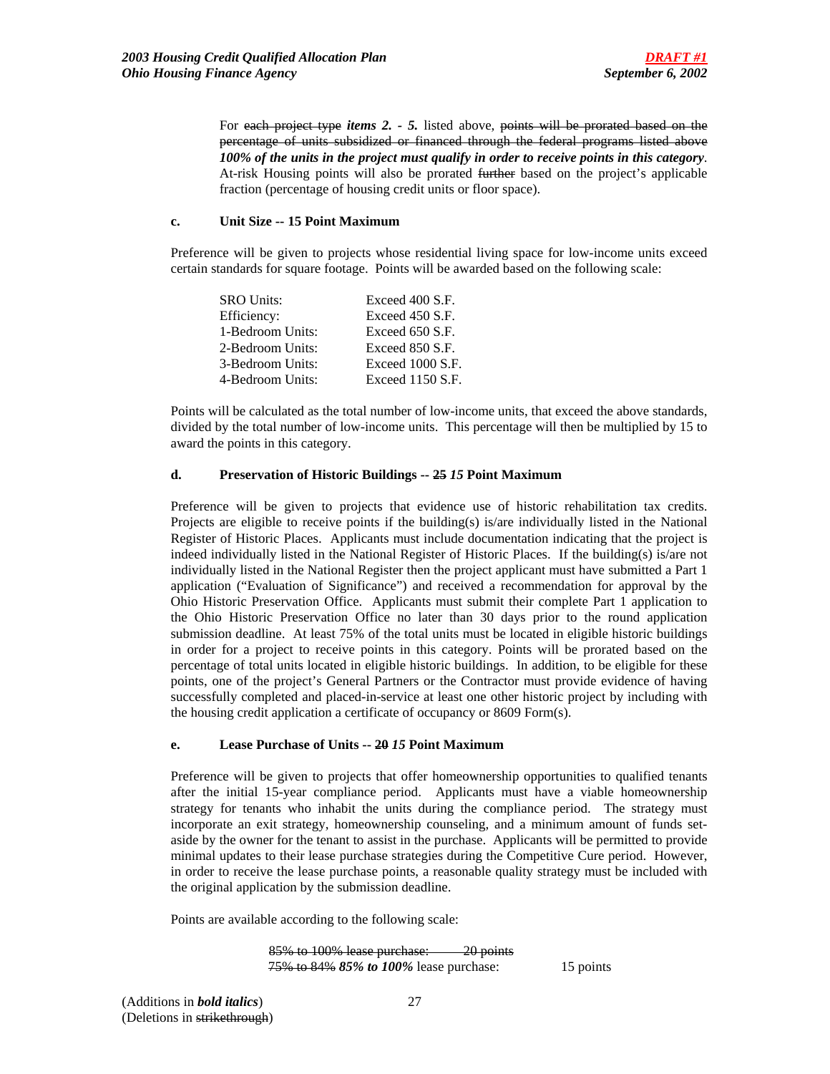For each project type *items 2. - 5.* listed above, points will be prorated based on the percentage of units subsidized or financed through the federal programs listed above *100% of the units in the project must qualify in order to receive points in this category*. At-risk Housing points will also be prorated further based on the project's applicable fraction (percentage of housing credit units or floor space).

### **c. Unit Size -- 15 Point Maximum**

 Preference will be given to projects whose residential living space for low-income units exceed certain standards for square footage. Points will be awarded based on the following scale:

| <b>SRO Units:</b> | Exceed 400 S.F.    |
|-------------------|--------------------|
| Efficiency:       | Exceed 450 S.F.    |
| 1-Bedroom Units:  | Exceed 650 S.F.    |
| 2-Bedroom Units:  | Exceed 850 S.F.    |
| 3-Bedroom Units:  | Exceed 1000 S.F.   |
| 4-Bedroom Units:  | Exceed $1150$ S.F. |

Points will be calculated as the total number of low-income units, that exceed the above standards, divided by the total number of low-income units. This percentage will then be multiplied by 15 to award the points in this category.

### **d. Preservation of Historic Buildings -- 25** *15* **Point Maximum**

Preference will be given to projects that evidence use of historic rehabilitation tax credits. Projects are eligible to receive points if the building(s) is/are individually listed in the National Register of Historic Places. Applicants must include documentation indicating that the project is indeed individually listed in the National Register of Historic Places. If the building(s) is/are not individually listed in the National Register then the project applicant must have submitted a Part 1 application ("Evaluation of Significance") and received a recommendation for approval by the Ohio Historic Preservation Office. Applicants must submit their complete Part 1 application to the Ohio Historic Preservation Office no later than 30 days prior to the round application submission deadline. At least 75% of the total units must be located in eligible historic buildings in order for a project to receive points in this category. Points will be prorated based on the percentage of total units located in eligible historic buildings.In addition, to be eligible for these points, one of the project's General Partners or the Contractor must provide evidence of having successfully completed and placed-in-service at least one other historic project by including with the housing credit application a certificate of occupancy or 8609 Form(s).

### **e. Lease Purchase of Units -- 20** *15* **Point Maximum**

Preference will be given to projects that offer homeownership opportunities to qualified tenants after the initial 15-year compliance period. Applicants must have a viable homeownership strategy for tenants who inhabit the units during the compliance period. The strategy must incorporate an exit strategy, homeownership counseling, and a minimum amount of funds setaside by the owner for the tenant to assist in the purchase. Applicants will be permitted to provide minimal updates to their lease purchase strategies during the Competitive Cure period. However, in order to receive the lease purchase points, a reasonable quality strategy must be included with the original application by the submission deadline.

Points are available according to the following scale:

 85% to 100% lease purchase: 20 points 75% to 84% *85% to 100%* lease purchase: 15 points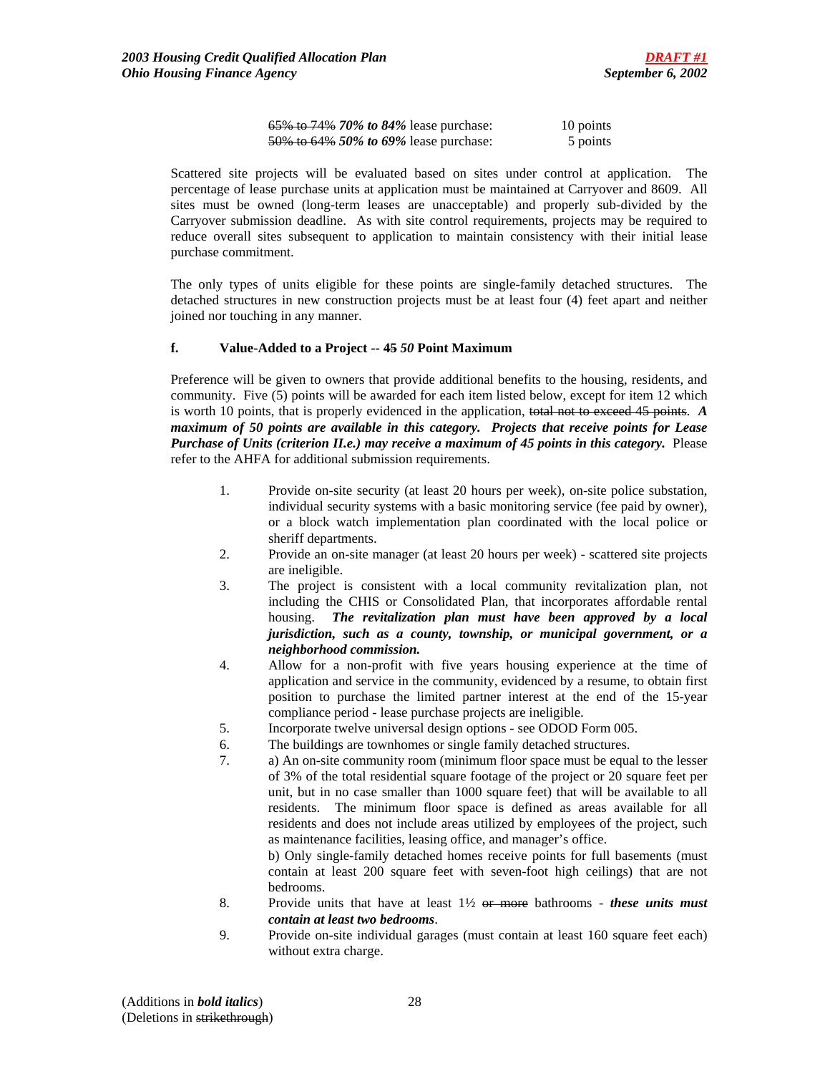| 65% to 74% 70% to 84% lease purchase: | 10 points |
|---------------------------------------|-----------|
| 50% to 64% 50% to 69% lease purchase: | 5 points  |

Scattered site projects will be evaluated based on sites under control at application. The percentage of lease purchase units at application must be maintained at Carryover and 8609. All sites must be owned (long-term leases are unacceptable) and properly sub-divided by the Carryover submission deadline. As with site control requirements, projects may be required to reduce overall sites subsequent to application to maintain consistency with their initial lease purchase commitment.

The only types of units eligible for these points are single-family detached structures. The detached structures in new construction projects must be at least four (4) feet apart and neither joined nor touching in any manner.

### **f. Value-Added to a Project -- 45** *50* **Point Maximum**

Preference will be given to owners that provide additional benefits to the housing, residents, and community. Five (5) points will be awarded for each item listed below, except for item 12 which is worth 10 points, that is properly evidenced in the application, total not to exceed 45 points. *A maximum of 50 points are available in this category. Projects that receive points for Lease Purchase of Units (criterion II.e.) may receive a maximum of 45 points in this category.* Please refer to the AHFA for additional submission requirements.

- 1. Provide on-site security (at least 20 hours per week), on-site police substation, individual security systems with a basic monitoring service (fee paid by owner), or a block watch implementation plan coordinated with the local police or sheriff departments.
- 2. Provide an on-site manager (at least 20 hours per week) scattered site projects are ineligible.
- 3. The project is consistent with a local community revitalization plan, not including the CHIS or Consolidated Plan, that incorporates affordable rental housing. *The revitalization plan must have been approved by a local jurisdiction, such as a county, township, or municipal government, or a neighborhood commission.*
- 4. Allow for a non-profit with five years housing experience at the time of application and service in the community, evidenced by a resume, to obtain first position to purchase the limited partner interest at the end of the 15-year compliance period - lease purchase projects are ineligible.
- 5. Incorporate twelve universal design options see ODOD Form 005.
- 6. The buildings are townhomes or single family detached structures.
- 7. a) An on-site community room (minimum floor space must be equal to the lesser of 3% of the total residential square footage of the project or 20 square feet per unit, but in no case smaller than 1000 square feet) that will be available to all residents. The minimum floor space is defined as areas available for all residents and does not include areas utilized by employees of the project, such as maintenance facilities, leasing office, and manager's office.

b) Only single-family detached homes receive points for full basements (must contain at least 200 square feet with seven-foot high ceilings) that are not bedrooms.

- 8. Provide units that have at least 1½ or more bathrooms *these units must contain at least two bedrooms*.
- 9. Provide on-site individual garages (must contain at least 160 square feet each) without extra charge.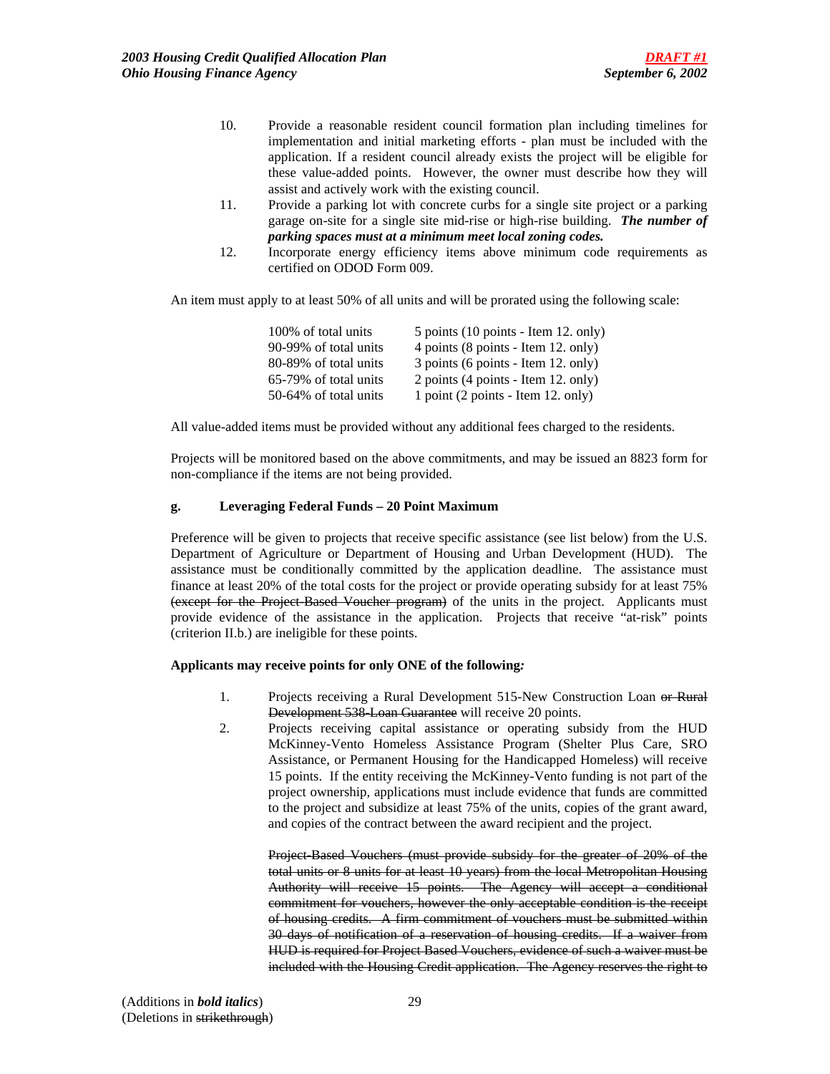- 10. Provide a reasonable resident council formation plan including timelines for implementation and initial marketing efforts - plan must be included with the application. If a resident council already exists the project will be eligible for these value-added points. However, the owner must describe how they will assist and actively work with the existing council.
- 11. Provide a parking lot with concrete curbs for a single site project or a parking garage on-site for a single site mid-rise or high-rise building. *The number of parking spaces must at a minimum meet local zoning codes.*
- 12. Incorporate energy efficiency items above minimum code requirements as certified on ODOD Form 009.

An item must apply to at least 50% of all units and will be prorated using the following scale:

| 100% of total units   | 5 points $(10 \text{ points} - \text{Item } 12)$ . only) |
|-----------------------|----------------------------------------------------------|
| 90-99% of total units | 4 points (8 points - Item 12. only)                      |
| 80-89% of total units | 3 points (6 points - Item 12. only)                      |
| 65-79% of total units | 2 points (4 points - Item 12. only)                      |
| 50-64% of total units | 1 point (2 points - Item 12. only)                       |

All value-added items must be provided without any additional fees charged to the residents.

Projects will be monitored based on the above commitments, and may be issued an 8823 form for non-compliance if the items are not being provided.

### **g. Leveraging Federal Funds – 20 Point Maximum**

Preference will be given to projects that receive specific assistance (see list below) from the U.S. Department of Agriculture or Department of Housing and Urban Development (HUD). The assistance must be conditionally committed by the application deadline. The assistance must finance at least 20% of the total costs for the project or provide operating subsidy for at least 75% (except for the Project-Based Voucher program) of the units in the project. Applicants must provide evidence of the assistance in the application. Projects that receive "at-risk" points (criterion II.b.) are ineligible for these points.

## **Applicants may receive points for only ONE of the following***:*

- 1. Projects receiving a Rural Development 515-New Construction Loan or Rural Development 538-Loan Guarantee will receive 20 points.
- 2. Projects receiving capital assistance or operating subsidy from the HUD McKinney-Vento Homeless Assistance Program (Shelter Plus Care, SRO Assistance, or Permanent Housing for the Handicapped Homeless) will receive 15 points. If the entity receiving the McKinney-Vento funding is not part of the project ownership, applications must include evidence that funds are committed to the project and subsidize at least 75% of the units, copies of the grant award, and copies of the contract between the award recipient and the project.

Project-Based Vouchers (must provide subsidy for the greater of 20% of the total units or 8 units for at least 10 years) from the local Metropolitan Housing Authority will receive 15 points. The Agency will accept a conditional commitment for vouchers, however the only acceptable condition is the receipt of housing credits. A firm commitment of vouchers must be submitted within 30 days of notification of a reservation of housing credits. If a waiver from HUD is required for Project Based Vouchers, evidence of such a waiver must be included with the Housing Credit application. The Agency reserves the right to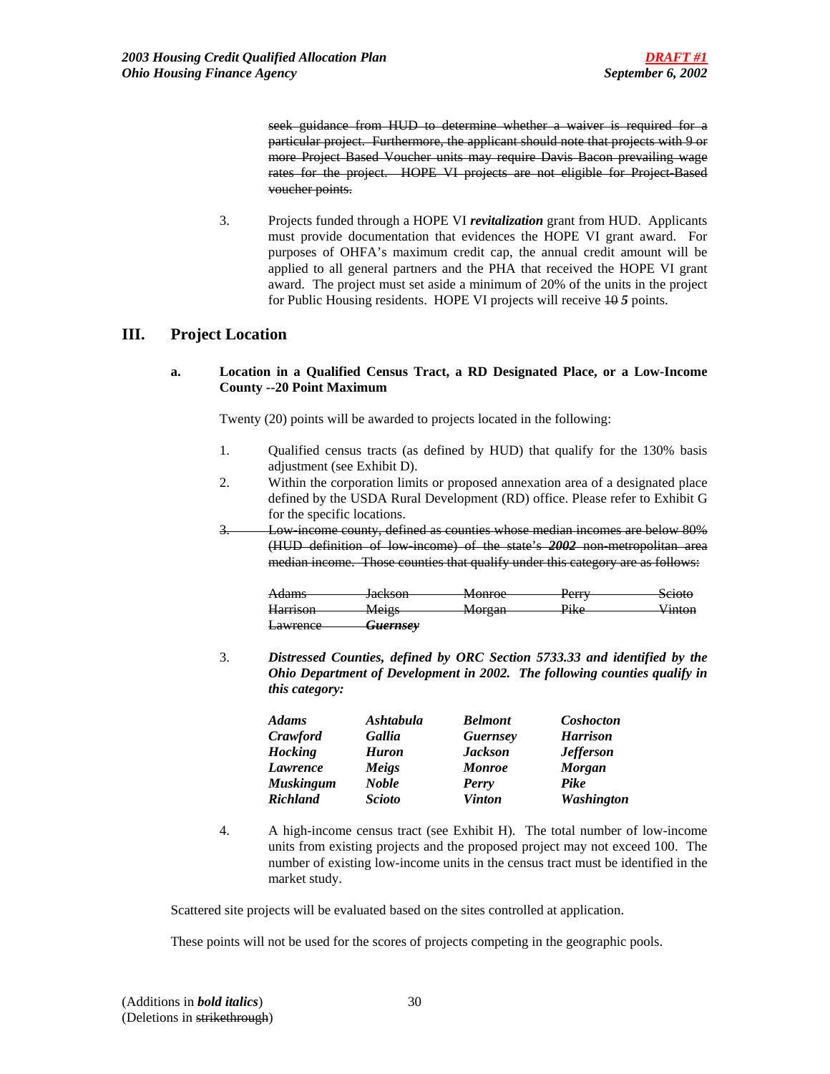seek guidance from HUD to determine whether a waiver is required for a particular project. Furthermore, the applicant should note that projects with 9 or more Project Based Voucher units may require Davis Bacon prevailing wage rates for the project. HOPE VI projects are not eligible for Project Based voucher points.

 3. Projects funded through a HOPE VI *revitalization* grant from HUD. Applicants must provide documentation that evidences the HOPE VI grant award. For purposes of OHFA's maximum credit cap, the annual credit amount will be applied to all general partners and the PHA that received the HOPE VI grant award. The project must set aside a minimum of 20% of the units in the project for Public Housing residents. HOPE VI projects will receive 10 *5* points.

# **III. Project Location**

**a. Location in a Qualified Census Tract, a RD Designated Place, or a Low-Income County --20 Point Maximum** 

Twenty (20) points will be awarded to projects located in the following:

- 1. Qualified census tracts (as defined by HUD) that qualify for the 130% basis adjustment (see Exhibit D).
- 2. Within the corporation limits or proposed annexation area of a designated place defined by the USDA Rural Development (RD) office. Please refer to Exhibit G for the specific locations.
- 3. Low-income county, defined as counties whose median incomes are below 80% (HUD definition of low-income) of the state's *2002* non-metropolitan area median income. Those counties that qualify under this category are as follows:

| A dame<br>7 <del>1uanns</del>                 | Iackson<br><del>Jackson</del> | Monroe                      | $D_{\alpha r r r}$                     | $S_{\text{cioto}}$<br><del>ociow</del> |
|-----------------------------------------------|-------------------------------|-----------------------------|----------------------------------------|----------------------------------------|
|                                               |                               | www                         | $_{\rm{TUT}}$                          |                                        |
| <b>Harrison</b>                               | Maige<br>1110150              | Morgan<br><del>worgan</del> | $\mathbf{DiZ}_{\alpha}$<br><b>TINU</b> | $V_{\rm inton}$<br>, шилп              |
|                                               |                               |                             |                                        |                                        |
| l <sub>outiranoo</sub><br><del>Lawrence</del> | <del>Guernsey</del>           |                             |                                        |                                        |

3. *Distressed Counties, defined by ORC Section 5733.33 and identified by the Ohio Department of Development in 2002. The following counties qualify in this category:*

| <b>Adams</b>     | <b>Ashtabula</b> | <b>Belmont</b>  | Coshocton         |
|------------------|------------------|-----------------|-------------------|
| Crawford         | Gallia           | <b>Guernsey</b> | <b>Harrison</b>   |
| <b>Hocking</b>   | <b>Huron</b>     | <b>Jackson</b>  | <b>Jefferson</b>  |
| Lawrence         | Meigs            | <b>Monroe</b>   | <b>Morgan</b>     |
| <b>Muskingum</b> | <b>Noble</b>     | Perry           | Pike              |
| <b>Richland</b>  | <b>Scioto</b>    | <b>Vinton</b>   | <b>Washington</b> |

4. A high-income census tract (see Exhibit H). The total number of low-income units from existing projects and the proposed project may not exceed 100. The number of existing low-income units in the census tract must be identified in the market study.

Scattered site projects will be evaluated based on the sites controlled at application.

These points will not be used for the scores of projects competing in the geographic pools.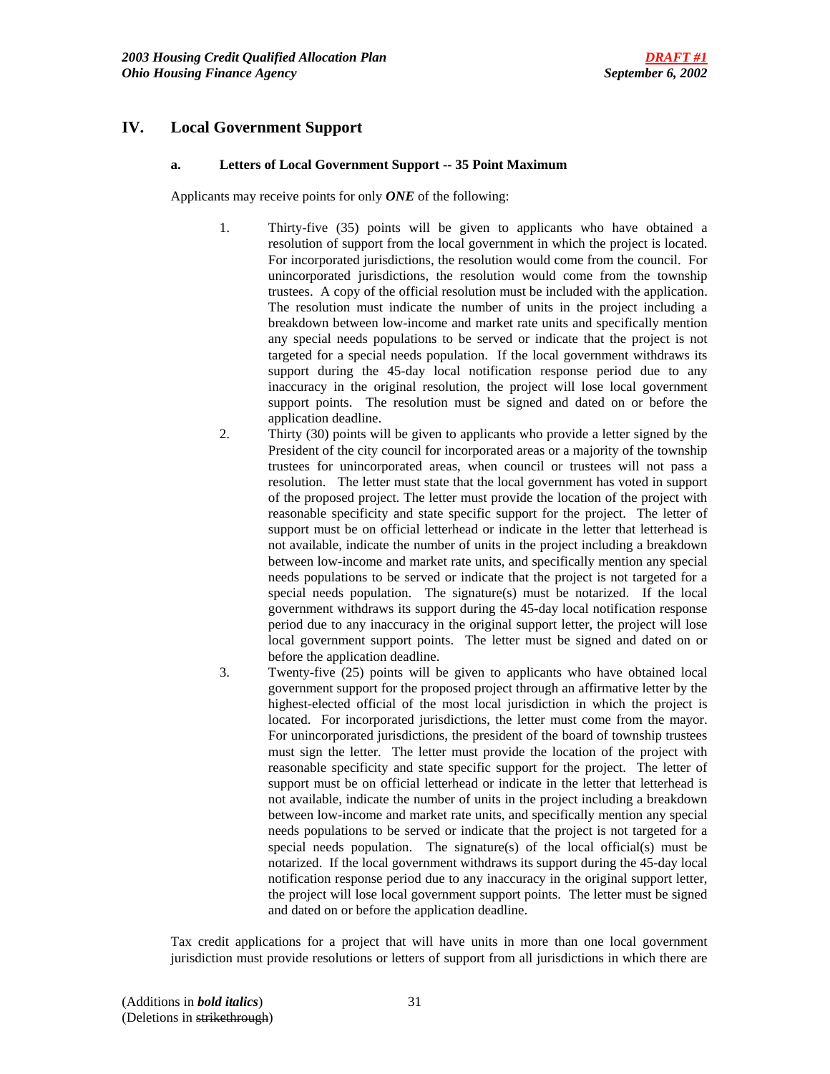# **IV. Local Government Support**

### **a. Letters of Local Government Support -- 35 Point Maximum**

Applicants may receive points for only *ONE* of the following:

- 1. Thirty-five (35) points will be given to applicants who have obtained a resolution of support from the local government in which the project is located. For incorporated jurisdictions, the resolution would come from the council. For unincorporated jurisdictions, the resolution would come from the township trustees. A copy of the official resolution must be included with the application. The resolution must indicate the number of units in the project including a breakdown between low-income and market rate units and specifically mention any special needs populations to be served or indicate that the project is not targeted for a special needs population. If the local government withdraws its support during the 45-day local notification response period due to any inaccuracy in the original resolution, the project will lose local government support points. The resolution must be signed and dated on or before the application deadline.
- 2. Thirty (30) points will be given to applicants who provide a letter signed by the President of the city council for incorporated areas or a majority of the township trustees for unincorporated areas, when council or trustees will not pass a resolution. The letter must state that the local government has voted in support of the proposed project. The letter must provide the location of the project with reasonable specificity and state specific support for the project. The letter of support must be on official letterhead or indicate in the letter that letterhead is not available, indicate the number of units in the project including a breakdown between low-income and market rate units, and specifically mention any special needs populations to be served or indicate that the project is not targeted for a special needs population. The signature(s) must be notarized. If the local government withdraws its support during the 45-day local notification response period due to any inaccuracy in the original support letter, the project will lose local government support points. The letter must be signed and dated on or before the application deadline.
- 3. Twenty-five (25) points will be given to applicants who have obtained local government support for the proposed project through an affirmative letter by the highest-elected official of the most local jurisdiction in which the project is located. For incorporated jurisdictions, the letter must come from the mayor. For unincorporated jurisdictions, the president of the board of township trustees must sign the letter. The letter must provide the location of the project with reasonable specificity and state specific support for the project. The letter of support must be on official letterhead or indicate in the letter that letterhead is not available, indicate the number of units in the project including a breakdown between low-income and market rate units, and specifically mention any special needs populations to be served or indicate that the project is not targeted for a special needs population. The signature(s) of the local official(s) must be notarized. If the local government withdraws its support during the 45-day local notification response period due to any inaccuracy in the original support letter, the project will lose local government support points. The letter must be signed and dated on or before the application deadline.

Tax credit applications for a project that will have units in more than one local government jurisdiction must provide resolutions or letters of support from all jurisdictions in which there are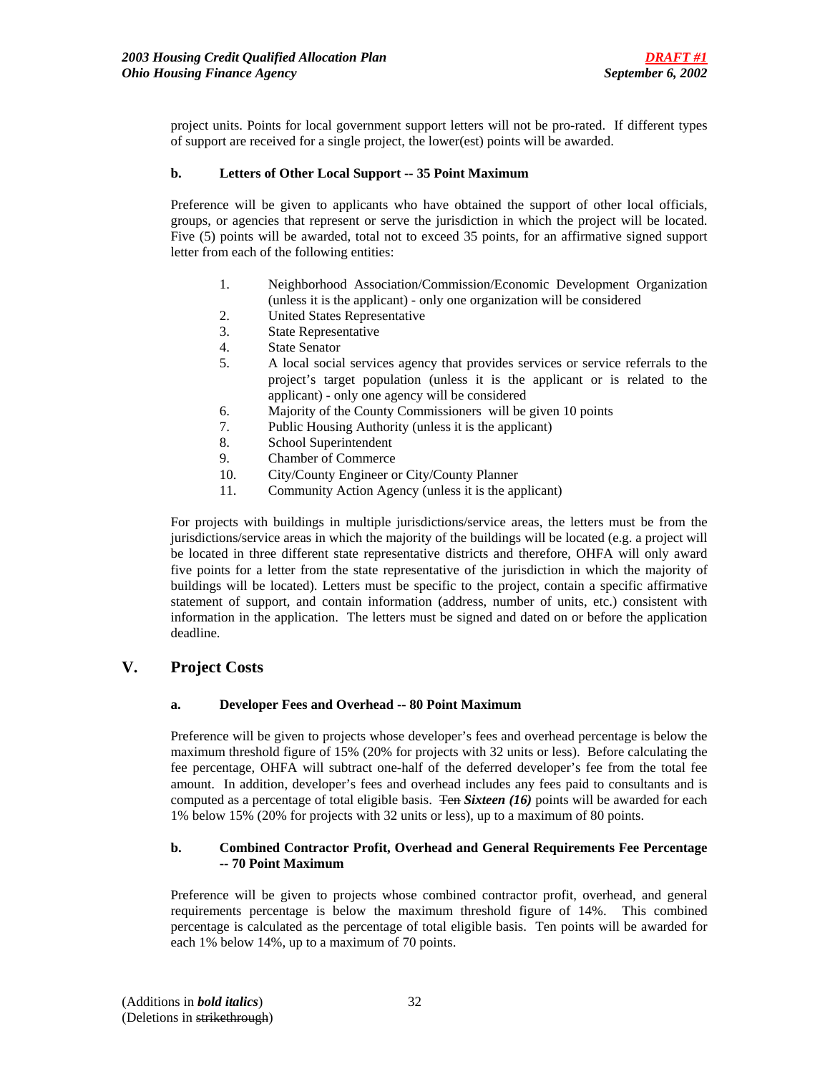project units. Points for local government support letters will not be pro-rated. If different types of support are received for a single project, the lower(est) points will be awarded.

## **b. Letters of Other Local Support -- 35 Point Maximum**

Preference will be given to applicants who have obtained the support of other local officials, groups, or agencies that represent or serve the jurisdiction in which the project will be located. Five (5) points will be awarded, total not to exceed 35 points, for an affirmative signed support letter from each of the following entities:

- 1. Neighborhood Association/Commission/Economic Development Organization (unless it is the applicant) - only one organization will be considered
- 2. United States Representative
- 3. State Representative
- 4. State Senator
- 5. A local social services agency that provides services or service referrals to the project's target population (unless it is the applicant or is related to the applicant) - only one agency will be considered
- 6. Majority of the County Commissioners will be given 10 points
- 7. Public Housing Authority (unless it is the applicant)
- 8. School Superintendent
- 9. Chamber of Commerce
- 10. City/County Engineer or City/County Planner
- 11. Community Action Agency (unless it is the applicant)

For projects with buildings in multiple jurisdictions/service areas, the letters must be from the jurisdictions/service areas in which the majority of the buildings will be located (e.g. a project will be located in three different state representative districts and therefore, OHFA will only award five points for a letter from the state representative of the jurisdiction in which the majority of buildings will be located). Letters must be specific to the project, contain a specific affirmative statement of support, and contain information (address, number of units, etc.) consistent with information in the application. The letters must be signed and dated on or before the application deadline.

# **V. Project Costs**

## **a. Developer Fees and Overhead -- 80 Point Maximum**

Preference will be given to projects whose developer's fees and overhead percentage is below the maximum threshold figure of 15% (20% for projects with 32 units or less). Before calculating the fee percentage, OHFA will subtract one-half of the deferred developer's fee from the total fee amount. In addition, developer's fees and overhead includes any fees paid to consultants and is computed as a percentage of total eligible basis. Ten *Sixteen (16)* points will be awarded for each 1% below 15% (20% for projects with 32 units or less), up to a maximum of 80 points.

## **b. Combined Contractor Profit, Overhead and General Requirements Fee Percentage -- 70 Point Maximum**

Preference will be given to projects whose combined contractor profit, overhead, and general requirements percentage is below the maximum threshold figure of 14%. This combined percentage is calculated as the percentage of total eligible basis. Ten points will be awarded for each 1% below 14%, up to a maximum of 70 points.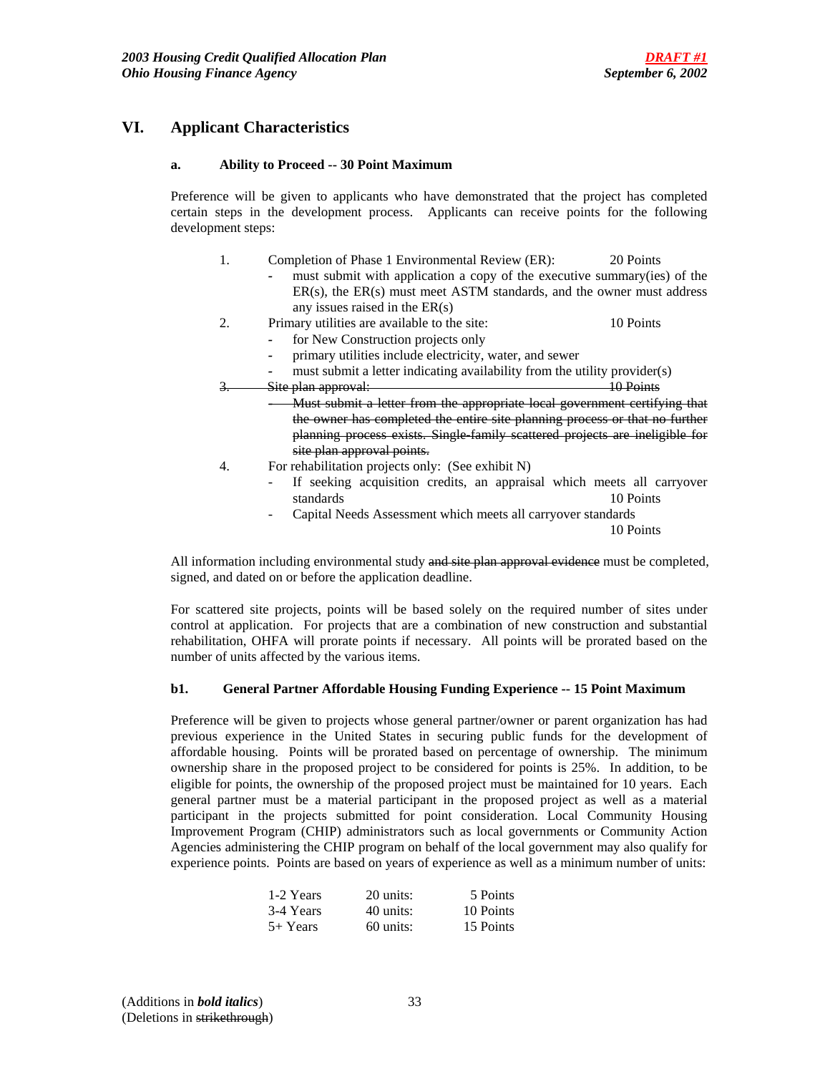# **VI. Applicant Characteristics**

### **a. Ability to Proceed -- 30 Point Maximum**

 Preference will be given to applicants who have demonstrated that the project has completed certain steps in the development process. Applicants can receive points for the following development steps:

- 1. Completion of Phase 1 Environmental Review (ER): 20 Points
	- must submit with application a copy of the executive summary(ies) of the ER(s), the ER(s) must meet ASTM standards, and the owner must address any issues raised in the ER(s)
- 2. Primary utilities are available to the site: 10 Points
	- *-* for New Construction projects only
	- *-* primary utilities include electricity, water, and sewer
	- *-* must submit a letter indicating availability from the utility provider(s)
- 3. Site plan approval: 10 Points *-* Must submit a letter from the appropriate local government certifying that the owner has completed the entire site planning process or that no further planning process exists. Single-family scattered projects are ineligible for site plan approval points.
- 4. For rehabilitation projects only: (See exhibit N)
	- If seeking acquisition credits, an appraisal which meets all carryover standards 10 Points
	- Capital Needs Assessment which meets all carryover standards

10 Points

All information including environmental study and site plan approval evidence must be completed, signed, and dated on or before the application deadline.

For scattered site projects, points will be based solely on the required number of sites under control at application. For projects that are a combination of new construction and substantial rehabilitation, OHFA will prorate points if necessary. All points will be prorated based on the number of units affected by the various items.

### **b1. General Partner Affordable Housing Funding Experience -- 15 Point Maximum**

 Preference will be given to projects whose general partner/owner or parent organization has had previous experience in the United States in securing public funds for the development of affordable housing. Points will be prorated based on percentage of ownership. The minimum ownership share in the proposed project to be considered for points is 25%. In addition, to be eligible for points, the ownership of the proposed project must be maintained for 10 years. Each general partner must be a material participant in the proposed project as well as a material participant in the projects submitted for point consideration. Local Community Housing Improvement Program (CHIP) administrators such as local governments or Community Action Agencies administering the CHIP program on behalf of the local government may also qualify for experience points. Points are based on years of experience as well as a minimum number of units:

| 1-2 Years  | 20 units:   | 5 Points  |
|------------|-------------|-----------|
| 3-4 Years  | 40 units:   | 10 Points |
| $5+$ Years | $60$ units: | 15 Points |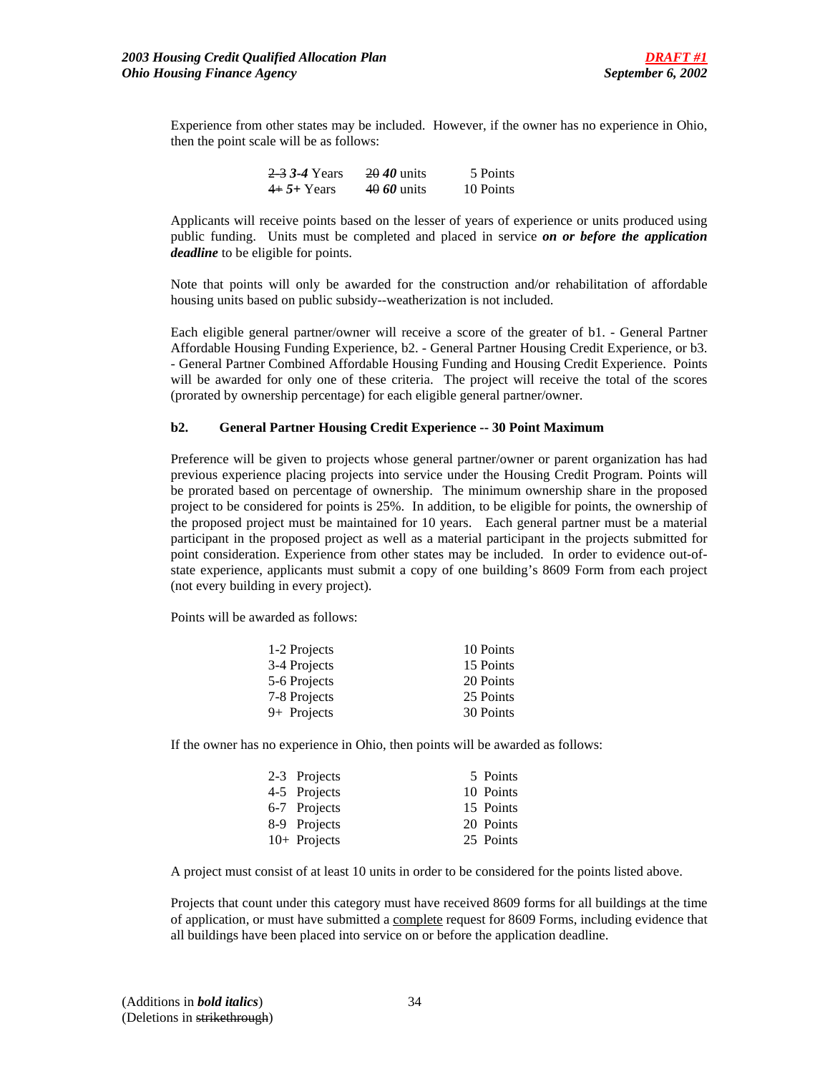Experience from other states may be included. However, if the owner has no experience in Ohio, then the point scale will be as follows:

| 2 3 3 4 Years | 20 <i>40</i> units | 5 Points  |
|---------------|--------------------|-----------|
| $4+5+$ Years  | 40 60 units        | 10 Points |

Applicants will receive points based on the lesser of years of experience or units produced using public funding. Units must be completed and placed in service *on or before the application deadline* to be eligible for points.

Note that points will only be awarded for the construction and/or rehabilitation of affordable housing units based on public subsidy--weatherization is not included.

Each eligible general partner/owner will receive a score of the greater of b1. - General Partner Affordable Housing Funding Experience, b2. - General Partner Housing Credit Experience, or b3. - General Partner Combined Affordable Housing Funding and Housing Credit Experience. Points will be awarded for only one of these criteria. The project will receive the total of the scores (prorated by ownership percentage) for each eligible general partner/owner.

### **b2. General Partner Housing Credit Experience -- 30 Point Maximum**

Preference will be given to projects whose general partner/owner or parent organization has had previous experience placing projects into service under the Housing Credit Program. Points will be prorated based on percentage of ownership. The minimum ownership share in the proposed project to be considered for points is 25%. In addition, to be eligible for points, the ownership of the proposed project must be maintained for 10 years. Each general partner must be a material participant in the proposed project as well as a material participant in the projects submitted for point consideration. Experience from other states may be included. In order to evidence out-ofstate experience, applicants must submit a copy of one building's 8609 Form from each project (not every building in every project).

Points will be awarded as follows:

| 1-2 Projects  | 10 Points |
|---------------|-----------|
| 3-4 Projects  | 15 Points |
| 5-6 Projects  | 20 Points |
| 7-8 Projects  | 25 Points |
| $9+$ Projects | 30 Points |

If the owner has no experience in Ohio, then points will be awarded as follows:

| 2-3 Projects   | 5 Points  |
|----------------|-----------|
| 4-5 Projects   | 10 Points |
| 6-7 Projects   | 15 Points |
| 8-9 Projects   | 20 Points |
| $10+$ Projects | 25 Points |

A project must consist of at least 10 units in order to be considered for the points listed above.

Projects that count under this category must have received 8609 forms for all buildings at the time of application, or must have submitted a complete request for 8609 Forms, including evidence that all buildings have been placed into service on or before the application deadline.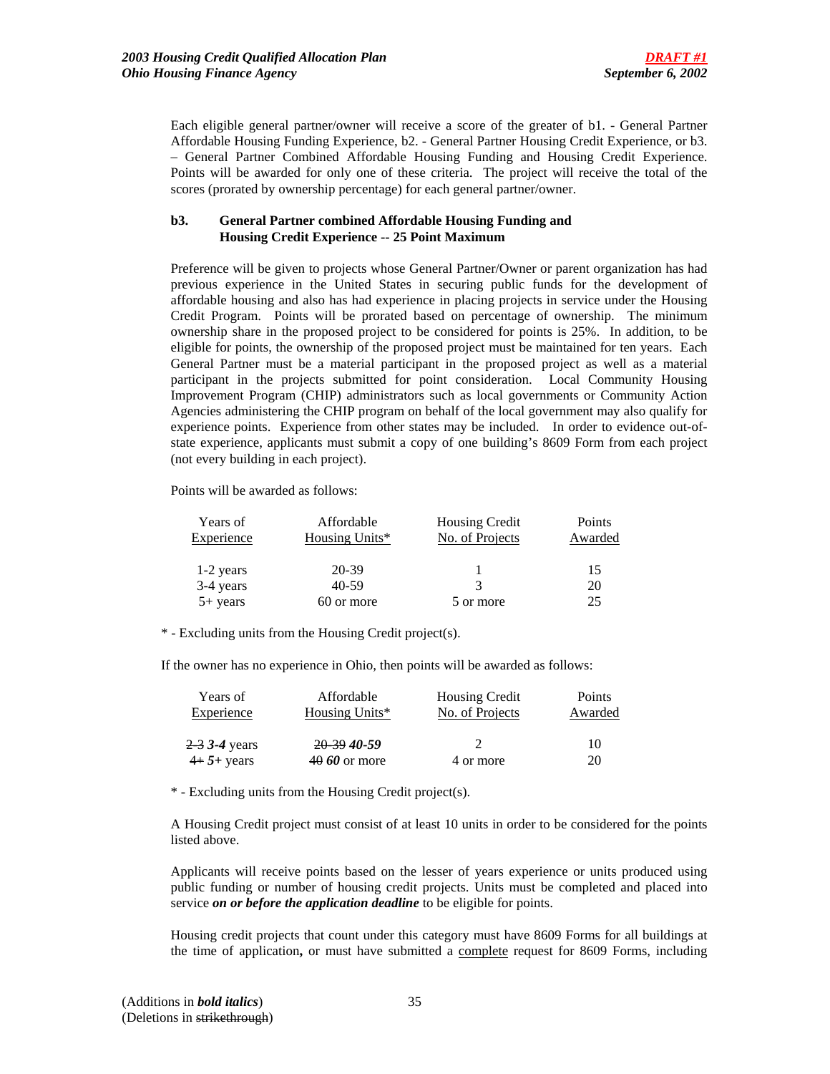Each eligible general partner/owner will receive a score of the greater of b1. - General Partner Affordable Housing Funding Experience, b2. - General Partner Housing Credit Experience, or b3. – General Partner Combined Affordable Housing Funding and Housing Credit Experience. Points will be awarded for only one of these criteria. The project will receive the total of the scores (prorated by ownership percentage) for each general partner/owner.

## **b3. General Partner combined Affordable Housing Funding and Housing Credit Experience -- 25 Point Maximum**

Preference will be given to projects whose General Partner/Owner or parent organization has had previous experience in the United States in securing public funds for the development of affordable housing and also has had experience in placing projects in service under the Housing Credit Program. Points will be prorated based on percentage of ownership. The minimum ownership share in the proposed project to be considered for points is 25%. In addition, to be eligible for points, the ownership of the proposed project must be maintained for ten years. Each General Partner must be a material participant in the proposed project as well as a material participant in the projects submitted for point consideration. Local Community Housing Improvement Program (CHIP) administrators such as local governments or Community Action Agencies administering the CHIP program on behalf of the local government may also qualify for experience points. Experience from other states may be included. In order to evidence out-ofstate experience, applicants must submit a copy of one building's 8609 Form from each project (not every building in each project).

Points will be awarded as follows:

| Years of   | Affordable     | <b>Housing Credit</b> | Points  |
|------------|----------------|-----------------------|---------|
| Experience | Housing Units* | No. of Projects       | Awarded |
| 1-2 years  | 20-39          |                       | 15      |
| 3-4 years  | 40-59          | 3                     | 20      |
| $5+$ years | 60 or more     | 5 or more             | 25      |

\* - Excluding units from the Housing Credit project(s).

If the owner has no experience in Ohio, then points will be awarded as follows:

| Affordable     | <b>Housing Credit</b> | Points  |
|----------------|-----------------------|---------|
| Housing Units* | No. of Projects       | Awarded |
|                |                       |         |
| 20.39.40-59    |                       | 10      |
| $4060$ or more | 4 or more             | 20      |
|                |                       |         |

\* - Excluding units from the Housing Credit project(s).

A Housing Credit project must consist of at least 10 units in order to be considered for the points listed above.

Applicants will receive points based on the lesser of years experience or units produced using public funding or number of housing credit projects. Units must be completed and placed into service *on or before the application deadline* to be eligible for points.

Housing credit projects that count under this category must have 8609 Forms for all buildings at the time of application**,** or must have submitted a complete request for 8609 Forms, including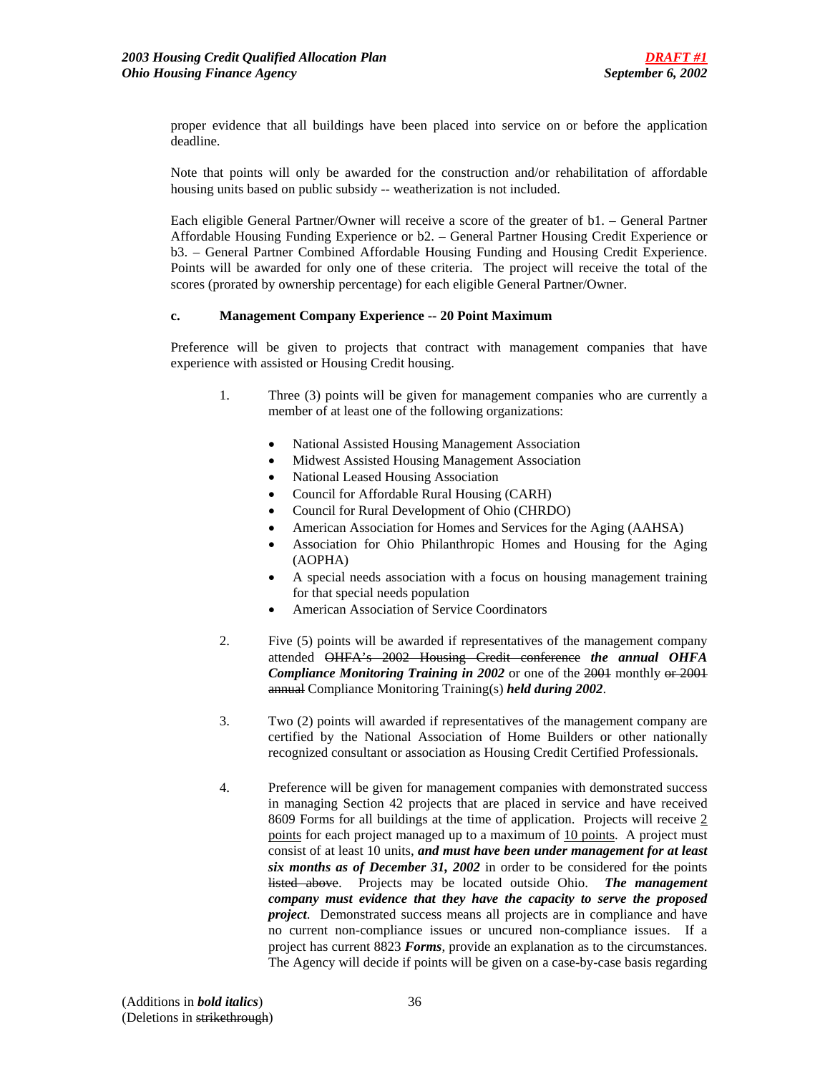proper evidence that all buildings have been placed into service on or before the application deadline.

Note that points will only be awarded for the construction and/or rehabilitation of affordable housing units based on public subsidy -- weatherization is not included.

Each eligible General Partner/Owner will receive a score of the greater of b1. – General Partner Affordable Housing Funding Experience or b2. – General Partner Housing Credit Experience or b3. – General Partner Combined Affordable Housing Funding and Housing Credit Experience. Points will be awarded for only one of these criteria. The project will receive the total of the scores (prorated by ownership percentage) for each eligible General Partner/Owner.

### **c. Management Company Experience -- 20 Point Maximum**

 Preference will be given to projects that contract with management companies that have experience with assisted or Housing Credit housing.

- 1. Three (3) points will be given for management companies who are currently a member of at least one of the following organizations:
	- National Assisted Housing Management Association
	- Midwest Assisted Housing Management Association
	- National Leased Housing Association
	- Council for Affordable Rural Housing (CARH)
	- Council for Rural Development of Ohio (CHRDO)
	- American Association for Homes and Services for the Aging (AAHSA)
	- Association for Ohio Philanthropic Homes and Housing for the Aging (AOPHA)
	- A special needs association with a focus on housing management training for that special needs population
	- American Association of Service Coordinators
- 2. Five (5) points will be awarded if representatives of the management company attended OHFA's 2002 Housing Credit conference *the annual OHFA*  **Compliance Monitoring Training in 2002** or one of the 2001 monthly or 2001 annual Compliance Monitoring Training(s) *held during 2002*.
- 3. Two (2) points will awarded if representatives of the management company are certified by the National Association of Home Builders or other nationally recognized consultant or association as Housing Credit Certified Professionals.
- 4. Preference will be given for management companies with demonstrated success in managing Section 42 projects that are placed in service and have received 8609 Forms for all buildings at the time of application. Projects will receive 2 points for each project managed up to a maximum of 10 points. A project must consist of at least 10 units, *and must have been under management for at least six months as of December 31, 2002* in order to be considered for the points listed above. Projects may be located outside Ohio. *The management company must evidence that they have the capacity to serve the proposed project*. Demonstrated success means all projects are in compliance and have no current non-compliance issues or uncured non-compliance issues. If a project has current 8823 *Forms*, provide an explanation as to the circumstances. The Agency will decide if points will be given on a case-by-case basis regarding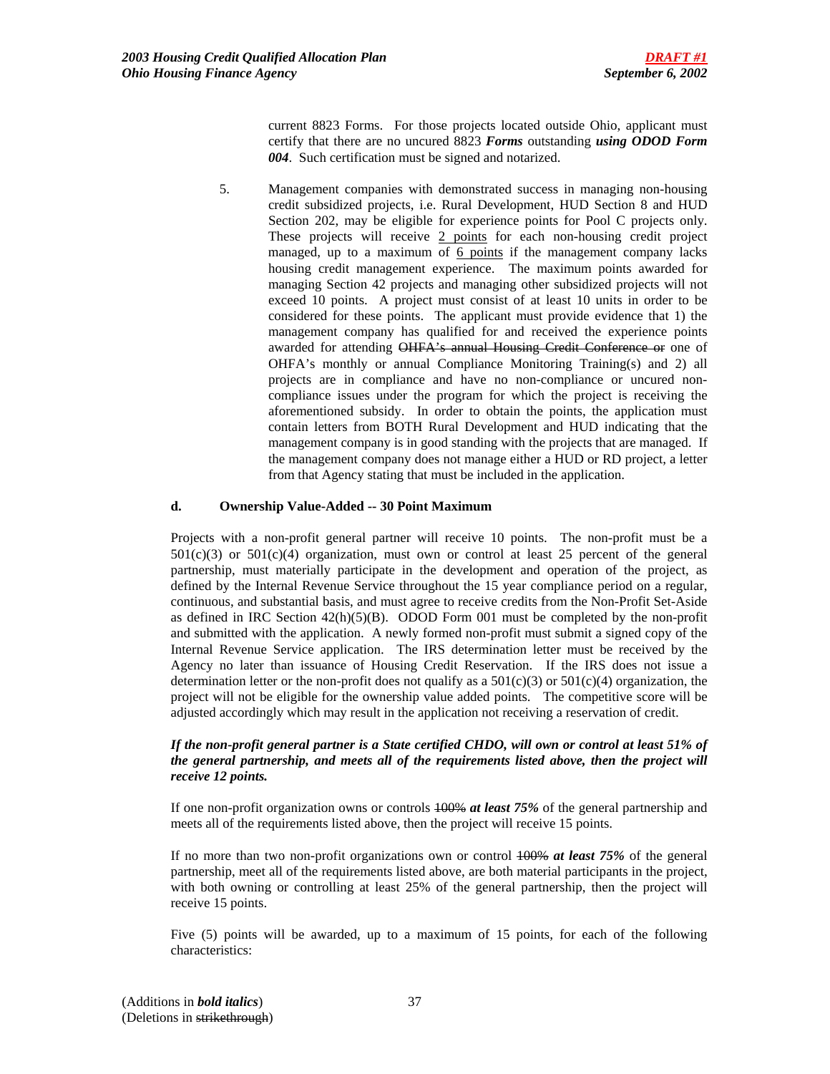current 8823 Forms. For those projects located outside Ohio, applicant must certify that there are no uncured 8823 *Forms* outstanding *using ODOD Form 004*. Such certification must be signed and notarized.

5. Management companies with demonstrated success in managing non-housing credit subsidized projects, i.e. Rural Development, HUD Section 8 and HUD Section 202, may be eligible for experience points for Pool C projects only. These projects will receive 2 points for each non-housing credit project managed, up to a maximum of 6 points if the management company lacks housing credit management experience. The maximum points awarded for managing Section 42 projects and managing other subsidized projects will not exceed 10 points. A project must consist of at least 10 units in order to be considered for these points. The applicant must provide evidence that 1) the management company has qualified for and received the experience points awarded for attending OHFA's annual Housing Credit Conference or one of OHFA's monthly or annual Compliance Monitoring Training(s) and 2) all projects are in compliance and have no non-compliance or uncured noncompliance issues under the program for which the project is receiving the aforementioned subsidy. In order to obtain the points, the application must contain letters from BOTH Rural Development and HUD indicating that the management company is in good standing with the projects that are managed. If the management company does not manage either a HUD or RD project, a letter from that Agency stating that must be included in the application.

#### **d. Ownership Value-Added -- 30 Point Maximum**

Projects with a non-profit general partner will receive 10 points. The non-profit must be a  $501(c)(3)$  or  $501(c)(4)$  organization, must own or control at least 25 percent of the general partnership, must materially participate in the development and operation of the project, as defined by the Internal Revenue Service throughout the 15 year compliance period on a regular, continuous, and substantial basis, and must agree to receive credits from the Non-Profit Set-Aside as defined in IRC Section  $42(h)(5)(B)$ . ODOD Form 001 must be completed by the non-profit and submitted with the application. A newly formed non-profit must submit a signed copy of the Internal Revenue Service application. The IRS determination letter must be received by the Agency no later than issuance of Housing Credit Reservation. If the IRS does not issue a determination letter or the non-profit does not qualify as a  $501(c)(3)$  or  $501(c)(4)$  organization, the project will not be eligible for the ownership value added points. The competitive score will be adjusted accordingly which may result in the application not receiving a reservation of credit.

### *If the non-profit general partner is a State certified CHDO, will own or control at least 51% of the general partnership, and meets all of the requirements listed above, then the project will receive 12 points.*

If one non-profit organization owns or controls 100% *at least 75%* of the general partnership and meets all of the requirements listed above, then the project will receive 15 points.

If no more than two non-profit organizations own or control 100% *at least 75%* of the general partnership, meet all of the requirements listed above, are both material participants in the project, with both owning or controlling at least 25% of the general partnership, then the project will receive 15 points.

Five (5) points will be awarded, up to a maximum of 15 points, for each of the following characteristics: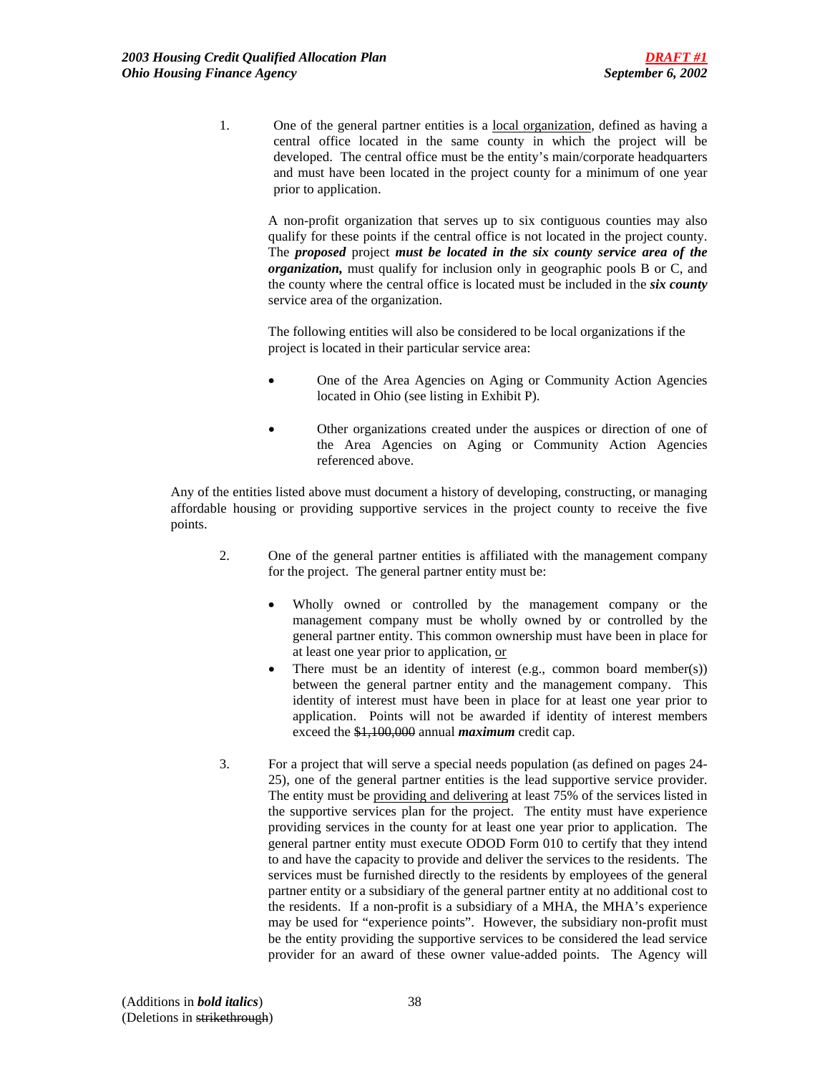1. One of the general partner entities is a local organization, defined as having a central office located in the same county in which the project will be developed. The central office must be the entity's main/corporate headquarters and must have been located in the project county for a minimum of one year prior to application.

A non-profit organization that serves up to six contiguous counties may also qualify for these points if the central office is not located in the project county. The *proposed* project *must be located in the six county service area of the organization,* must qualify for inclusion only in geographic pools B or C, and the county where the central office is located must be included in the *six county* service area of the organization.

The following entities will also be considered to be local organizations if the project is located in their particular service area:

- One of the Area Agencies on Aging or Community Action Agencies located in Ohio (see listing in Exhibit P).
- Other organizations created under the auspices or direction of one of the Area Agencies on Aging or Community Action Agencies referenced above.

Any of the entities listed above must document a history of developing, constructing, or managing affordable housing or providing supportive services in the project county to receive the five points.

- 2. One of the general partner entities is affiliated with the management company for the project. The general partner entity must be:
	- Wholly owned or controlled by the management company or the management company must be wholly owned by or controlled by the general partner entity. This common ownership must have been in place for at least one year prior to application, or
	- There must be an identity of interest (e.g., common board member(s)) between the general partner entity and the management company. This identity of interest must have been in place for at least one year prior to application. Points will not be awarded if identity of interest members exceed the \$1,100,000 annual *maximum* credit cap.
- 3. For a project that will serve a special needs population (as defined on pages 24- 25), one of the general partner entities is the lead supportive service provider. The entity must be providing and delivering at least 75% of the services listed in the supportive services plan for the project. The entity must have experience providing services in the county for at least one year prior to application. The general partner entity must execute ODOD Form 010 to certify that they intend to and have the capacity to provide and deliver the services to the residents. The services must be furnished directly to the residents by employees of the general partner entity or a subsidiary of the general partner entity at no additional cost to the residents. If a non-profit is a subsidiary of a MHA, the MHA's experience may be used for "experience points". However, the subsidiary non-profit must be the entity providing the supportive services to be considered the lead service provider for an award of these owner value-added points. The Agency will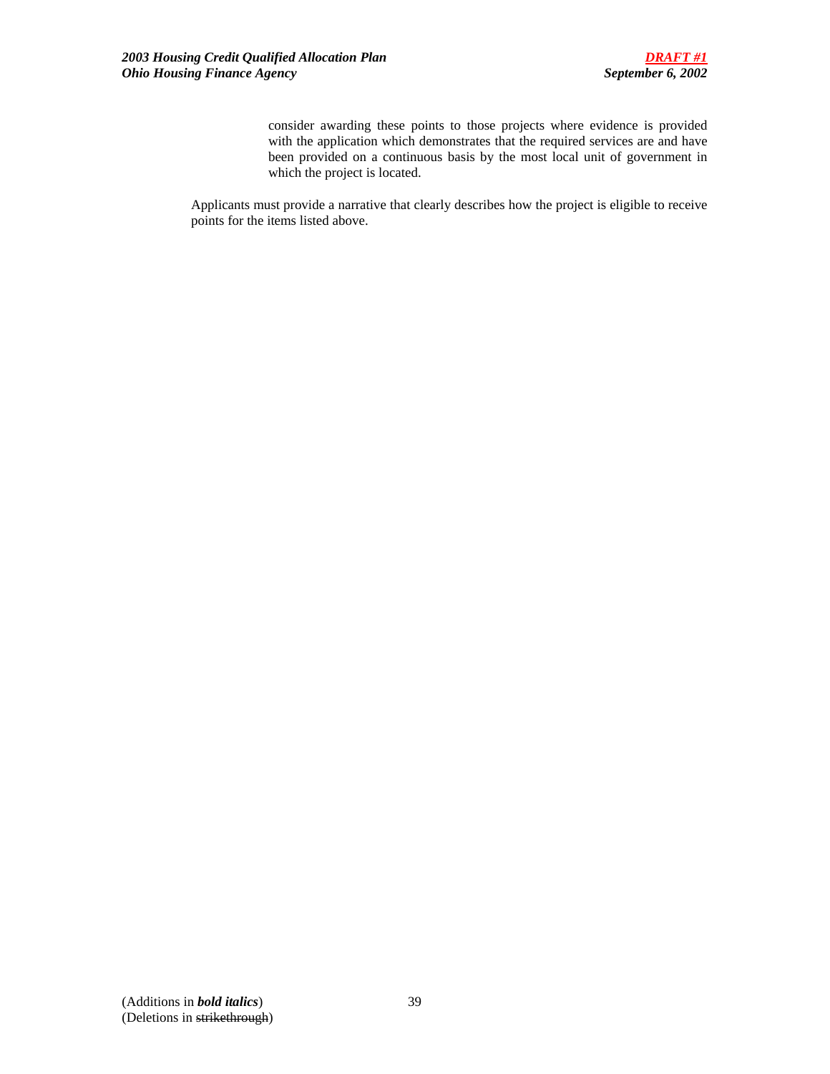consider awarding these points to those projects where evidence is provided with the application which demonstrates that the required services are and have been provided on a continuous basis by the most local unit of government in which the project is located.

Applicants must provide a narrative that clearly describes how the project is eligible to receive points for the items listed above.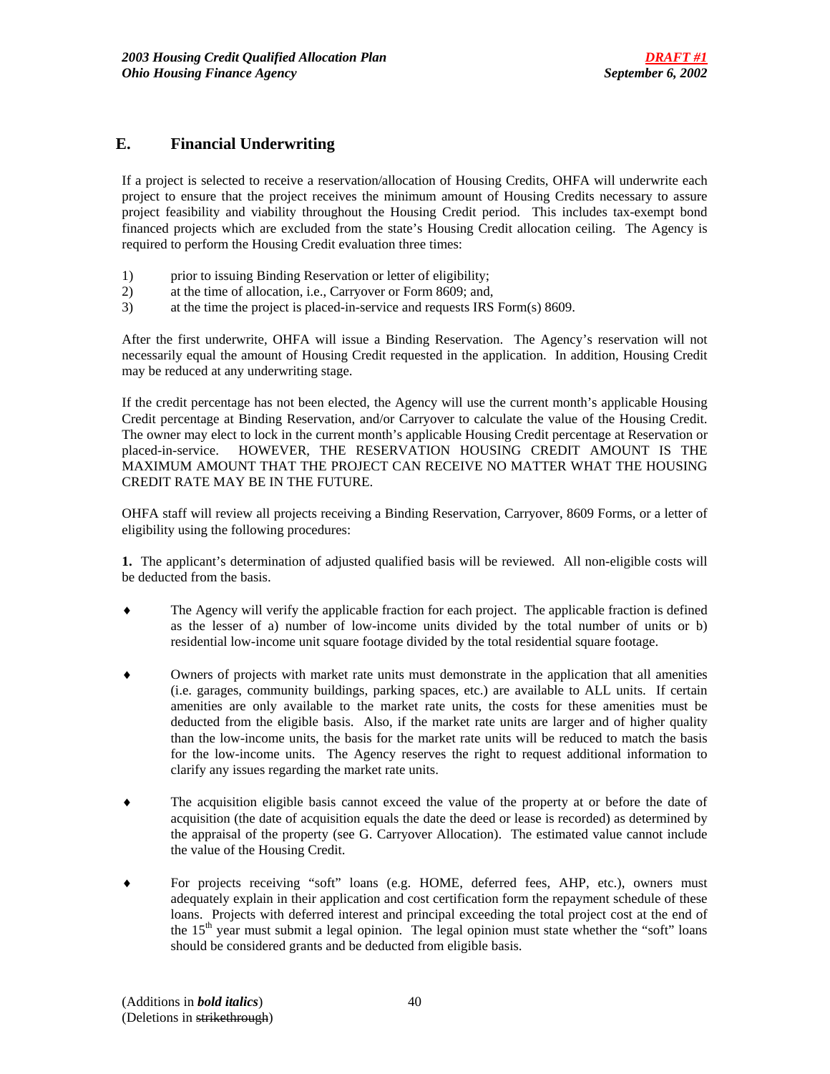## **E. Financial Underwriting**

If a project is selected to receive a reservation/allocation of Housing Credits, OHFA will underwrite each project to ensure that the project receives the minimum amount of Housing Credits necessary to assure project feasibility and viability throughout the Housing Credit period. This includes tax-exempt bond financed projects which are excluded from the state's Housing Credit allocation ceiling. The Agency is required to perform the Housing Credit evaluation three times:

- 1) prior to issuing Binding Reservation or letter of eligibility;
- 2) at the time of allocation, i.e., Carryover or Form 8609; and,
- 3) at the time the project is placed-in-service and requests IRS Form(s) 8609.

After the first underwrite, OHFA will issue a Binding Reservation. The Agency's reservation will not necessarily equal the amount of Housing Credit requested in the application. In addition, Housing Credit may be reduced at any underwriting stage.

If the credit percentage has not been elected, the Agency will use the current month's applicable Housing Credit percentage at Binding Reservation, and/or Carryover to calculate the value of the Housing Credit. The owner may elect to lock in the current month's applicable Housing Credit percentage at Reservation or placed-in-service. HOWEVER, THE RESERVATION HOUSING CREDIT AMOUNT IS THE MAXIMUM AMOUNT THAT THE PROJECT CAN RECEIVE NO MATTER WHAT THE HOUSING CREDIT RATE MAY BE IN THE FUTURE.

OHFA staff will review all projects receiving a Binding Reservation, Carryover, 8609 Forms, or a letter of eligibility using the following procedures:

**1.** The applicant's determination of adjusted qualified basis will be reviewed. All non-eligible costs will be deducted from the basis.

- ♦ The Agency will verify the applicable fraction for each project. The applicable fraction is defined as the lesser of a) number of low-income units divided by the total number of units or b) residential low-income unit square footage divided by the total residential square footage.
- Owners of projects with market rate units must demonstrate in the application that all amenities (i.e. garages, community buildings, parking spaces, etc.) are available to ALL units. If certain amenities are only available to the market rate units, the costs for these amenities must be deducted from the eligible basis. Also, if the market rate units are larger and of higher quality than the low-income units, the basis for the market rate units will be reduced to match the basis for the low-income units. The Agency reserves the right to request additional information to clarify any issues regarding the market rate units.
- ♦ The acquisition eligible basis cannot exceed the value of the property at or before the date of acquisition (the date of acquisition equals the date the deed or lease is recorded) as determined by the appraisal of the property (see G. Carryover Allocation). The estimated value cannot include the value of the Housing Credit.
- For projects receiving "soft" loans (e.g. HOME, deferred fees, AHP, etc.), owners must adequately explain in their application and cost certification form the repayment schedule of these loans. Projects with deferred interest and principal exceeding the total project cost at the end of the  $15<sup>th</sup>$  year must submit a legal opinion. The legal opinion must state whether the "soft" loans should be considered grants and be deducted from eligible basis.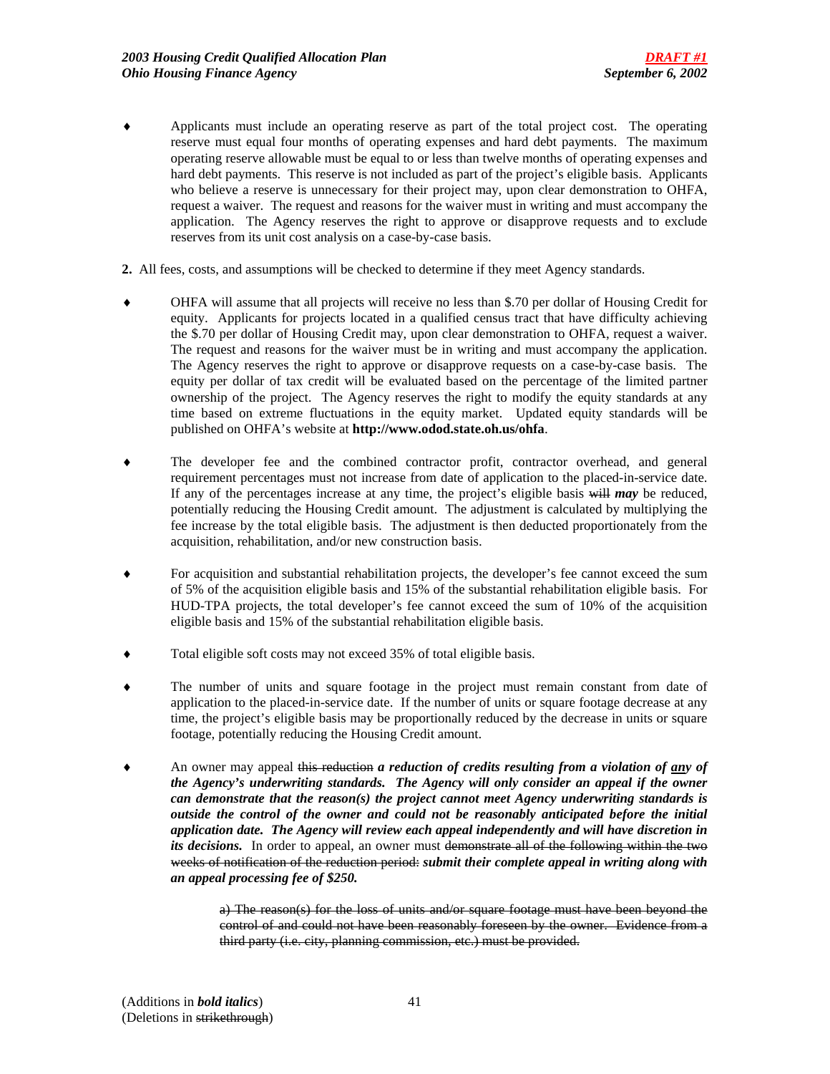- ♦ Applicants must include an operating reserve as part of the total project cost. The operating reserve must equal four months of operating expenses and hard debt payments. The maximum operating reserve allowable must be equal to or less than twelve months of operating expenses and hard debt payments. This reserve is not included as part of the project's eligible basis. Applicants who believe a reserve is unnecessary for their project may, upon clear demonstration to OHFA, request a waiver. The request and reasons for the waiver must in writing and must accompany the application. The Agency reserves the right to approve or disapprove requests and to exclude reserves from its unit cost analysis on a case-by-case basis.
- **2.** All fees, costs, and assumptions will be checked to determine if they meet Agency standards.
- ♦ OHFA will assume that all projects will receive no less than \$.70 per dollar of Housing Credit for equity. Applicants for projects located in a qualified census tract that have difficulty achieving the \$.70 per dollar of Housing Credit may, upon clear demonstration to OHFA, request a waiver. The request and reasons for the waiver must be in writing and must accompany the application. The Agency reserves the right to approve or disapprove requests on a case-by-case basis. The equity per dollar of tax credit will be evaluated based on the percentage of the limited partner ownership of the project. The Agency reserves the right to modify the equity standards at any time based on extreme fluctuations in the equity market. Updated equity standards will be published on OHFA's website at **http://www.odod.state.oh.us/ohfa**.
- ♦ The developer fee and the combined contractor profit, contractor overhead, and general requirement percentages must not increase from date of application to the placed-in-service date. If any of the percentages increase at any time, the project's eligible basis will *may* be reduced, potentially reducing the Housing Credit amount. The adjustment is calculated by multiplying the fee increase by the total eligible basis. The adjustment is then deducted proportionately from the acquisition, rehabilitation, and/or new construction basis.
- For acquisition and substantial rehabilitation projects, the developer's fee cannot exceed the sum of 5% of the acquisition eligible basis and 15% of the substantial rehabilitation eligible basis. For HUD-TPA projects, the total developer's fee cannot exceed the sum of 10% of the acquisition eligible basis and 15% of the substantial rehabilitation eligible basis.
- Total eligible soft costs may not exceed 35% of total eligible basis.
- The number of units and square footage in the project must remain constant from date of application to the placed-in-service date. If the number of units or square footage decrease at any time, the project's eligible basis may be proportionally reduced by the decrease in units or square footage, potentially reducing the Housing Credit amount.
- An owner may appeal this reduction *a reduction of credits resulting from a violation of any of the Agency's underwriting standards. The Agency will only consider an appeal if the owner can demonstrate that the reason(s) the project cannot meet Agency underwriting standards is outside the control of the owner and could not be reasonably anticipated before the initial application date. The Agency will review each appeal independently and will have discretion in*  its decisions. In order to appeal, an owner must demonstrate all of the following within the two weeks of notification of the reduction period: *submit their complete appeal in writing along with an appeal processing fee of \$250.*

a) The reason(s) for the loss of units and/or square footage must have been beyond the control of and could not have been reasonably foreseen by the owner. Evidence from a third party (i.e. city, planning commission, etc.) must be provided.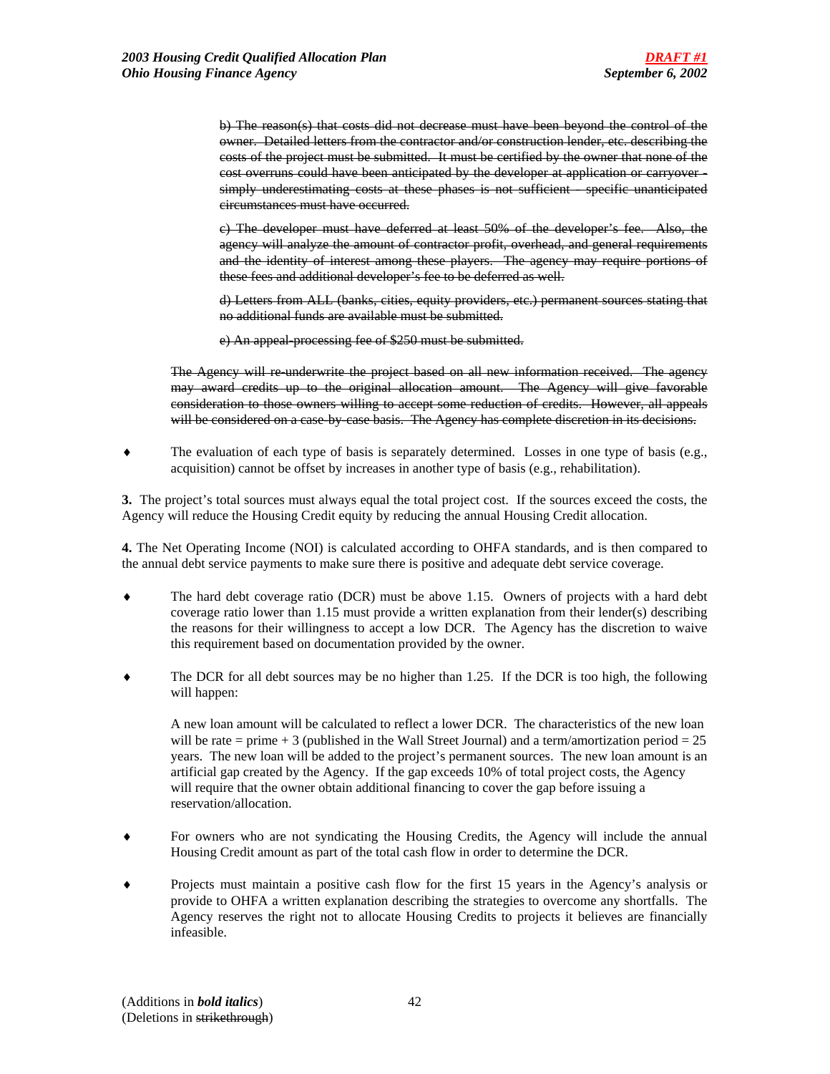b) The reason(s) that costs did not decrease must have been beyond the control of the owner. Detailed letters from the contractor and/or construction lender, etc. describing the costs of the project must be submitted. It must be certified by the owner that none of the cost overruns could have been anticipated by the developer at application or carryover simply underestimating costs at these phases is not sufficient - specific unanticipated circumstances must have occurred.

c) The developer must have deferred at least 50% of the developer's fee. Also, the agency will analyze the amount of contractor profit, overhead, and general requirements and the identity of interest among these players. The agency may require portions of these fees and additional developer's fee to be deferred as well.

d) Letters from ALL (banks, cities, equity providers, etc.) permanent sources stating that no additional funds are available must be submitted.

e) An appeal-processing fee of \$250 must be submitted.

The Agency will re-underwrite the project based on all new information received. The agency may award credits up to the original allocation amount. The Agency will give favorable consideration to those owners willing to accept some reduction of credits. However, all appeals will be considered on a case-by-case basis. The Agency has complete discretion in its decisions.

♦ The evaluation of each type of basis is separately determined. Losses in one type of basis (e.g., acquisition) cannot be offset by increases in another type of basis (e.g., rehabilitation).

**3.** The project's total sources must always equal the total project cost. If the sources exceed the costs, the Agency will reduce the Housing Credit equity by reducing the annual Housing Credit allocation.

**4.** The Net Operating Income (NOI) is calculated according to OHFA standards, and is then compared to the annual debt service payments to make sure there is positive and adequate debt service coverage.

- The hard debt coverage ratio (DCR) must be above  $1.15$ . Owners of projects with a hard debt coverage ratio lower than 1.15 must provide a written explanation from their lender(s) describing the reasons for their willingness to accept a low DCR. The Agency has the discretion to waive this requirement based on documentation provided by the owner.
- The DCR for all debt sources may be no higher than 1.25. If the DCR is too high, the following will happen:

A new loan amount will be calculated to reflect a lower DCR. The characteristics of the new loan will be rate  $=$  prime  $+3$  (published in the Wall Street Journal) and a term/amortization period  $= 25$ years. The new loan will be added to the project's permanent sources. The new loan amount is an artificial gap created by the Agency. If the gap exceeds 10% of total project costs, the Agency will require that the owner obtain additional financing to cover the gap before issuing a reservation/allocation.

- For owners who are not syndicating the Housing Credits, the Agency will include the annual Housing Credit amount as part of the total cash flow in order to determine the DCR.
- Projects must maintain a positive cash flow for the first 15 years in the Agency's analysis or provide to OHFA a written explanation describing the strategies to overcome any shortfalls. The Agency reserves the right not to allocate Housing Credits to projects it believes are financially infeasible.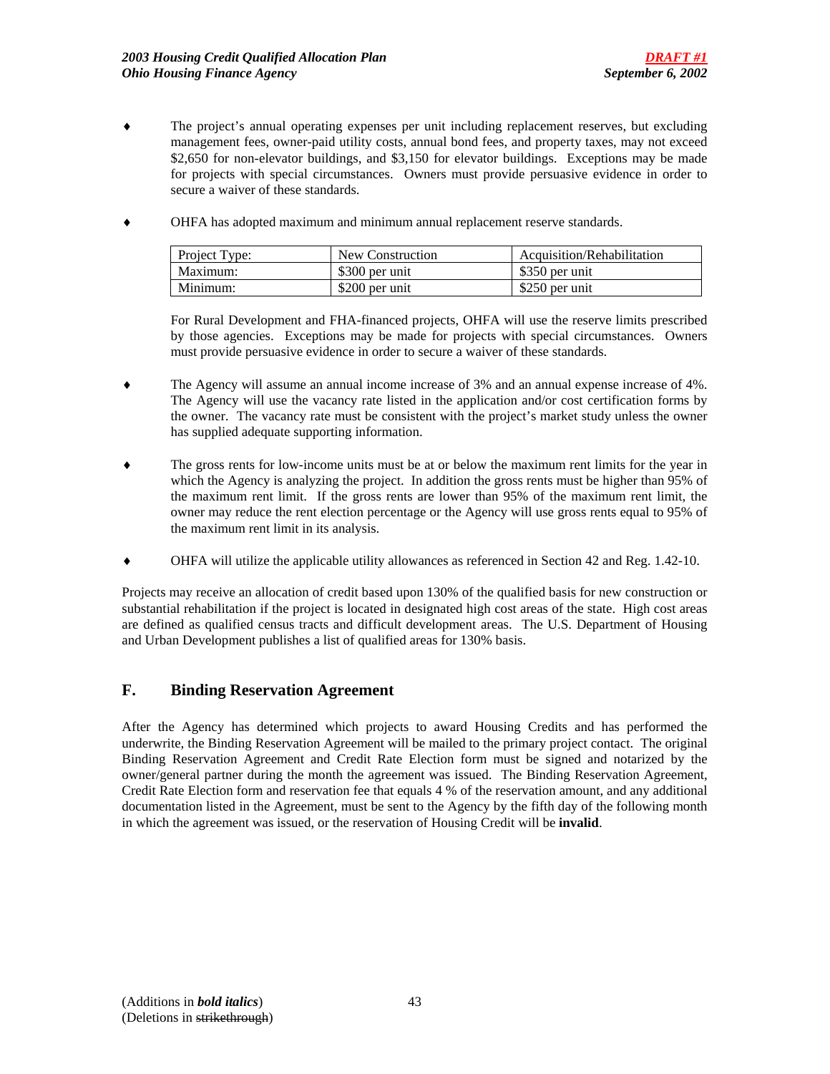- ♦ The project's annual operating expenses per unit including replacement reserves, but excluding management fees, owner-paid utility costs, annual bond fees, and property taxes, may not exceed \$2,650 for non-elevator buildings, and \$3,150 for elevator buildings. Exceptions may be made for projects with special circumstances. Owners must provide persuasive evidence in order to secure a waiver of these standards.
- ♦ OHFA has adopted maximum and minimum annual replacement reserve standards.

| Project Type: | New Construction | Acquisition/Rehabilitation |
|---------------|------------------|----------------------------|
| Maximum:      | \$300 per unit   | \$350 per unit             |
| Minimum:      | \$200 per unit   | \$250 per unit             |

For Rural Development and FHA-financed projects, OHFA will use the reserve limits prescribed by those agencies. Exceptions may be made for projects with special circumstances. Owners must provide persuasive evidence in order to secure a waiver of these standards.

- ♦ The Agency will assume an annual income increase of 3% and an annual expense increase of 4%. The Agency will use the vacancy rate listed in the application and/or cost certification forms by the owner. The vacancy rate must be consistent with the project's market study unless the owner has supplied adequate supporting information.
- ♦ The gross rents for low-income units must be at or below the maximum rent limits for the year in which the Agency is analyzing the project. In addition the gross rents must be higher than 95% of the maximum rent limit. If the gross rents are lower than 95% of the maximum rent limit, the owner may reduce the rent election percentage or the Agency will use gross rents equal to 95% of the maximum rent limit in its analysis.
- ♦ OHFA will utilize the applicable utility allowances as referenced in Section 42 and Reg. 1.42-10.

Projects may receive an allocation of credit based upon 130% of the qualified basis for new construction or substantial rehabilitation if the project is located in designated high cost areas of the state. High cost areas are defined as qualified census tracts and difficult development areas. The U.S. Department of Housing and Urban Development publishes a list of qualified areas for 130% basis.

## **F. Binding Reservation Agreement**

After the Agency has determined which projects to award Housing Credits and has performed the underwrite, the Binding Reservation Agreement will be mailed to the primary project contact. The original Binding Reservation Agreement and Credit Rate Election form must be signed and notarized by the owner/general partner during the month the agreement was issued. The Binding Reservation Agreement, Credit Rate Election form and reservation fee that equals 4 % of the reservation amount, and any additional documentation listed in the Agreement, must be sent to the Agency by the fifth day of the following month in which the agreement was issued, or the reservation of Housing Credit will be **invalid**.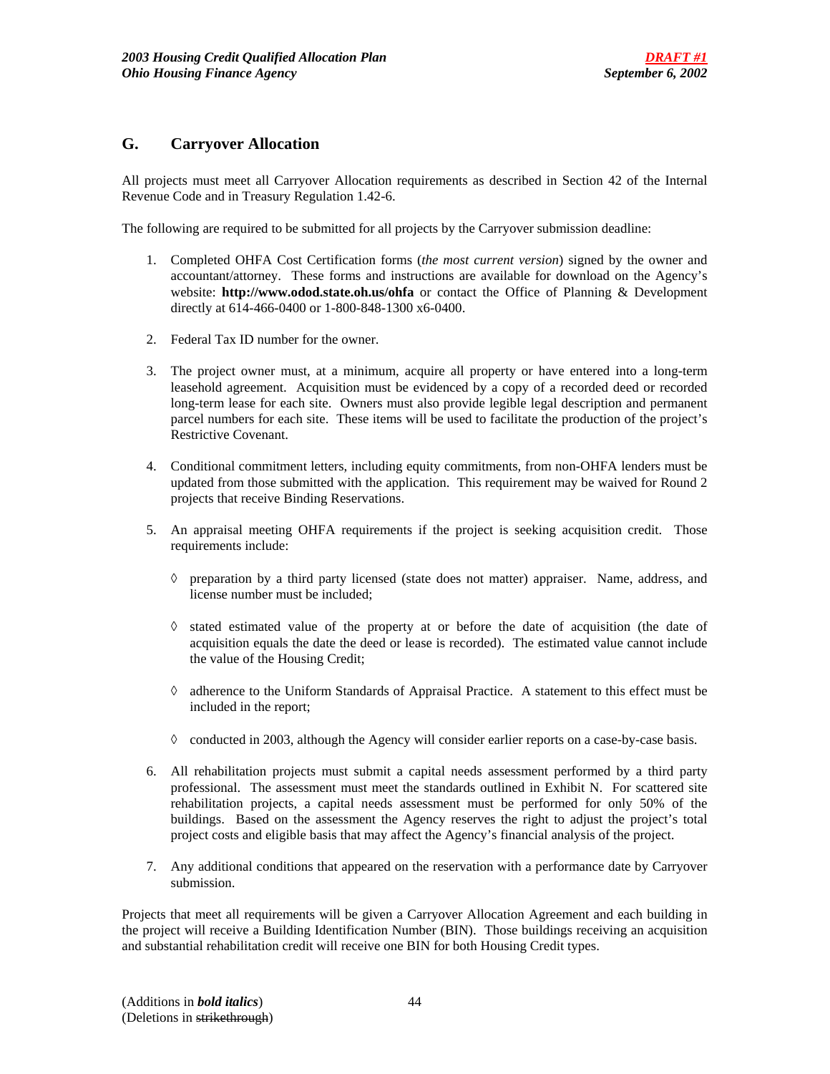## **G. Carryover Allocation**

All projects must meet all Carryover Allocation requirements as described in Section 42 of the Internal Revenue Code and in Treasury Regulation 1.42-6.

The following are required to be submitted for all projects by the Carryover submission deadline:

- 1. Completed OHFA Cost Certification forms (*the most current version*) signed by the owner and accountant/attorney. These forms and instructions are available for download on the Agency's website: **http://www.odod.state.oh.us/ohfa** or contact the Office of Planning & Development directly at 614-466-0400 or 1-800-848-1300 x6-0400.
- 2. Federal Tax ID number for the owner.
- 3. The project owner must, at a minimum, acquire all property or have entered into a long-term leasehold agreement. Acquisition must be evidenced by a copy of a recorded deed or recorded long-term lease for each site. Owners must also provide legible legal description and permanent parcel numbers for each site. These items will be used to facilitate the production of the project's Restrictive Covenant.
- 4. Conditional commitment letters, including equity commitments, from non-OHFA lenders must be updated from those submitted with the application. This requirement may be waived for Round 2 projects that receive Binding Reservations.
- 5. An appraisal meeting OHFA requirements if the project is seeking acquisition credit. Those requirements include:
	- ◊ preparation by a third party licensed (state does not matter) appraiser. Name, address, and license number must be included;
	- ◊ stated estimated value of the property at or before the date of acquisition (the date of acquisition equals the date the deed or lease is recorded). The estimated value cannot include the value of the Housing Credit;
	- ◊ adherence to the Uniform Standards of Appraisal Practice. A statement to this effect must be included in the report;
	- $\Diamond$  conducted in 2003, although the Agency will consider earlier reports on a case-by-case basis.
- 6. All rehabilitation projects must submit a capital needs assessment performed by a third party professional. The assessment must meet the standards outlined in Exhibit N. For scattered site rehabilitation projects, a capital needs assessment must be performed for only 50% of the buildings. Based on the assessment the Agency reserves the right to adjust the project's total project costs and eligible basis that may affect the Agency's financial analysis of the project.
- 7. Any additional conditions that appeared on the reservation with a performance date by Carryover submission.

Projects that meet all requirements will be given a Carryover Allocation Agreement and each building in the project will receive a Building Identification Number (BIN). Those buildings receiving an acquisition and substantial rehabilitation credit will receive one BIN for both Housing Credit types.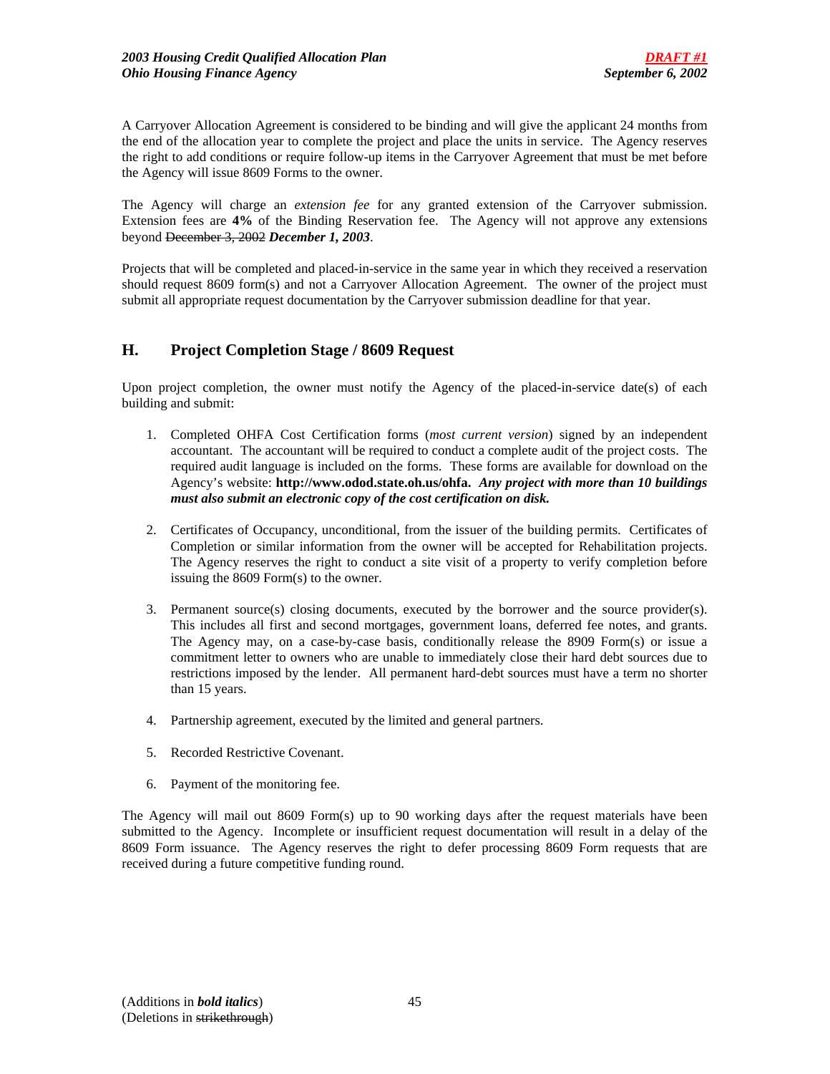A Carryover Allocation Agreement is considered to be binding and will give the applicant 24 months from the end of the allocation year to complete the project and place the units in service. The Agency reserves the right to add conditions or require follow-up items in the Carryover Agreement that must be met before the Agency will issue 8609 Forms to the owner.

The Agency will charge an *extension fee* for any granted extension of the Carryover submission. Extension fees are **4%** of the Binding Reservation fee. The Agency will not approve any extensions beyond December 3, 2002 *December 1, 2003*.

Projects that will be completed and placed-in-service in the same year in which they received a reservation should request 8609 form(s) and not a Carryover Allocation Agreement. The owner of the project must submit all appropriate request documentation by the Carryover submission deadline for that year.

# **H. Project Completion Stage / 8609 Request**

Upon project completion, the owner must notify the Agency of the placed-in-service date(s) of each building and submit:

- 1. Completed OHFA Cost Certification forms (*most current version*) signed by an independent accountant. The accountant will be required to conduct a complete audit of the project costs. The required audit language is included on the forms. These forms are available for download on the Agency's website: **http://www.odod.state.oh.us/ohfa.** *Any project with more than 10 buildings must also submit an electronic copy of the cost certification on disk.*
- 2. Certificates of Occupancy, unconditional, from the issuer of the building permits. Certificates of Completion or similar information from the owner will be accepted for Rehabilitation projects. The Agency reserves the right to conduct a site visit of a property to verify completion before issuing the 8609 Form(s) to the owner.
- 3. Permanent source(s) closing documents, executed by the borrower and the source provider(s). This includes all first and second mortgages, government loans, deferred fee notes, and grants. The Agency may, on a case-by-case basis, conditionally release the 8909 Form(s) or issue a commitment letter to owners who are unable to immediately close their hard debt sources due to restrictions imposed by the lender. All permanent hard-debt sources must have a term no shorter than 15 years.
- 4. Partnership agreement, executed by the limited and general partners.
- 5. Recorded Restrictive Covenant.
- 6. Payment of the monitoring fee.

The Agency will mail out 8609 Form(s) up to 90 working days after the request materials have been submitted to the Agency. Incomplete or insufficient request documentation will result in a delay of the 8609 Form issuance. The Agency reserves the right to defer processing 8609 Form requests that are received during a future competitive funding round.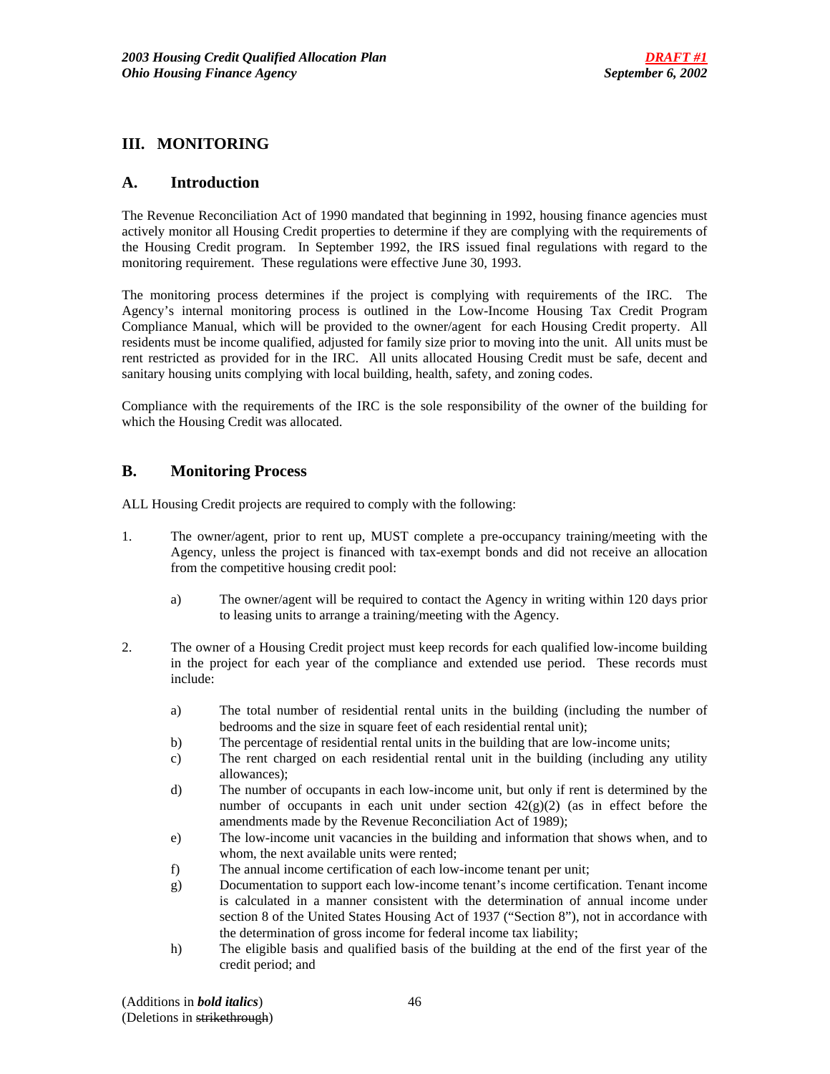## **III. MONITORING**

## **A. Introduction**

The Revenue Reconciliation Act of 1990 mandated that beginning in 1992, housing finance agencies must actively monitor all Housing Credit properties to determine if they are complying with the requirements of the Housing Credit program. In September 1992, the IRS issued final regulations with regard to the monitoring requirement. These regulations were effective June 30, 1993.

The monitoring process determines if the project is complying with requirements of the IRC. The Agency's internal monitoring process is outlined in the Low-Income Housing Tax Credit Program Compliance Manual, which will be provided to the owner/agent for each Housing Credit property. All residents must be income qualified, adjusted for family size prior to moving into the unit. All units must be rent restricted as provided for in the IRC. All units allocated Housing Credit must be safe, decent and sanitary housing units complying with local building, health, safety, and zoning codes.

Compliance with the requirements of the IRC is the sole responsibility of the owner of the building for which the Housing Credit was allocated.

## **B. Monitoring Process**

ALL Housing Credit projects are required to comply with the following:

- 1. The owner/agent, prior to rent up, MUST complete a pre-occupancy training/meeting with the Agency, unless the project is financed with tax-exempt bonds and did not receive an allocation from the competitive housing credit pool:
	- a) The owner/agent will be required to contact the Agency in writing within 120 days prior to leasing units to arrange a training/meeting with the Agency.
- 2. The owner of a Housing Credit project must keep records for each qualified low-income building in the project for each year of the compliance and extended use period. These records must include:
	- a) The total number of residential rental units in the building (including the number of bedrooms and the size in square feet of each residential rental unit);
	- b) The percentage of residential rental units in the building that are low-income units;
	- c) The rent charged on each residential rental unit in the building (including any utility allowances);
	- d) The number of occupants in each low-income unit, but only if rent is determined by the number of occupants in each unit under section  $42(g)(2)$  (as in effect before the amendments made by the Revenue Reconciliation Act of 1989);
	- e) The low-income unit vacancies in the building and information that shows when, and to whom, the next available units were rented;
	- f) The annual income certification of each low-income tenant per unit;
	- g) Documentation to support each low-income tenant's income certification. Tenant income is calculated in a manner consistent with the determination of annual income under section 8 of the United States Housing Act of 1937 ("Section 8"), not in accordance with the determination of gross income for federal income tax liability;
	- h) The eligible basis and qualified basis of the building at the end of the first year of the credit period; and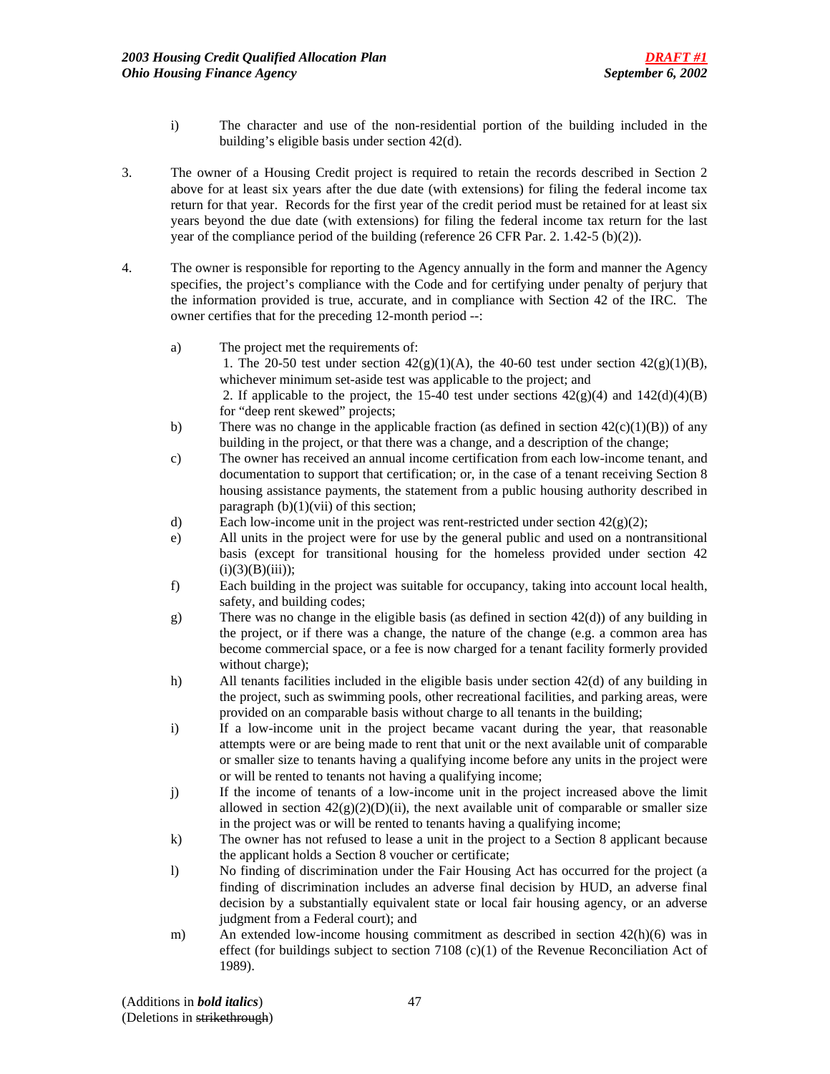- i) The character and use of the non-residential portion of the building included in the building's eligible basis under section 42(d).
- 3. The owner of a Housing Credit project is required to retain the records described in Section 2 above for at least six years after the due date (with extensions) for filing the federal income tax return for that year. Records for the first year of the credit period must be retained for at least six years beyond the due date (with extensions) for filing the federal income tax return for the last year of the compliance period of the building (reference 26 CFR Par. 2. 1.42-5 (b)(2)).
- 4. The owner is responsible for reporting to the Agency annually in the form and manner the Agency specifies, the project's compliance with the Code and for certifying under penalty of perjury that the information provided is true, accurate, and in compliance with Section 42 of the IRC. The owner certifies that for the preceding 12-month period --:
	- a) The project met the requirements of: 1. The 20-50 test under section  $42(g)(1)(A)$ , the 40-60 test under section  $42(g)(1)(B)$ , whichever minimum set-aside test was applicable to the project; and 2. If applicable to the project, the 15-40 test under sections  $42(g)(4)$  and  $142(d)(4)(B)$ for "deep rent skewed" projects;
	- b) There was no change in the applicable fraction (as defined in section  $42(c)(1)(B)$ ) of any building in the project, or that there was a change, and a description of the change;
	- c) The owner has received an annual income certification from each low-income tenant, and documentation to support that certification; or, in the case of a tenant receiving Section 8 housing assistance payments, the statement from a public housing authority described in paragraph  $(b)(1)(vii)$  of this section;
	- d) Each low-income unit in the project was rent-restricted under section  $42(g)(2)$ ;
	- e) All units in the project were for use by the general public and used on a nontransitional basis (except for transitional housing for the homeless provided under section 42  $(i)(3)(B)(iii)$ ;
	- f) Each building in the project was suitable for occupancy, taking into account local health, safety, and building codes;
	- g) There was no change in the eligible basis (as defined in section 42(d)) of any building in the project, or if there was a change, the nature of the change (e.g. a common area has become commercial space, or a fee is now charged for a tenant facility formerly provided without charge);
	- h) All tenants facilities included in the eligible basis under section 42(d) of any building in the project, such as swimming pools, other recreational facilities, and parking areas, were provided on an comparable basis without charge to all tenants in the building;
	- i) If a low-income unit in the project became vacant during the year, that reasonable attempts were or are being made to rent that unit or the next available unit of comparable or smaller size to tenants having a qualifying income before any units in the project were or will be rented to tenants not having a qualifying income;
	- j) If the income of tenants of a low-income unit in the project increased above the limit allowed in section  $42(g)(2)(D)(ii)$ , the next available unit of comparable or smaller size in the project was or will be rented to tenants having a qualifying income;
	- k) The owner has not refused to lease a unit in the project to a Section 8 applicant because the applicant holds a Section 8 voucher or certificate;
	- l) No finding of discrimination under the Fair Housing Act has occurred for the project (a finding of discrimination includes an adverse final decision by HUD, an adverse final decision by a substantially equivalent state or local fair housing agency, or an adverse judgment from a Federal court); and
	- m) An extended low-income housing commitment as described in section 42(h)(6) was in effect (for buildings subject to section 7108  $(c)(1)$  of the Revenue Reconciliation Act of 1989).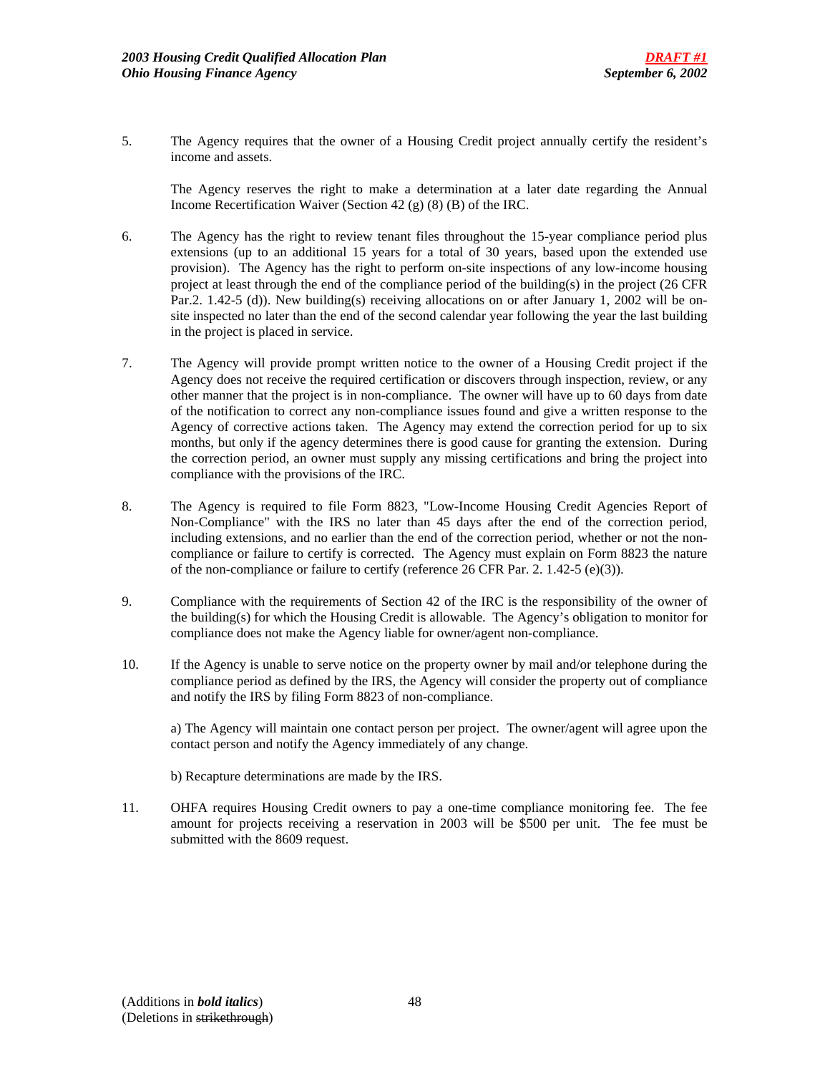5. The Agency requires that the owner of a Housing Credit project annually certify the resident's income and assets.

 The Agency reserves the right to make a determination at a later date regarding the Annual Income Recertification Waiver (Section 42 (g) (8) (B) of the IRC.

- 6. The Agency has the right to review tenant files throughout the 15-year compliance period plus extensions (up to an additional 15 years for a total of 30 years, based upon the extended use provision). The Agency has the right to perform on-site inspections of any low-income housing project at least through the end of the compliance period of the building(s) in the project (26 CFR Par.2. 1.42-5 (d)). New building(s) receiving allocations on or after January 1, 2002 will be onsite inspected no later than the end of the second calendar year following the year the last building in the project is placed in service.
- 7. The Agency will provide prompt written notice to the owner of a Housing Credit project if the Agency does not receive the required certification or discovers through inspection, review, or any other manner that the project is in non-compliance. The owner will have up to 60 days from date of the notification to correct any non-compliance issues found and give a written response to the Agency of corrective actions taken. The Agency may extend the correction period for up to six months, but only if the agency determines there is good cause for granting the extension. During the correction period, an owner must supply any missing certifications and bring the project into compliance with the provisions of the IRC.
- 8. The Agency is required to file Form 8823, "Low-Income Housing Credit Agencies Report of Non-Compliance" with the IRS no later than 45 days after the end of the correction period, including extensions, and no earlier than the end of the correction period, whether or not the noncompliance or failure to certify is corrected. The Agency must explain on Form 8823 the nature of the non-compliance or failure to certify (reference 26 CFR Par. 2. 1.42-5 (e)(3)).
- 9. Compliance with the requirements of Section 42 of the IRC is the responsibility of the owner of the building(s) for which the Housing Credit is allowable. The Agency's obligation to monitor for compliance does not make the Agency liable for owner/agent non-compliance.
- 10. If the Agency is unable to serve notice on the property owner by mail and/or telephone during the compliance period as defined by the IRS, the Agency will consider the property out of compliance and notify the IRS by filing Form 8823 of non-compliance.

 a) The Agency will maintain one contact person per project. The owner/agent will agree upon the contact person and notify the Agency immediately of any change.

- b) Recapture determinations are made by the IRS.
- 11. OHFA requires Housing Credit owners to pay a one-time compliance monitoring fee. The fee amount for projects receiving a reservation in 2003 will be \$500 per unit. The fee must be submitted with the 8609 request.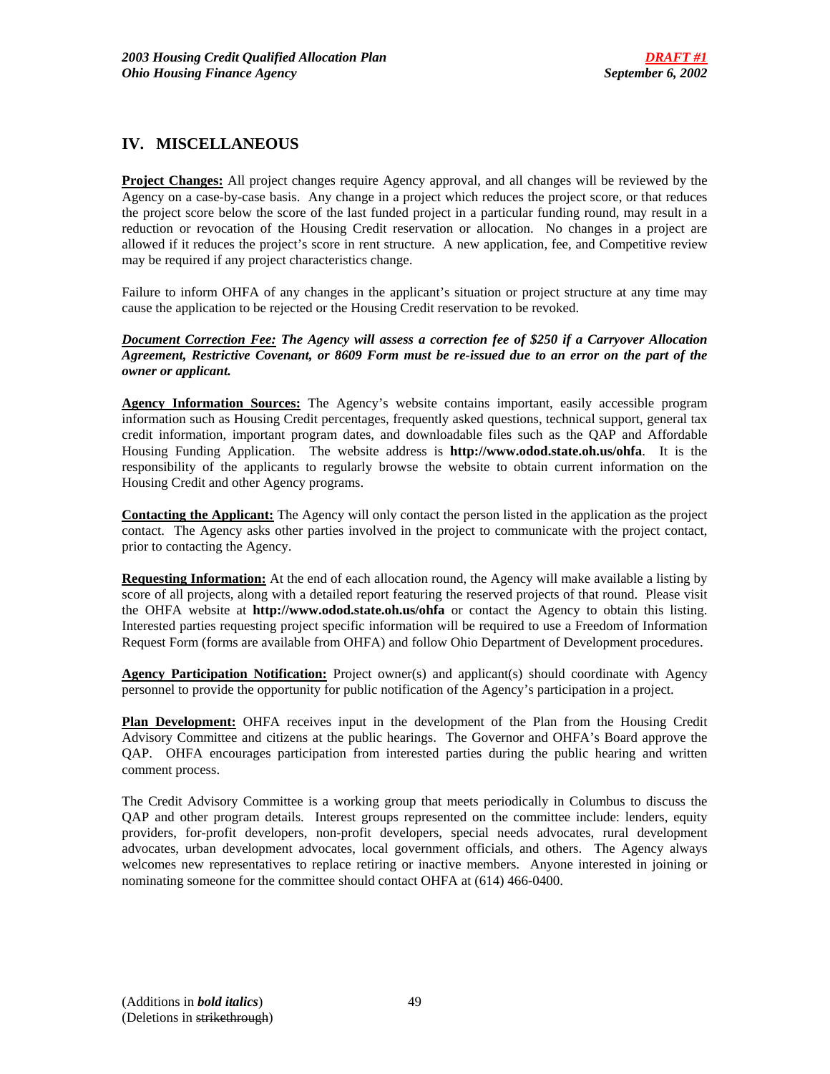# **IV. MISCELLANEOUS**

**Project Changes:** All project changes require Agency approval, and all changes will be reviewed by the Agency on a case-by-case basis. Any change in a project which reduces the project score, or that reduces the project score below the score of the last funded project in a particular funding round, may result in a reduction or revocation of the Housing Credit reservation or allocation. No changes in a project are allowed if it reduces the project's score in rent structure. A new application, fee, and Competitive review may be required if any project characteristics change.

Failure to inform OHFA of any changes in the applicant's situation or project structure at any time may cause the application to be rejected or the Housing Credit reservation to be revoked.

*Document Correction Fee: The Agency will assess a correction fee of \$250 if a Carryover Allocation Agreement, Restrictive Covenant, or 8609 Form must be re-issued due to an error on the part of the owner or applicant.* 

**Agency Information Sources:** The Agency's website contains important, easily accessible program information such as Housing Credit percentages, frequently asked questions, technical support, general tax credit information, important program dates, and downloadable files such as the QAP and Affordable Housing Funding Application. The website address is **http://www.odod.state.oh.us/ohfa**. It is the responsibility of the applicants to regularly browse the website to obtain current information on the Housing Credit and other Agency programs.

**Contacting the Applicant:** The Agency will only contact the person listed in the application as the project contact. The Agency asks other parties involved in the project to communicate with the project contact, prior to contacting the Agency.

**Requesting Information:** At the end of each allocation round, the Agency will make available a listing by score of all projects, along with a detailed report featuring the reserved projects of that round. Please visit the OHFA website at **http://www.odod.state.oh.us/ohfa** or contact the Agency to obtain this listing. Interested parties requesting project specific information will be required to use a Freedom of Information Request Form (forms are available from OHFA) and follow Ohio Department of Development procedures.

**Agency Participation Notification:** Project owner(s) and applicant(s) should coordinate with Agency personnel to provide the opportunity for public notification of the Agency's participation in a project.

**Plan Development:** OHFA receives input in the development of the Plan from the Housing Credit Advisory Committee and citizens at the public hearings. The Governor and OHFA's Board approve the QAP. OHFA encourages participation from interested parties during the public hearing and written comment process.

The Credit Advisory Committee is a working group that meets periodically in Columbus to discuss the QAP and other program details. Interest groups represented on the committee include: lenders, equity providers, for-profit developers, non-profit developers, special needs advocates, rural development advocates, urban development advocates, local government officials, and others. The Agency always welcomes new representatives to replace retiring or inactive members. Anyone interested in joining or nominating someone for the committee should contact OHFA at (614) 466-0400.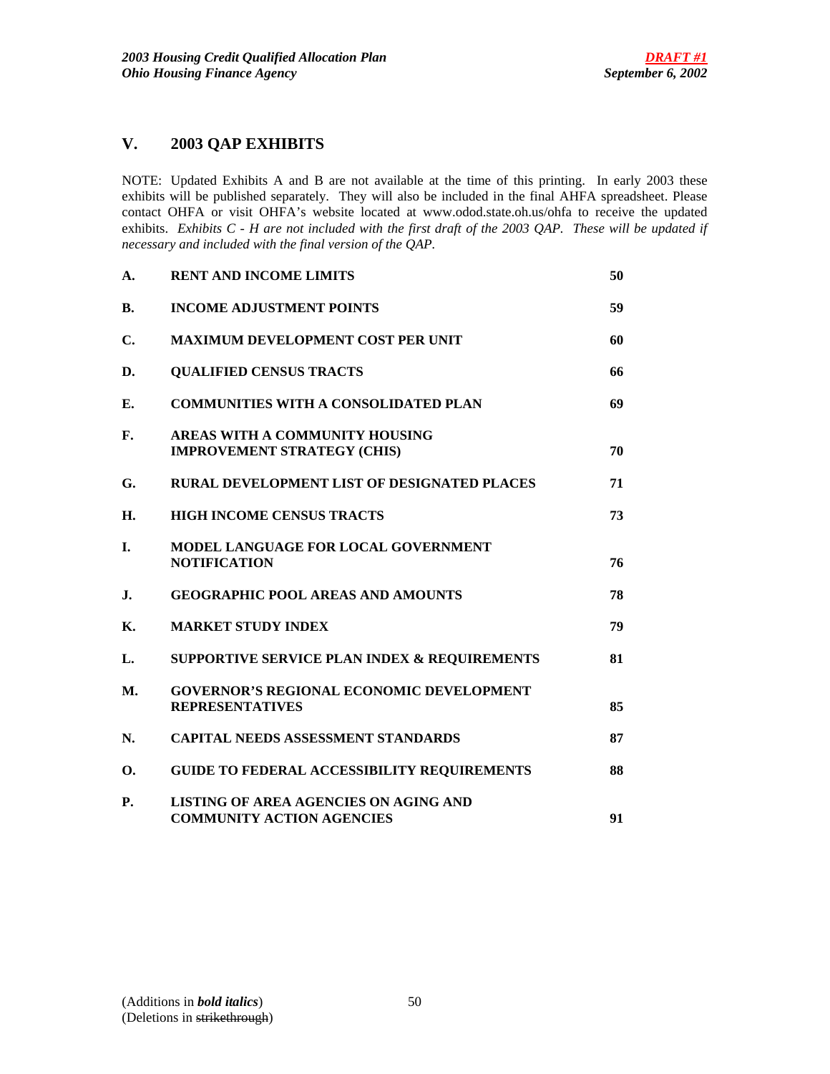# **V. 2003 QAP EXHIBITS**

NOTE: Updated Exhibits A and B are not available at the time of this printing. In early 2003 these exhibits will be published separately. They will also be included in the final AHFA spreadsheet. Please contact OHFA or visit OHFA's website located at www.odod.state.oh.us/ohfa to receive the updated exhibits. *Exhibits C - H are not included with the first draft of the 2003 QAP. These will be updated if necessary and included with the final version of the QAP.*

| A.             | <b>RENT AND INCOME LIMITS</b>                                                    | 50 |
|----------------|----------------------------------------------------------------------------------|----|
| B.             | <b>INCOME ADJUSTMENT POINTS</b>                                                  | 59 |
| C.             | <b>MAXIMUM DEVELOPMENT COST PER UNIT</b>                                         | 60 |
| D.             | <b>QUALIFIED CENSUS TRACTS</b>                                                   | 66 |
| Е.             | <b>COMMUNITIES WITH A CONSOLIDATED PLAN</b>                                      | 69 |
| F.             | AREAS WITH A COMMUNITY HOUSING<br><b>IMPROVEMENT STRATEGY (CHIS)</b>             | 70 |
| G.             | RURAL DEVELOPMENT LIST OF DESIGNATED PLACES                                      | 71 |
| H.             | <b>HIGH INCOME CENSUS TRACTS</b>                                                 | 73 |
| T.             | MODEL LANGUAGE FOR LOCAL GOVERNMENT<br><b>NOTIFICATION</b>                       | 76 |
| $\mathbf{J}$ . | <b>GEOGRAPHIC POOL AREAS AND AMOUNTS</b>                                         | 78 |
| К.             | <b>MARKET STUDY INDEX</b>                                                        | 79 |
| L.             | <b>SUPPORTIVE SERVICE PLAN INDEX &amp; REQUIREMENTS</b>                          | 81 |
| <b>M.</b>      | <b>GOVERNOR'S REGIONAL ECONOMIC DEVELOPMENT</b><br><b>REPRESENTATIVES</b>        | 85 |
| N.             | <b>CAPITAL NEEDS ASSESSMENT STANDARDS</b>                                        | 87 |
| 0.             | <b>GUIDE TO FEDERAL ACCESSIBILITY REQUIREMENTS</b>                               | 88 |
| <b>P.</b>      | <b>LISTING OF AREA AGENCIES ON AGING AND</b><br><b>COMMUNITY ACTION AGENCIES</b> | 91 |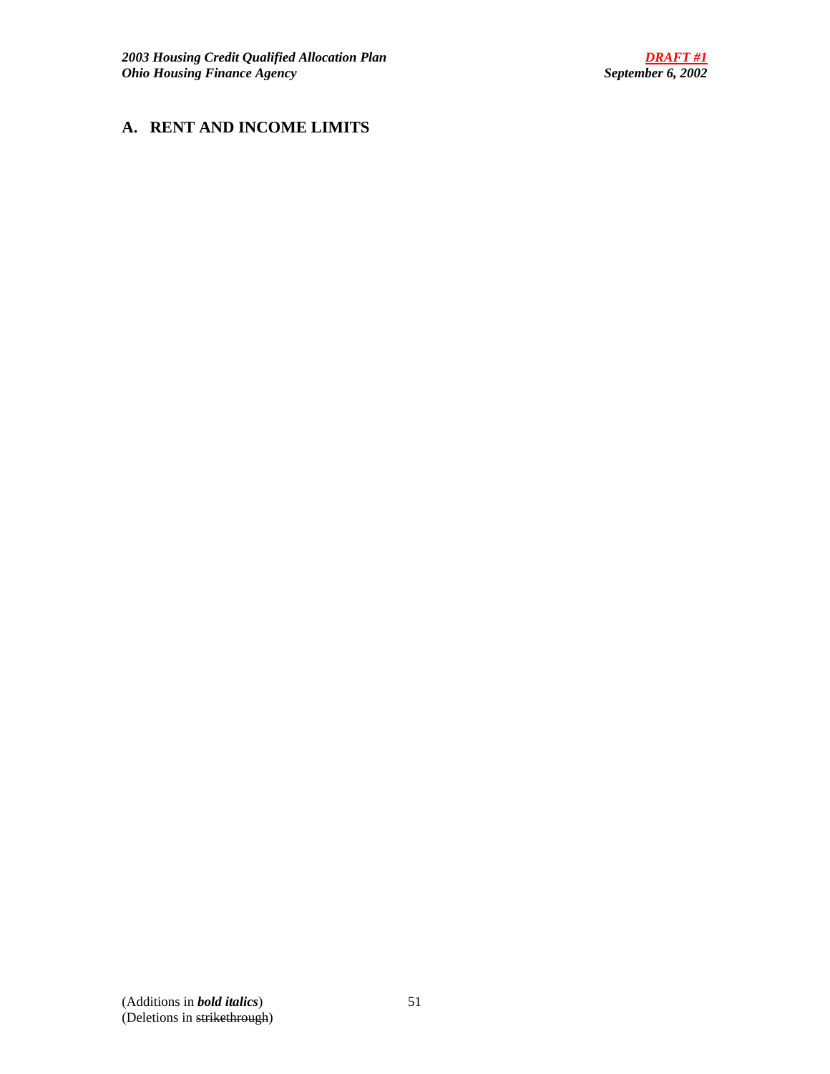# **A. RENT AND INCOME LIMITS**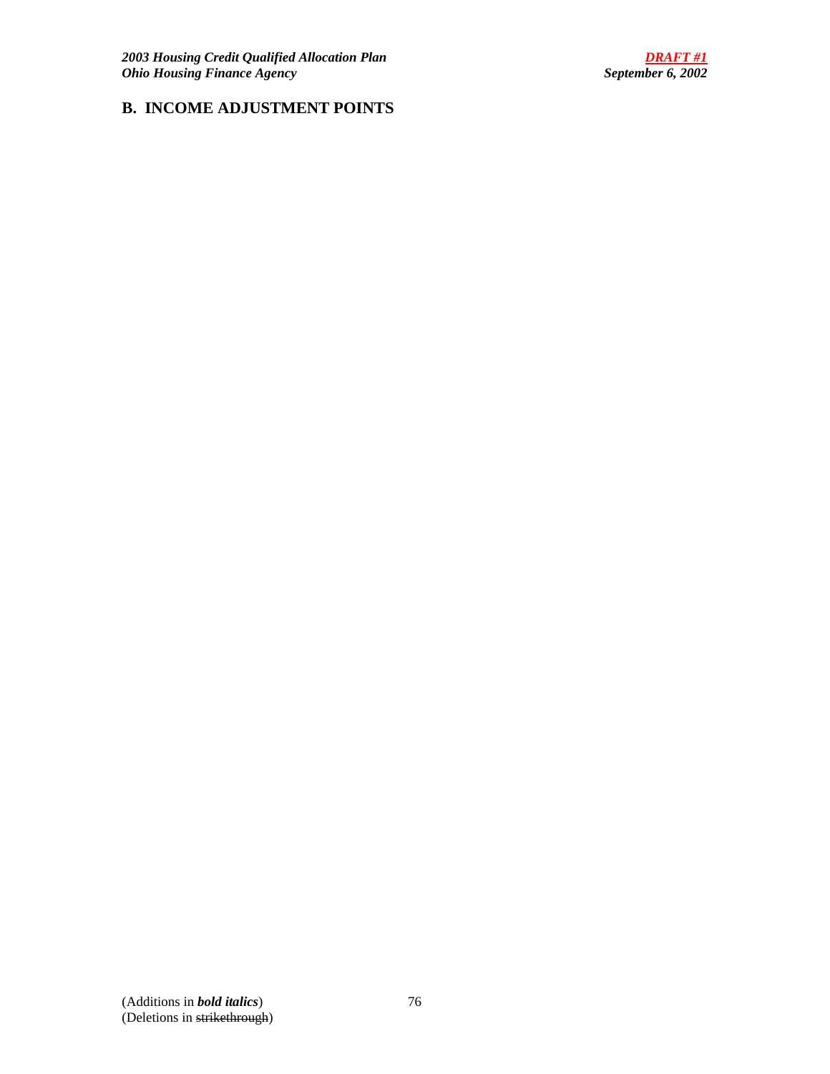# **B. INCOME ADJUSTMENT POINTS**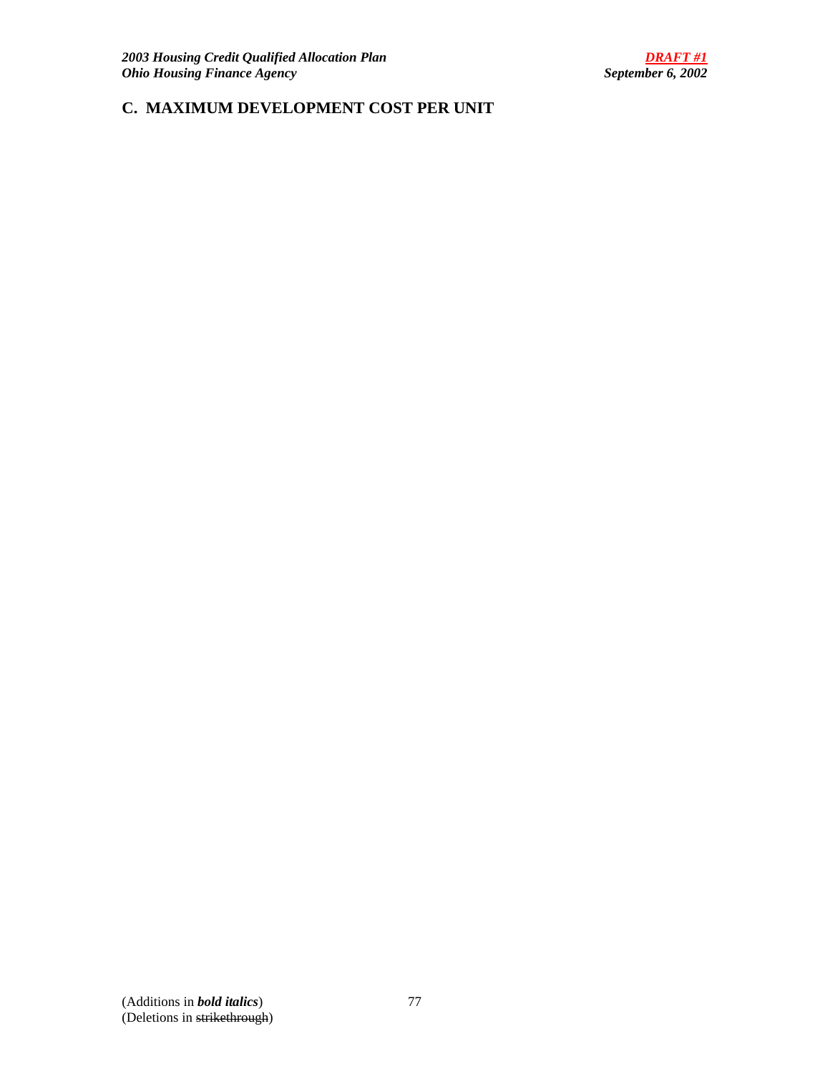# **C. MAXIMUM DEVELOPMENT COST PER UNIT**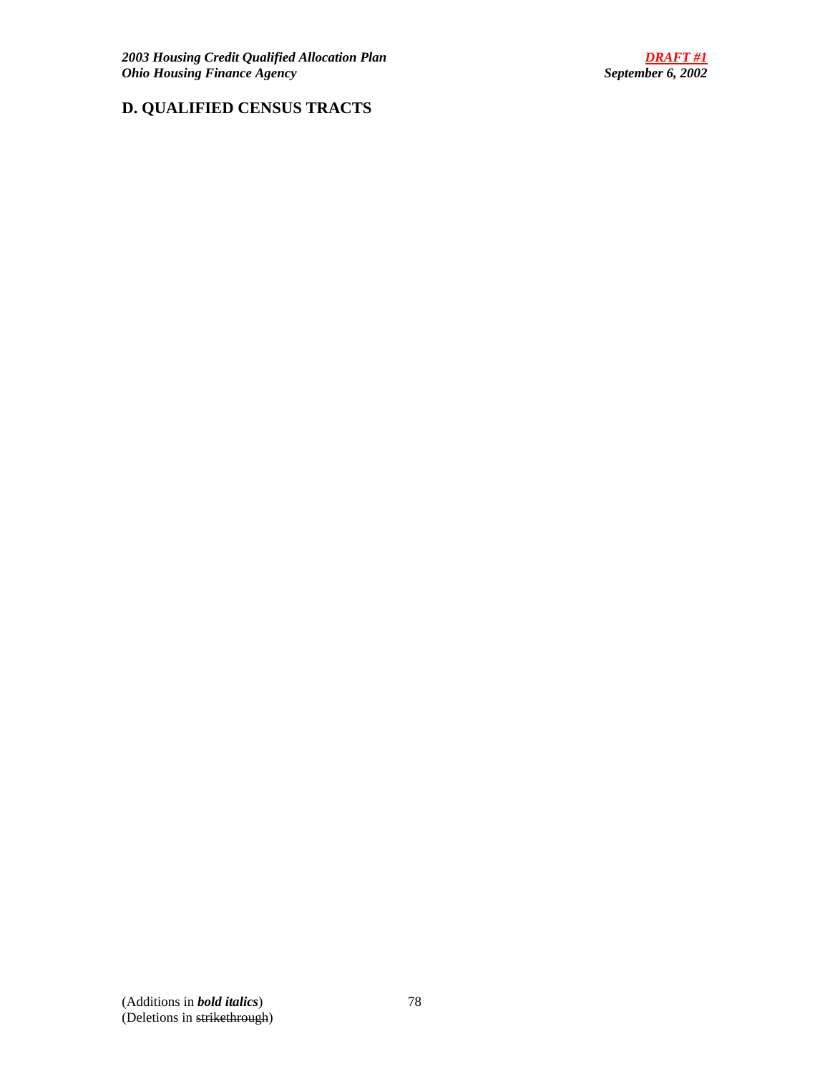# **D. QUALIFIED CENSUS TRACTS**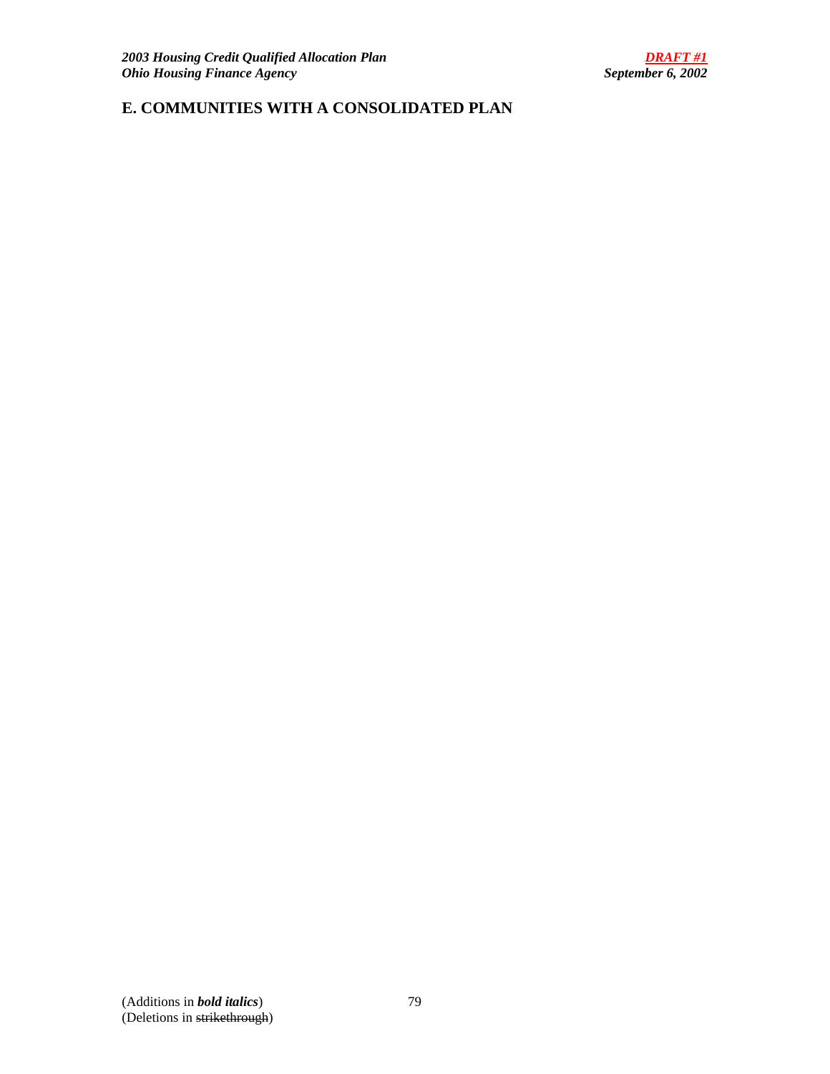# **E. COMMUNITIES WITH A CONSOLIDATED PLAN**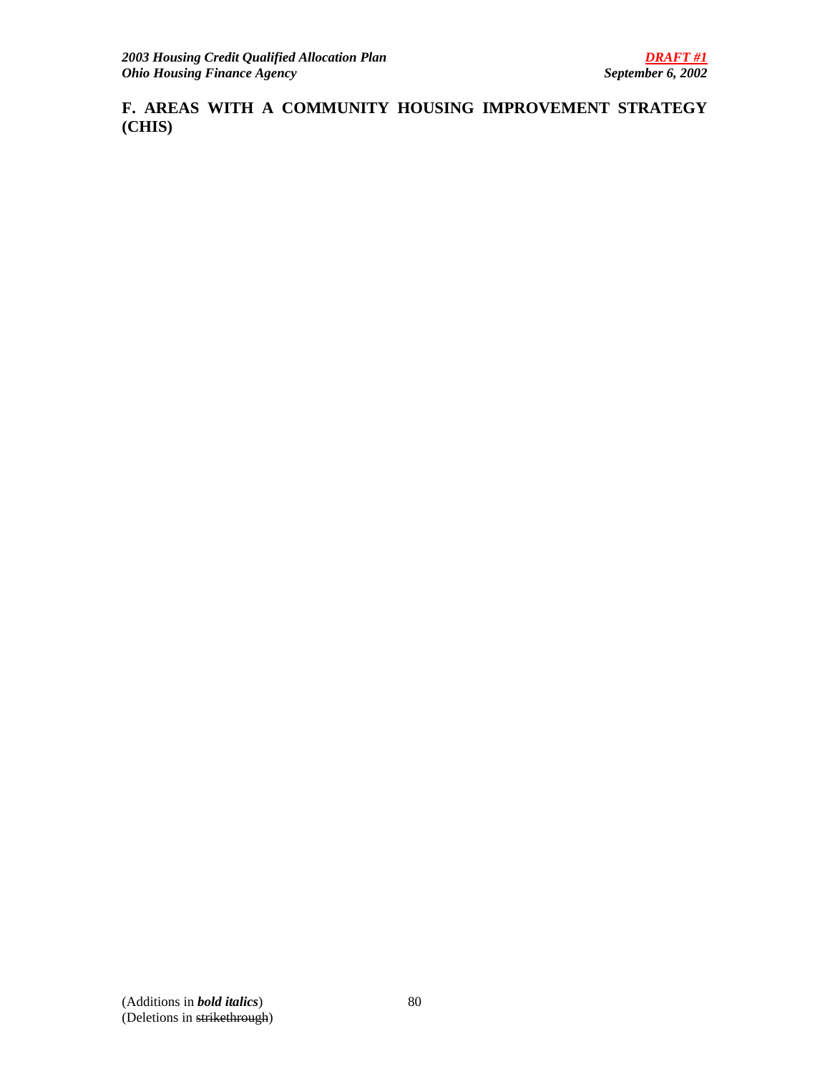**F. AREAS WITH A COMMUNITY HOUSING IMPROVEMENT STRATEGY (CHIS)**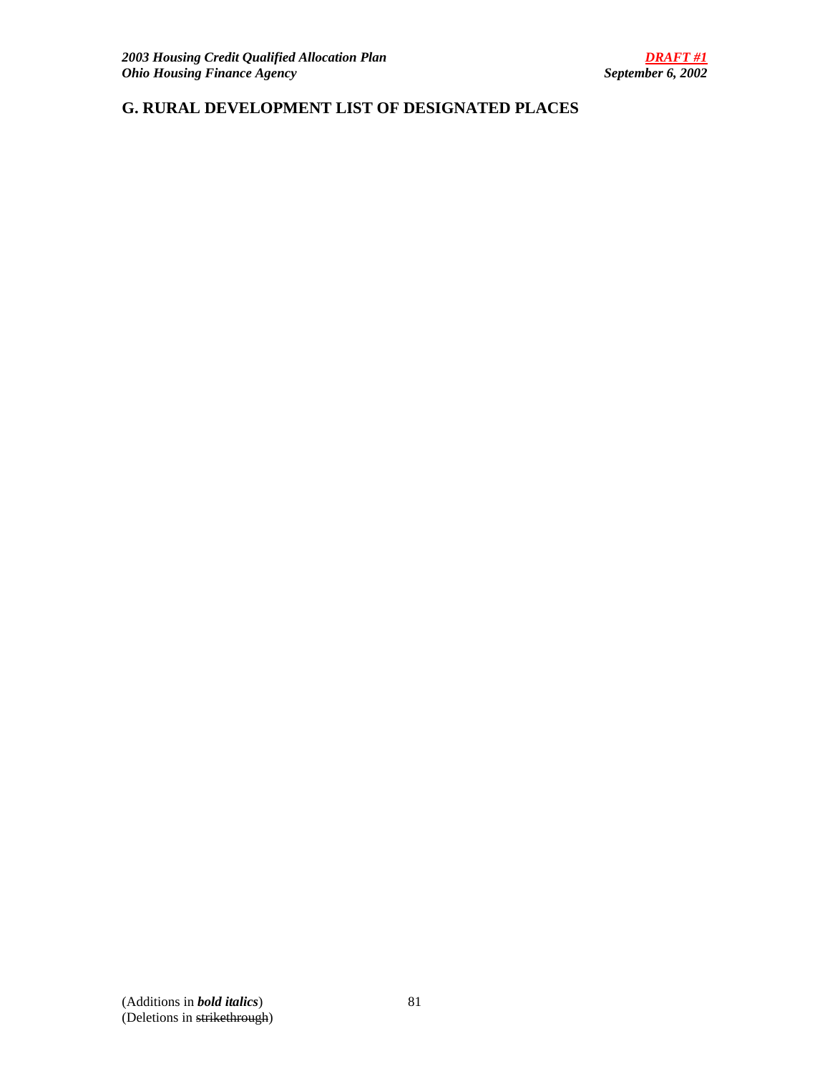# **G. RURAL DEVELOPMENT LIST OF DESIGNATED PLACES**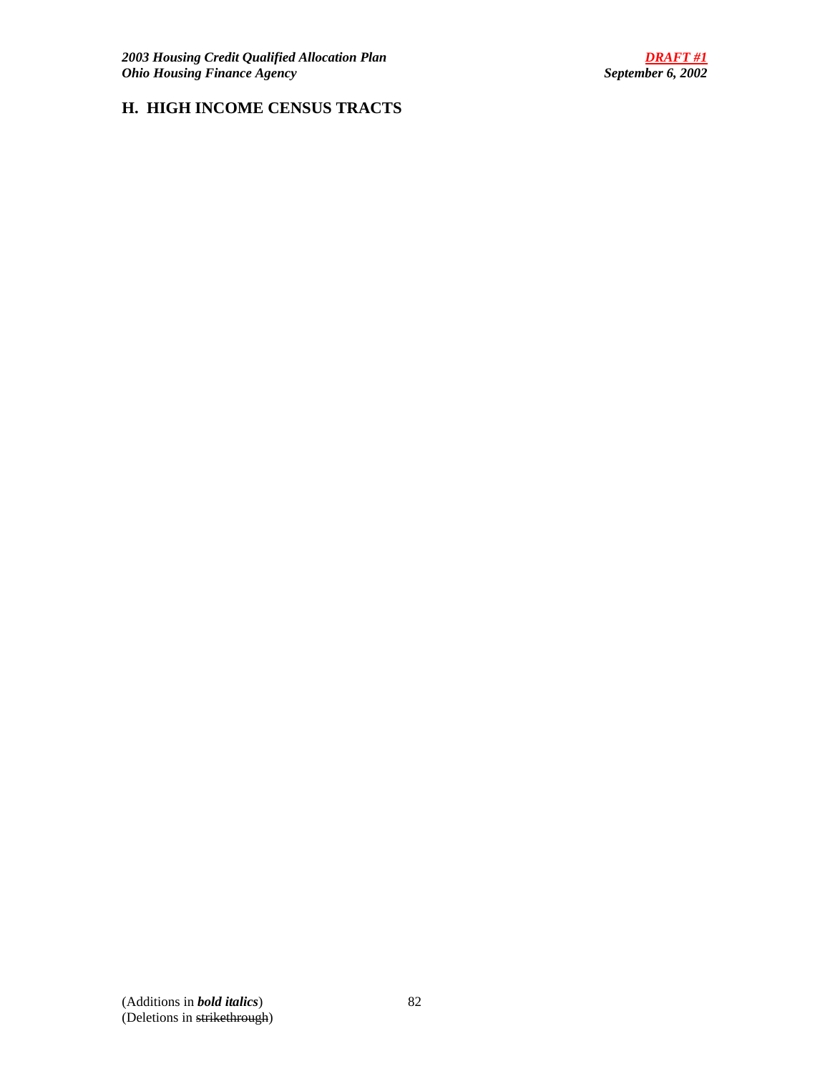# **H. HIGH INCOME CENSUS TRACTS**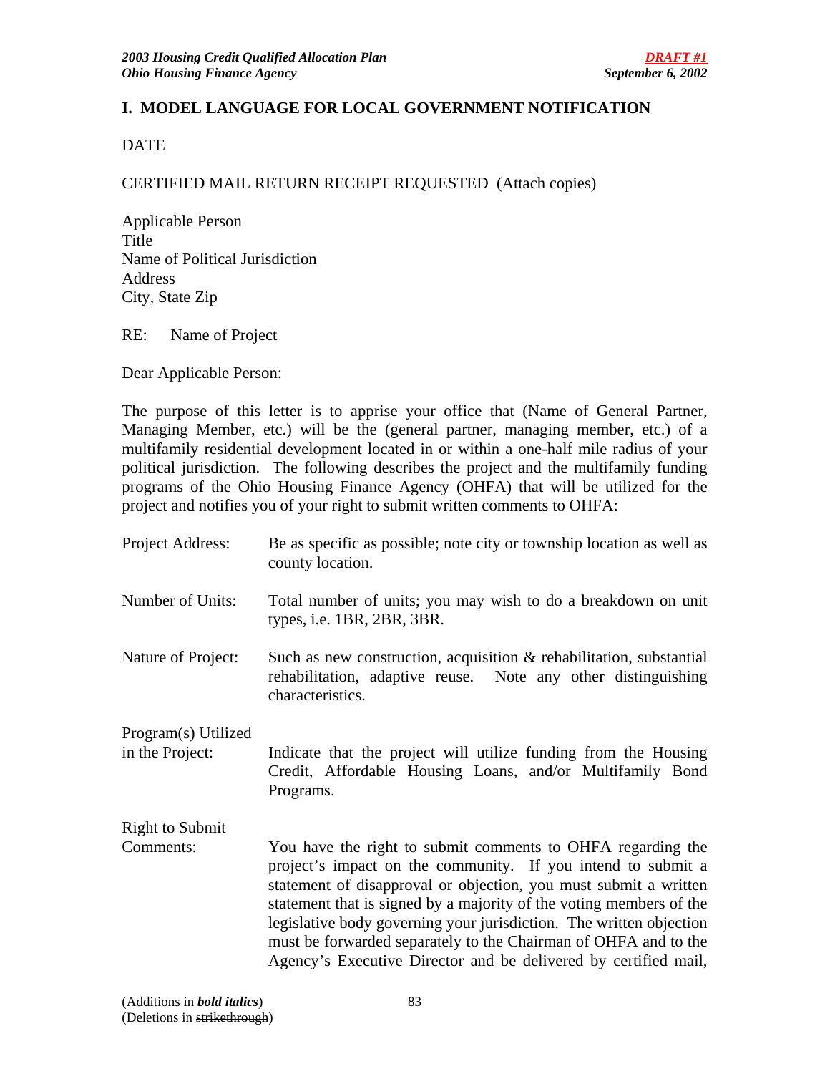# **I. MODEL LANGUAGE FOR LOCAL GOVERNMENT NOTIFICATION**

DATE

# CERTIFIED MAIL RETURN RECEIPT REQUESTED (Attach copies)

Applicable Person Title Name of Political Jurisdiction Address City, State Zip

RE: Name of Project

Dear Applicable Person:

The purpose of this letter is to apprise your office that (Name of General Partner, Managing Member, etc.) will be the (general partner, managing member, etc.) of a multifamily residential development located in or within a one-half mile radius of your political jurisdiction. The following describes the project and the multifamily funding programs of the Ohio Housing Finance Agency (OHFA) that will be utilized for the project and notifies you of your right to submit written comments to OHFA:

| Project Address:                       | Be as specific as possible; note city or township location as well as<br>county location.                                                                                                                                                                                                                                                                                                                                                                                           |
|----------------------------------------|-------------------------------------------------------------------------------------------------------------------------------------------------------------------------------------------------------------------------------------------------------------------------------------------------------------------------------------------------------------------------------------------------------------------------------------------------------------------------------------|
| Number of Units:                       | Total number of units; you may wish to do a breakdown on unit<br>types, i.e. 1BR, 2BR, 3BR.                                                                                                                                                                                                                                                                                                                                                                                         |
| Nature of Project:                     | Such as new construction, acquisition $\&$ rehabilitation, substantial<br>rehabilitation, adaptive reuse. Note any other distinguishing<br>characteristics.                                                                                                                                                                                                                                                                                                                         |
| Program(s) Utilized<br>in the Project: | Indicate that the project will utilize funding from the Housing<br>Credit, Affordable Housing Loans, and/or Multifamily Bond<br>Programs.                                                                                                                                                                                                                                                                                                                                           |
| <b>Right to Submit</b>                 |                                                                                                                                                                                                                                                                                                                                                                                                                                                                                     |
| Comments:                              | You have the right to submit comments to OHFA regarding the<br>project's impact on the community. If you intend to submit a<br>statement of disapproval or objection, you must submit a written<br>statement that is signed by a majority of the voting members of the<br>legislative body governing your jurisdiction. The written objection<br>must be forwarded separately to the Chairman of OHFA and to the<br>Agency's Executive Director and be delivered by certified mail, |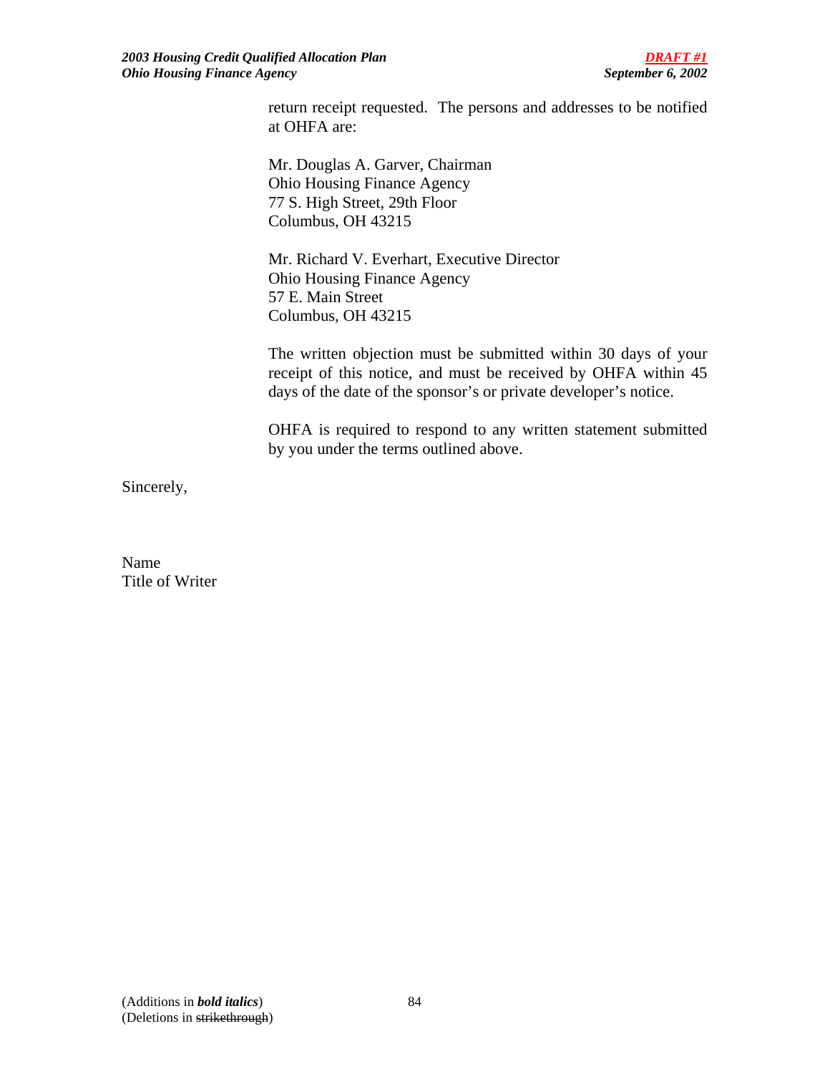return receipt requested. The persons and addresses to be notified at OHFA are:

Mr. Douglas A. Garver, Chairman Ohio Housing Finance Agency 77 S. High Street, 29th Floor Columbus, OH 43215

 Mr. Richard V. Everhart, Executive Director Ohio Housing Finance Agency 57 E. Main Street Columbus, OH 43215

The written objection must be submitted within 30 days of your receipt of this notice, and must be received by OHFA within 45 days of the date of the sponsor's or private developer's notice.

OHFA is required to respond to any written statement submitted by you under the terms outlined above.

Sincerely,

Name Title of Writer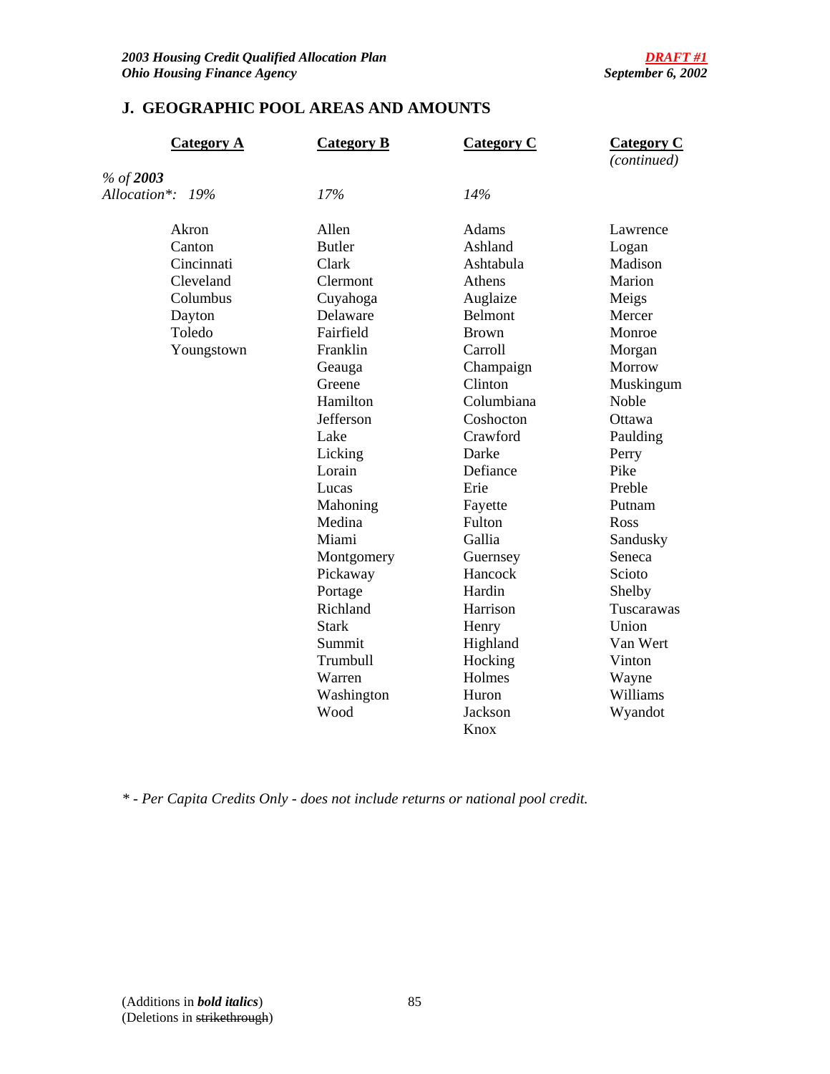# **J. GEOGRAPHIC POOL AREAS AND AMOUNTS**

| <b>Category A</b> | <b>Category B</b> | <b>Category C</b> | <b>Category C</b><br>(continued) |
|-------------------|-------------------|-------------------|----------------------------------|
| % of 2003         |                   |                   |                                  |
| Allocation*: 19%  | 17%               | 14%               |                                  |
| Akron             | Allen             | Adams             | Lawrence                         |
| Canton            | <b>Butler</b>     | Ashland           | Logan                            |
| Cincinnati        | Clark             | Ashtabula         | Madison                          |
| Cleveland         | Clermont          | Athens            | Marion                           |
| Columbus          | Cuyahoga          | Auglaize          | Meigs                            |
| Dayton            | Delaware          | Belmont           | Mercer                           |
| Toledo            | Fairfield         | <b>Brown</b>      | Monroe                           |
| Youngstown        | Franklin          | Carroll           | Morgan                           |
|                   | Geauga            | Champaign         | Morrow                           |
|                   | Greene            | Clinton           | Muskingum                        |
|                   | Hamilton          | Columbiana        | Noble                            |
|                   | Jefferson         | Coshocton         | Ottawa                           |
|                   | Lake              | Crawford          | Paulding                         |
|                   | Licking           | Darke             | Perry                            |
|                   | Lorain            | Defiance          | Pike                             |
|                   | Lucas             | Erie              | Preble                           |
|                   | Mahoning          | Fayette           | Putnam                           |
|                   | Medina            | Fulton            | Ross                             |
|                   | Miami             | Gallia            | Sandusky                         |
|                   | Montgomery        | Guernsey          | Seneca                           |
|                   | Pickaway          | Hancock           | Scioto                           |
|                   | Portage           | Hardin            | Shelby                           |
|                   | Richland          | Harrison          | Tuscarawas                       |
|                   | <b>Stark</b>      | Henry             | Union                            |
|                   | Summit            | Highland          | Van Wert                         |
|                   | Trumbull          | Hocking           | Vinton                           |
|                   | Warren            | Holmes            | Wayne                            |
|                   | Washington        | Huron             | Williams                         |
|                   | Wood              | Jackson           | Wyandot                          |
|                   |                   | Knox              |                                  |

*\* - Per Capita Credits Only - does not include returns or national pool credit.*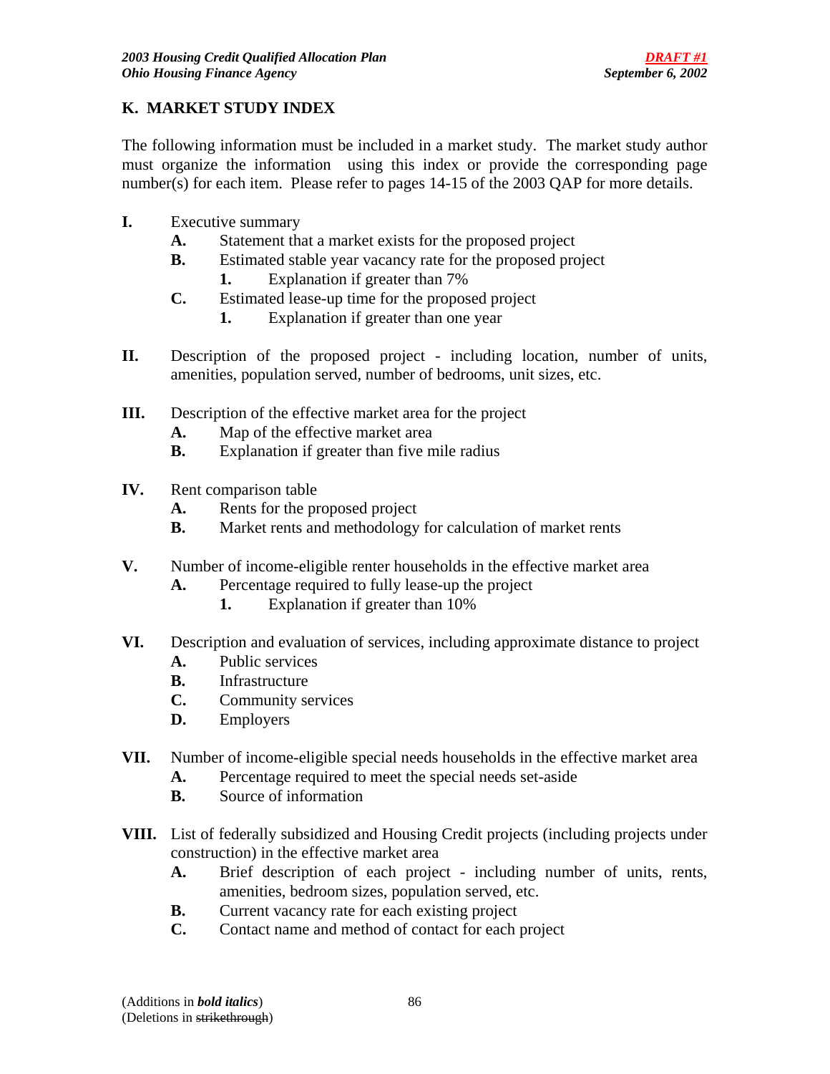# **K. MARKET STUDY INDEX**

The following information must be included in a market study. The market study author must organize the information using this index or provide the corresponding page number(s) for each item. Please refer to pages 14-15 of the 2003 QAP for more details.

- **I.** Executive summary
	- **A.** Statement that a market exists for the proposed project
	- **B.** Estimated stable year vacancy rate for the proposed project
		- **1.** Explanation if greater than 7%
	- **C.** Estimated lease-up time for the proposed project
		- **1.** Explanation if greater than one year
- **II.** Description of the proposed project including location, number of units, amenities, population served, number of bedrooms, unit sizes, etc.
- **III.** Description of the effective market area for the project
	- **A.** Map of the effective market area
	- **B.** Explanation if greater than five mile radius
- **IV.** Rent comparison table
	- **A.** Rents for the proposed project
	- **B.** Market rents and methodology for calculation of market rents
- **V.** Number of income-eligible renter households in the effective market area
	- **A.** Percentage required to fully lease-up the project
		- **1.** Explanation if greater than 10%
- **VI.** Description and evaluation of services, including approximate distance to project
	- **A.** Public services
	- **B.** Infrastructure
	- **C.** Community services
	- **D.** Employers
- **VII.** Number of income-eligible special needs households in the effective market area
	- **A.** Percentage required to meet the special needs set-aside
	- **B.** Source of information
- **VIII.** List of federally subsidized and Housing Credit projects (including projects under construction) in the effective market area
	- **A.** Brief description of each project including number of units, rents, amenities, bedroom sizes, population served, etc.
	- **B.** Current vacancy rate for each existing project
	- **C.** Contact name and method of contact for each project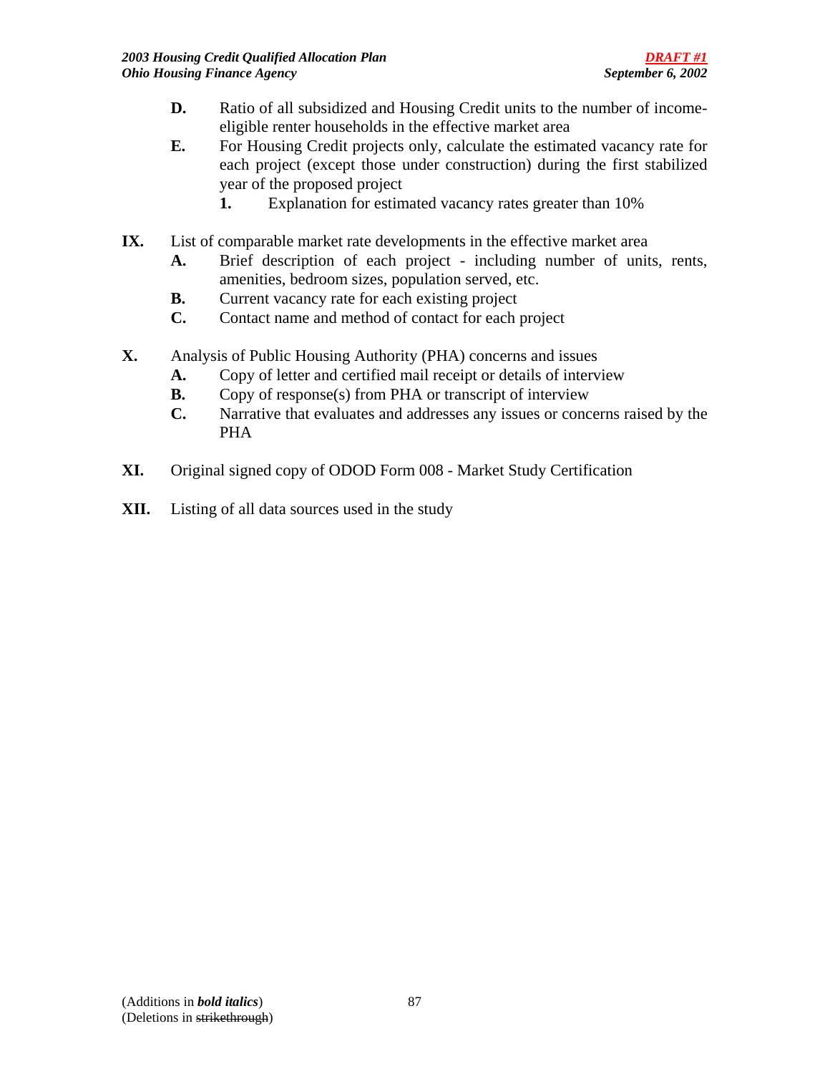- **D.** Ratio of all subsidized and Housing Credit units to the number of incomeeligible renter households in the effective market area
- **E.** For Housing Credit projects only, calculate the estimated vacancy rate for each project (except those under construction) during the first stabilized year of the proposed project
	- **1.** Explanation for estimated vacancy rates greater than 10%
- **IX.** List of comparable market rate developments in the effective market area
	- **A.** Brief description of each project including number of units, rents, amenities, bedroom sizes, population served, etc.
	- **B.** Current vacancy rate for each existing project
	- **C.** Contact name and method of contact for each project
- **X.** Analysis of Public Housing Authority (PHA) concerns and issues
	- **A.** Copy of letter and certified mail receipt or details of interview
	- **B.** Copy of response(s) from PHA or transcript of interview
	- **C.** Narrative that evaluates and addresses any issues or concerns raised by the PHA
- **XI.** Original signed copy of ODOD Form 008 Market Study Certification
- **XII.** Listing of all data sources used in the study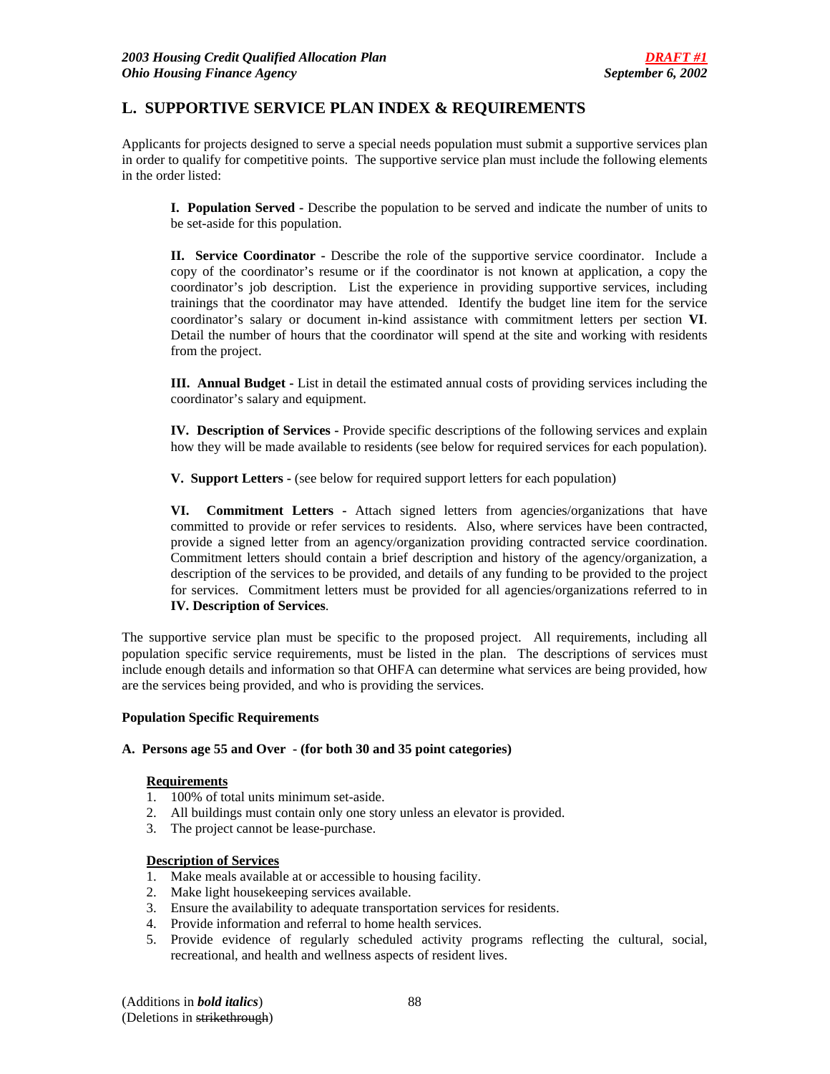## **L. SUPPORTIVE SERVICE PLAN INDEX & REQUIREMENTS**

Applicants for projects designed to serve a special needs population must submit a supportive services plan in order to qualify for competitive points. The supportive service plan must include the following elements in the order listed:

**I. Population Served -** Describe the population to be served and indicate the number of units to be set-aside for this population.

**II. Service Coordinator -** Describe the role of the supportive service coordinator. Include a copy of the coordinator's resume or if the coordinator is not known at application, a copy the coordinator's job description. List the experience in providing supportive services, including trainings that the coordinator may have attended. Identify the budget line item for the service coordinator's salary or document in-kind assistance with commitment letters per section **VI**. Detail the number of hours that the coordinator will spend at the site and working with residents from the project.

**III. Annual Budget -** List in detail the estimated annual costs of providing services including the coordinator's salary and equipment.

**IV. Description of Services -** Provide specific descriptions of the following services and explain how they will be made available to residents (see below for required services for each population).

**V. Support Letters -** (see below for required support letters for each population)

**VI. Commitment Letters -** Attach signed letters from agencies/organizations that have committed to provide or refer services to residents. Also, where services have been contracted, provide a signed letter from an agency/organization providing contracted service coordination. Commitment letters should contain a brief description and history of the agency/organization, a description of the services to be provided, and details of any funding to be provided to the project for services. Commitment letters must be provided for all agencies/organizations referred to in **IV. Description of Services**.

The supportive service plan must be specific to the proposed project. All requirements, including all population specific service requirements, must be listed in the plan. The descriptions of services must include enough details and information so that OHFA can determine what services are being provided, how are the services being provided, and who is providing the services.

#### **Population Specific Requirements**

#### **A. Persons age 55 and Over - (for both 30 and 35 point categories)**

#### **Requirements**

- 1. 100% of total units minimum set-aside.
- 2. All buildings must contain only one story unless an elevator is provided.
- 3. The project cannot be lease-purchase.

#### **Description of Services**

- 1. Make meals available at or accessible to housing facility.
- 2. Make light housekeeping services available.
- 3. Ensure the availability to adequate transportation services for residents.
- 4. Provide information and referral to home health services.
- 5. Provide evidence of regularly scheduled activity programs reflecting the cultural, social, recreational, and health and wellness aspects of resident lives.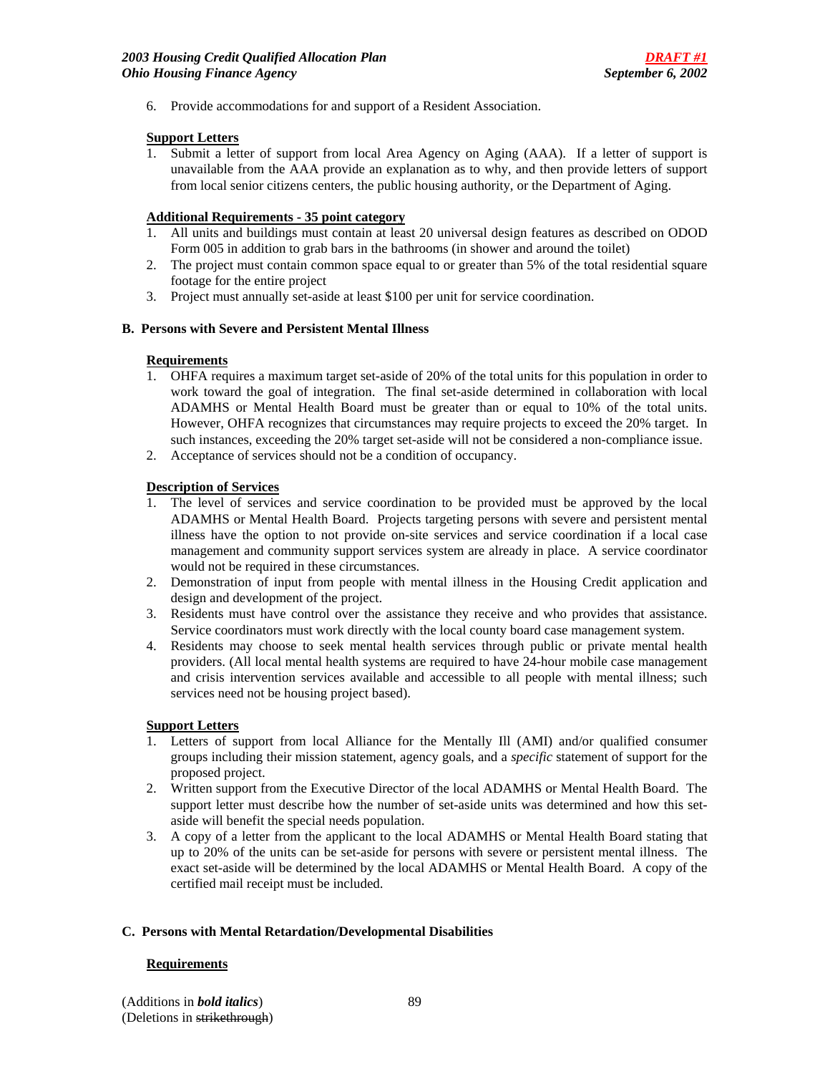6. Provide accommodations for and support of a Resident Association.

### **Support Letters**

1. Submit a letter of support from local Area Agency on Aging (AAA). If a letter of support is unavailable from the AAA provide an explanation as to why, and then provide letters of support from local senior citizens centers, the public housing authority, or the Department of Aging.

### **Additional Requirements - 35 point category**

- 1. All units and buildings must contain at least 20 universal design features as described on ODOD Form 005 in addition to grab bars in the bathrooms (in shower and around the toilet)
- 2. The project must contain common space equal to or greater than 5% of the total residential square footage for the entire project
- 3. Project must annually set-aside at least \$100 per unit for service coordination.

#### **B. Persons with Severe and Persistent Mental Illness**

#### **Requirements**

- 1. OHFA requires a maximum target set-aside of 20% of the total units for this population in order to work toward the goal of integration. The final set-aside determined in collaboration with local ADAMHS or Mental Health Board must be greater than or equal to 10% of the total units. However, OHFA recognizes that circumstances may require projects to exceed the 20% target. In such instances, exceeding the 20% target set-aside will not be considered a non-compliance issue.
- 2. Acceptance of services should not be a condition of occupancy.

#### **Description of Services**

- 1. The level of services and service coordination to be provided must be approved by the local ADAMHS or Mental Health Board. Projects targeting persons with severe and persistent mental illness have the option to not provide on-site services and service coordination if a local case management and community support services system are already in place. A service coordinator would not be required in these circumstances.
- 2. Demonstration of input from people with mental illness in the Housing Credit application and design and development of the project.
- 3. Residents must have control over the assistance they receive and who provides that assistance. Service coordinators must work directly with the local county board case management system.
- 4. Residents may choose to seek mental health services through public or private mental health providers. (All local mental health systems are required to have 24-hour mobile case management and crisis intervention services available and accessible to all people with mental illness; such services need not be housing project based).

### **Support Letters**

- 1. Letters of support from local Alliance for the Mentally Ill (AMI) and/or qualified consumer groups including their mission statement, agency goals, and a *specific* statement of support for the proposed project.
- 2. Written support from the Executive Director of the local ADAMHS or Mental Health Board. The support letter must describe how the number of set-aside units was determined and how this setaside will benefit the special needs population.
- 3. A copy of a letter from the applicant to the local ADAMHS or Mental Health Board stating that up to 20% of the units can be set-aside for persons with severe or persistent mental illness. The exact set-aside will be determined by the local ADAMHS or Mental Health Board. A copy of the certified mail receipt must be included.

#### **C. Persons with Mental Retardation/Developmental Disabilities**

#### **Requirements**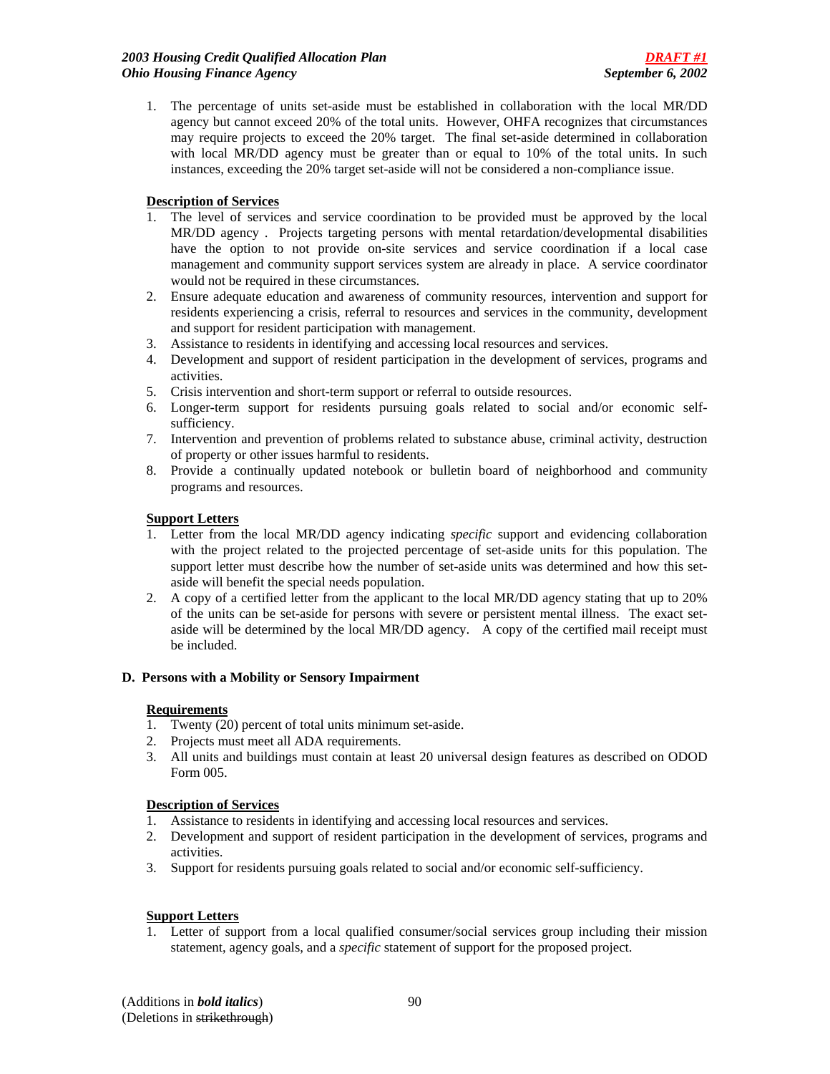1. The percentage of units set-aside must be established in collaboration with the local MR/DD agency but cannot exceed 20% of the total units. However, OHFA recognizes that circumstances may require projects to exceed the 20% target. The final set-aside determined in collaboration with local MR/DD agency must be greater than or equal to 10% of the total units. In such instances, exceeding the 20% target set-aside will not be considered a non-compliance issue.

### **Description of Services**

- 1. The level of services and service coordination to be provided must be approved by the local MR/DD agency . Projects targeting persons with mental retardation/developmental disabilities have the option to not provide on-site services and service coordination if a local case management and community support services system are already in place. A service coordinator would not be required in these circumstances.
- 2. Ensure adequate education and awareness of community resources, intervention and support for residents experiencing a crisis, referral to resources and services in the community, development and support for resident participation with management.
- 3. Assistance to residents in identifying and accessing local resources and services.
- 4. Development and support of resident participation in the development of services, programs and activities.
- 5. Crisis intervention and short-term support or referral to outside resources.
- 6. Longer-term support for residents pursuing goals related to social and/or economic selfsufficiency.
- 7. Intervention and prevention of problems related to substance abuse, criminal activity, destruction of property or other issues harmful to residents.
- 8. Provide a continually updated notebook or bulletin board of neighborhood and community programs and resources.

### **Support Letters**

- 1. Letter from the local MR/DD agency indicating *specific* support and evidencing collaboration with the project related to the projected percentage of set-aside units for this population. The support letter must describe how the number of set-aside units was determined and how this setaside will benefit the special needs population.
- 2. A copy of a certified letter from the applicant to the local MR/DD agency stating that up to 20% of the units can be set-aside for persons with severe or persistent mental illness. The exact setaside will be determined by the local MR/DD agency. A copy of the certified mail receipt must be included.

### **D. Persons with a Mobility or Sensory Impairment**

### **Requirements**

- 1. Twenty (20) percent of total units minimum set-aside.
- 2. Projects must meet all ADA requirements.
- 3. All units and buildings must contain at least 20 universal design features as described on ODOD Form 005.

### **Description of Services**

- 1. Assistance to residents in identifying and accessing local resources and services.
- 2. Development and support of resident participation in the development of services, programs and activities.
- 3. Support for residents pursuing goals related to social and/or economic self-sufficiency.

### **Support Letters**

1. Letter of support from a local qualified consumer/social services group including their mission statement, agency goals, and a *specific* statement of support for the proposed project.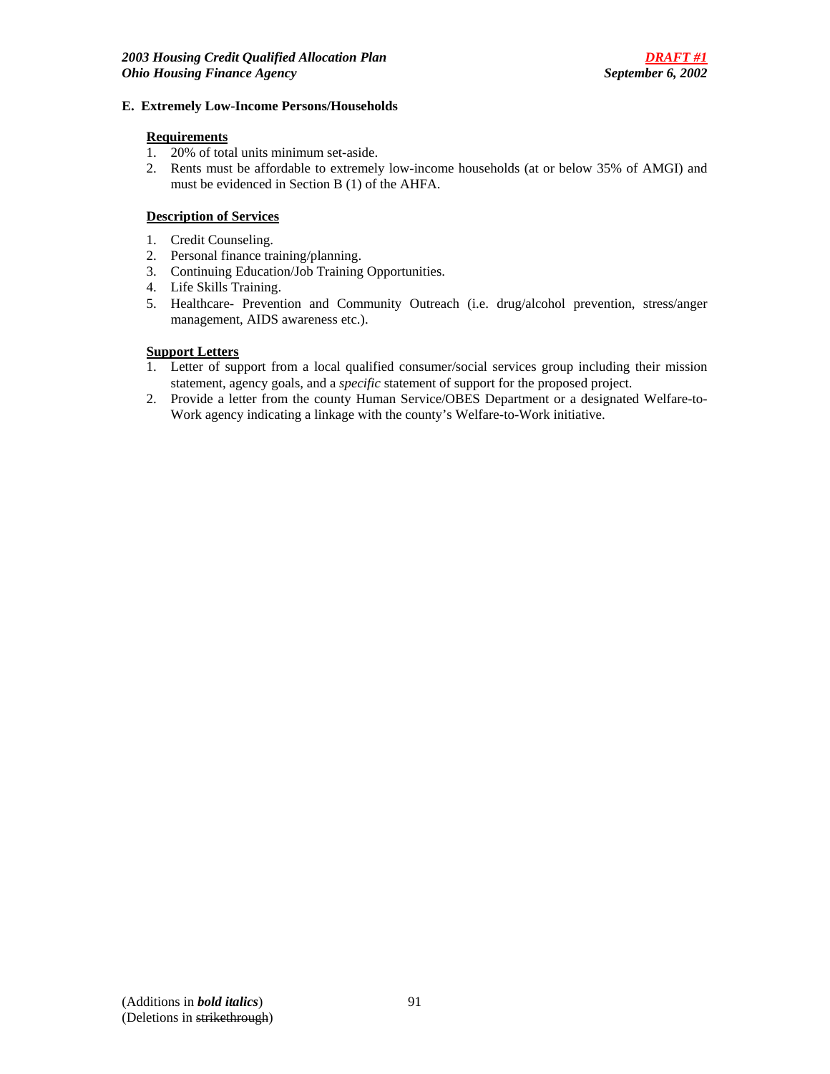#### **E. Extremely Low-Income Persons/Households**

### **Requirements**

- 1. 20% of total units minimum set-aside.
- 2. Rents must be affordable to extremely low-income households (at or below 35% of AMGI) and must be evidenced in Section B (1) of the AHFA.

### **Description of Services**

- 1. Credit Counseling.
- 2. Personal finance training/planning.
- 3. Continuing Education/Job Training Opportunities.
- 4. Life Skills Training.
- 5. Healthcare- Prevention and Community Outreach (i.e. drug/alcohol prevention, stress/anger management, AIDS awareness etc.).

### **Support Letters**

- 1. Letter of support from a local qualified consumer/social services group including their mission statement, agency goals, and a *specific* statement of support for the proposed project.
- 2. Provide a letter from the county Human Service/OBES Department or a designated Welfare-to-Work agency indicating a linkage with the county's Welfare-to-Work initiative.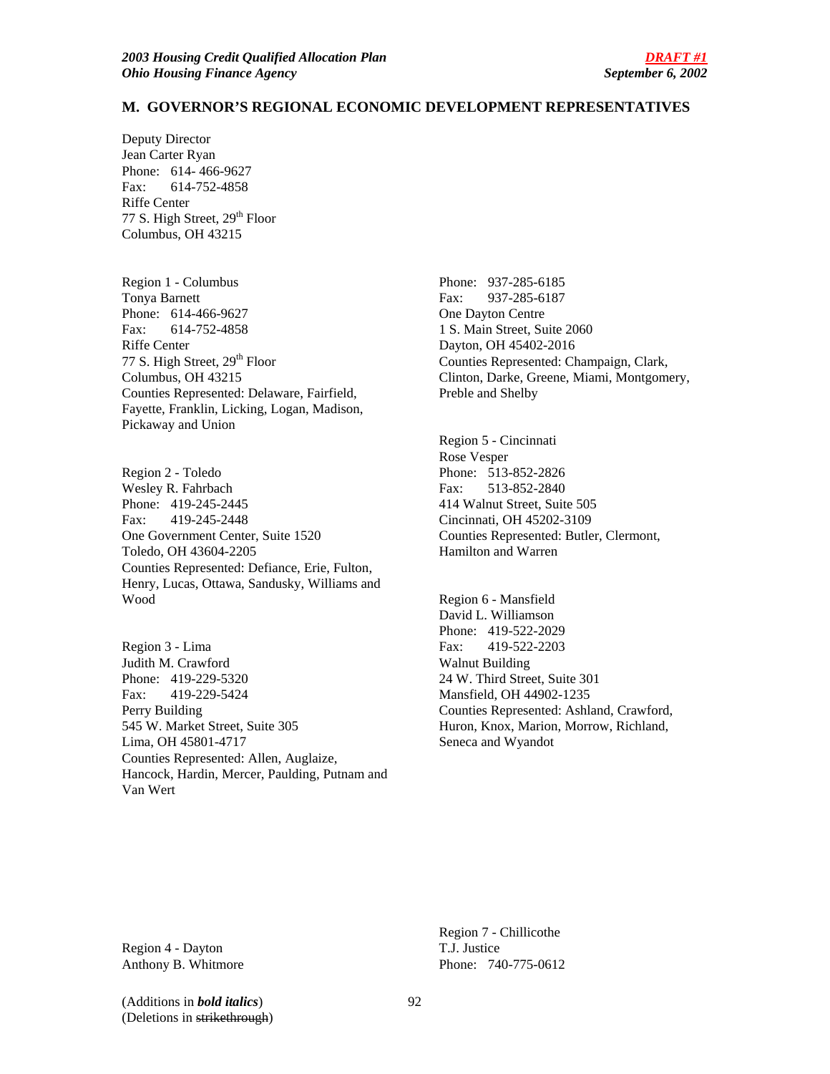#### **M. GOVERNOR'S REGIONAL ECONOMIC DEVELOPMENT REPRESENTATIVES**

Deputy Director Jean Carter Ryan Phone: 614- 466-9627 Fax: 614-752-4858 Riffe Center 77 S. High Street, 29<sup>th</sup> Floor Columbus, OH 43215

Region 1 - Columbus Tonya Barnett Phone: 614-466-9627 Fax: 614-752-4858 Riffe Center 77 S. High Street, 29<sup>th</sup> Floor Columbus, OH 43215 Counties Represented: Delaware, Fairfield, Fayette, Franklin, Licking, Logan, Madison, Pickaway and Union

Region 2 - Toledo Wesley R. Fahrbach Phone: 419-245-2445 Fax: 419-245-2448 One Government Center, Suite 1520 Toledo, OH 43604-2205 Counties Represented: Defiance, Erie, Fulton, Henry, Lucas, Ottawa, Sandusky, Williams and Wood

Region 3 - Lima Judith M. Crawford Phone: 419-229-5320 Fax: 419-229-5424 Perry Building 545 W. Market Street, Suite 305 Lima, OH 45801-4717 Counties Represented: Allen, Auglaize, Hancock, Hardin, Mercer, Paulding, Putnam and Van Wert

Phone: 937-285-6185 Fax: 937-285-6187 One Dayton Centre 1 S. Main Street, Suite 2060 Dayton, OH 45402-2016 Counties Represented: Champaign, Clark, Clinton, Darke, Greene, Miami, Montgomery, Preble and Shelby

Region 5 - Cincinnati Rose Vesper Phone: 513-852-2826 Fax: 513-852-2840 414 Walnut Street, Suite 505 Cincinnati, OH 45202-3109 Counties Represented: Butler, Clermont, Hamilton and Warren

Region 6 - Mansfield David L. Williamson Phone: 419-522-2029 Fax: 419-522-2203 Walnut Building 24 W. Third Street, Suite 301 Mansfield, OH 44902-1235 Counties Represented: Ashland, Crawford, Huron, Knox, Marion, Morrow, Richland, Seneca and Wyandot

Region 4 - Dayton Anthony B. Whitmore

Region 7 - Chillicothe T.J. Justice Phone: 740-775-0612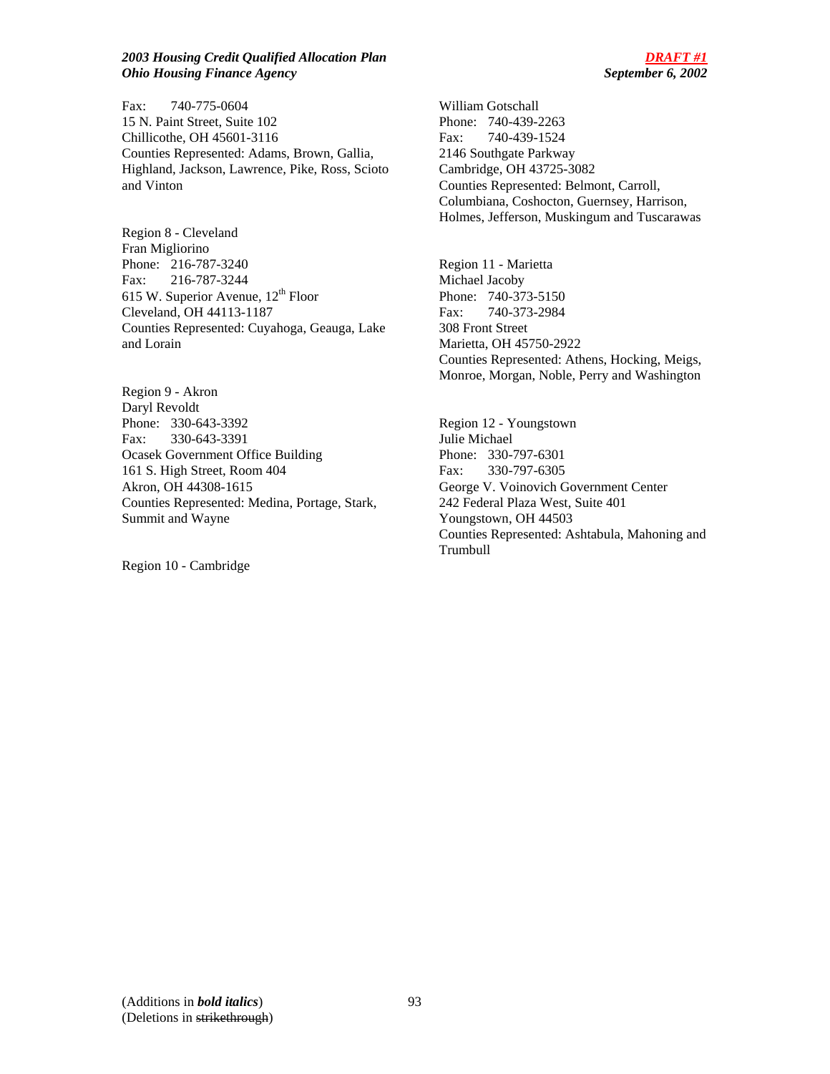#### *2003 Housing Credit Qualified Allocation Plan DRAFT #1 Ohio Housing Finance Agency September 6, 2002*

Fax: 740-775-0604 15 N. Paint Street, Suite 102 Chillicothe, OH 45601-3116 Counties Represented: Adams, Brown, Gallia, Highland, Jackson, Lawrence, Pike, Ross, Scioto and Vinton

Region 8 - Cleveland Fran Migliorino Phone: 216-787-3240 Fax: 216-787-3244 615 W. Superior Avenue,  $12<sup>th</sup>$  Floor Cleveland, OH 44113-1187 Counties Represented: Cuyahoga, Geauga, Lake and Lorain

Region 9 - Akron Daryl Revoldt Phone: 330-643-3392 Fax: 330-643-3391 Ocasek Government Office Building 161 S. High Street, Room 404 Akron, OH 44308-1615 Counties Represented: Medina, Portage, Stark, Summit and Wayne

Region 10 - Cambridge

William Gotschall Phone: 740-439-2263 Fax: 740-439-1524 2146 Southgate Parkway Cambridge, OH 43725-3082 Counties Represented: Belmont, Carroll, Columbiana, Coshocton, Guernsey, Harrison, Holmes, Jefferson, Muskingum and Tuscarawas

Region 11 - Marietta Michael Jacoby Phone: 740-373-5150 Fax: 740-373-2984 308 Front Street Marietta, OH 45750-2922 Counties Represented: Athens, Hocking, Meigs, Monroe, Morgan, Noble, Perry and Washington

Region 12 - Youngstown Julie Michael Phone: 330-797-6301 Fax: 330-797-6305 George V. Voinovich Government Center 242 Federal Plaza West, Suite 401 Youngstown, OH 44503 Counties Represented: Ashtabula, Mahoning and Trumbull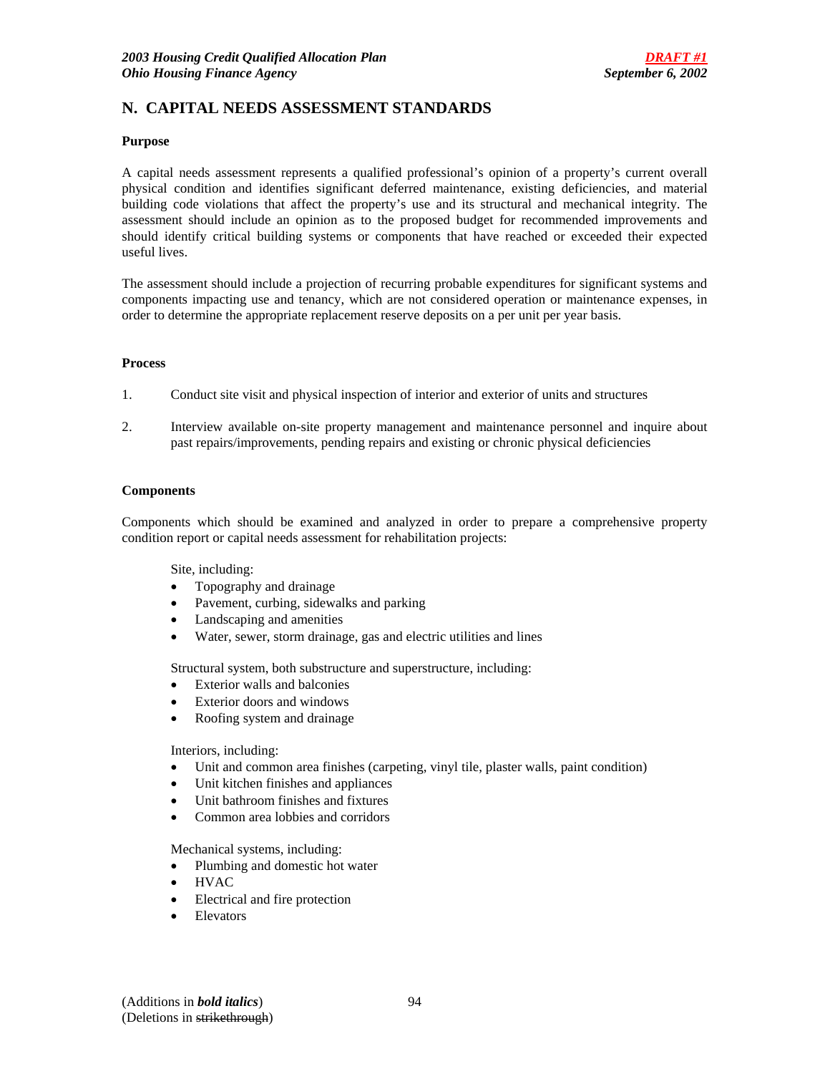# **N. CAPITAL NEEDS ASSESSMENT STANDARDS**

#### **Purpose**

A capital needs assessment represents a qualified professional's opinion of a property's current overall physical condition and identifies significant deferred maintenance, existing deficiencies, and material building code violations that affect the property's use and its structural and mechanical integrity. The assessment should include an opinion as to the proposed budget for recommended improvements and should identify critical building systems or components that have reached or exceeded their expected useful lives.

The assessment should include a projection of recurring probable expenditures for significant systems and components impacting use and tenancy, which are not considered operation or maintenance expenses, in order to determine the appropriate replacement reserve deposits on a per unit per year basis.

#### **Process**

- 1. Conduct site visit and physical inspection of interior and exterior of units and structures
- 2. Interview available on-site property management and maintenance personnel and inquire about past repairs/improvements, pending repairs and existing or chronic physical deficiencies

#### **Components**

Components which should be examined and analyzed in order to prepare a comprehensive property condition report or capital needs assessment for rehabilitation projects:

Site, including:

- Topography and drainage
- Pavement, curbing, sidewalks and parking
- Landscaping and amenities
- Water, sewer, storm drainage, gas and electric utilities and lines

Structural system, both substructure and superstructure, including:

- Exterior walls and balconies
- Exterior doors and windows
- Roofing system and drainage

Interiors, including:

- Unit and common area finishes (carpeting, vinyl tile, plaster walls, paint condition)
- Unit kitchen finishes and appliances
- Unit bathroom finishes and fixtures
- Common area lobbies and corridors

Mechanical systems, including:

- Plumbing and domestic hot water
- HVAC
- Electrical and fire protection
- **Elevators**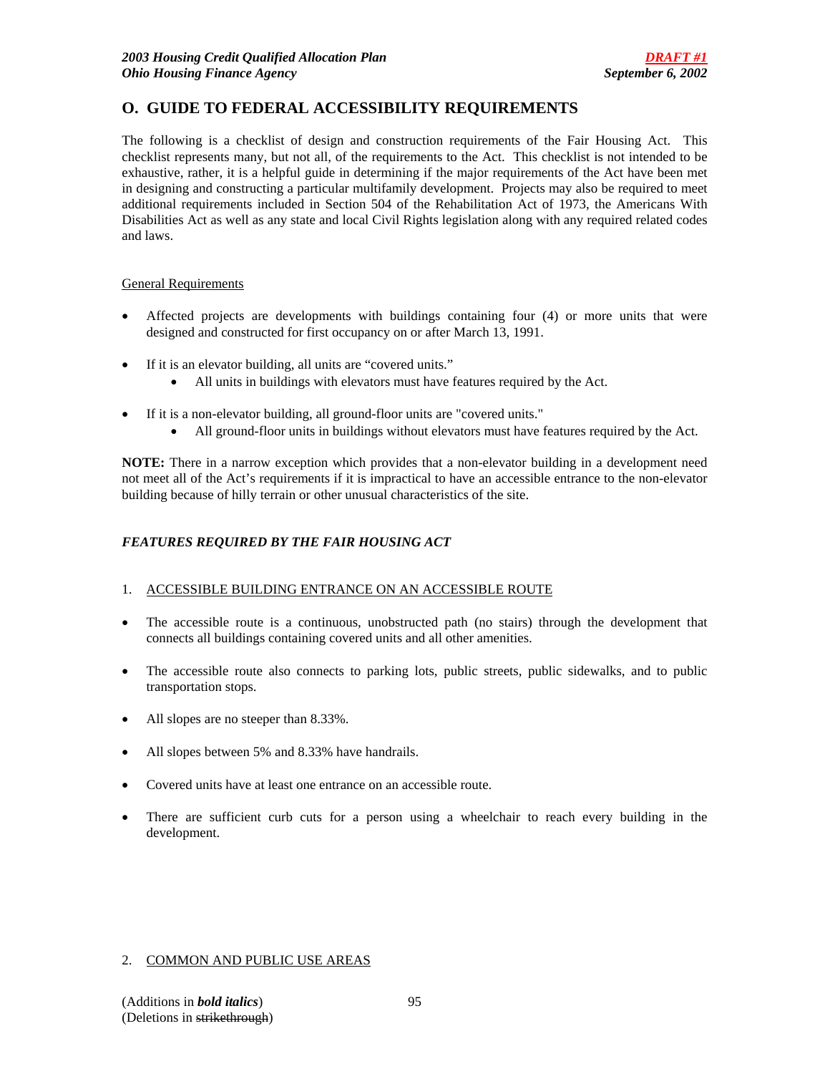# **O. GUIDE TO FEDERAL ACCESSIBILITY REQUIREMENTS**

The following is a checklist of design and construction requirements of the Fair Housing Act. This checklist represents many, but not all, of the requirements to the Act. This checklist is not intended to be exhaustive, rather, it is a helpful guide in determining if the major requirements of the Act have been met in designing and constructing a particular multifamily development. Projects may also be required to meet additional requirements included in Section 504 of the Rehabilitation Act of 1973, the Americans With Disabilities Act as well as any state and local Civil Rights legislation along with any required related codes and laws.

### General Requirements

- Affected projects are developments with buildings containing four (4) or more units that were designed and constructed for first occupancy on or after March 13, 1991.
- If it is an elevator building, all units are "covered units."
	- All units in buildings with elevators must have features required by the Act.
- If it is a non-elevator building, all ground-floor units are "covered units."
	- All ground-floor units in buildings without elevators must have features required by the Act.

**NOTE:** There in a narrow exception which provides that a non-elevator building in a development need not meet all of the Act's requirements if it is impractical to have an accessible entrance to the non-elevator building because of hilly terrain or other unusual characteristics of the site.

### *FEATURES REQUIRED BY THE FAIR HOUSING ACT*

### 1. ACCESSIBLE BUILDING ENTRANCE ON AN ACCESSIBLE ROUTE

- The accessible route is a continuous, unobstructed path (no stairs) through the development that connects all buildings containing covered units and all other amenities.
- The accessible route also connects to parking lots, public streets, public sidewalks, and to public transportation stops.
- All slopes are no steeper than 8.33%.
- All slopes between 5% and 8.33% have handrails.
- Covered units have at least one entrance on an accessible route.
- There are sufficient curb cuts for a person using a wheelchair to reach every building in the development.

### 2. COMMON AND PUBLIC USE AREAS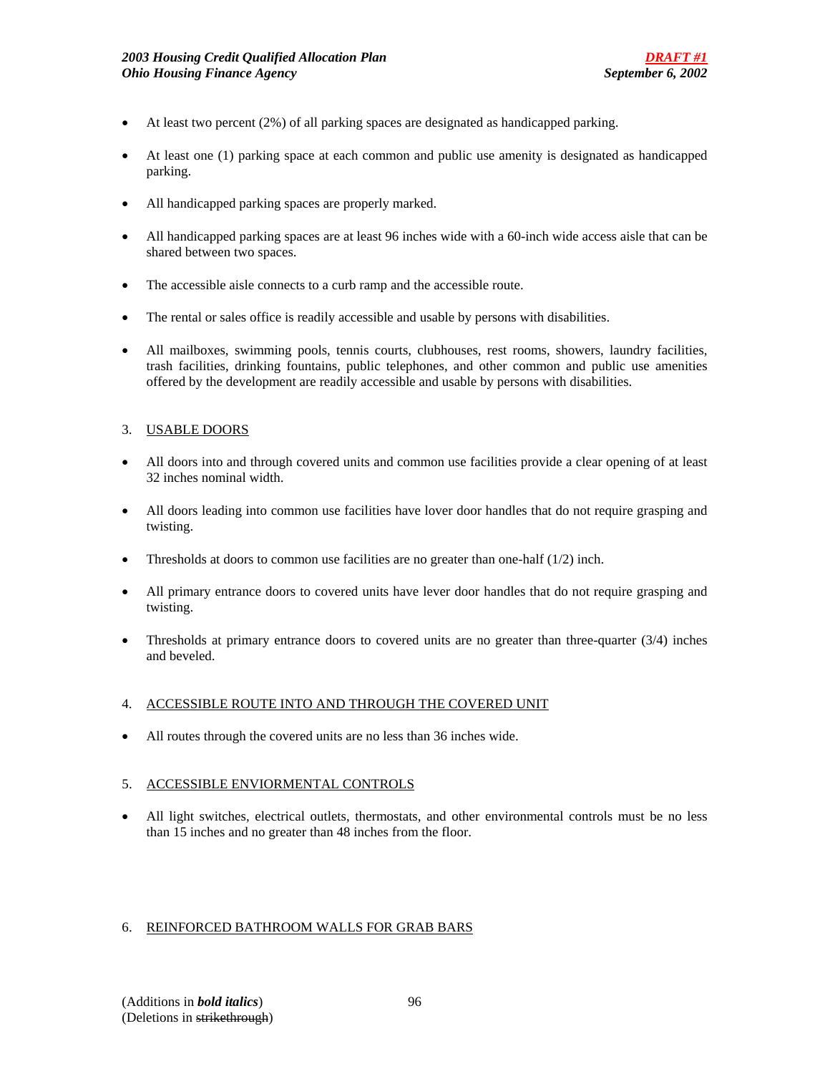- At least two percent (2%) of all parking spaces are designated as handicapped parking.
- At least one (1) parking space at each common and public use amenity is designated as handicapped parking.
- All handicapped parking spaces are properly marked.
- All handicapped parking spaces are at least 96 inches wide with a 60-inch wide access aisle that can be shared between two spaces.
- The accessible aisle connects to a curb ramp and the accessible route.
- The rental or sales office is readily accessible and usable by persons with disabilities.
- All mailboxes, swimming pools, tennis courts, clubhouses, rest rooms, showers, laundry facilities, trash facilities, drinking fountains, public telephones, and other common and public use amenities offered by the development are readily accessible and usable by persons with disabilities.

### 3. USABLE DOORS

- All doors into and through covered units and common use facilities provide a clear opening of at least 32 inches nominal width.
- All doors leading into common use facilities have lover door handles that do not require grasping and twisting.
- Thresholds at doors to common use facilities are no greater than one-half  $(1/2)$  inch.
- All primary entrance doors to covered units have lever door handles that do not require grasping and twisting.
- Thresholds at primary entrance doors to covered units are no greater than three-quarter  $(3/4)$  inches and beveled.

### 4. ACCESSIBLE ROUTE INTO AND THROUGH THE COVERED UNIT

• All routes through the covered units are no less than 36 inches wide.

### 5. ACCESSIBLE ENVIORMENTAL CONTROLS

• All light switches, electrical outlets, thermostats, and other environmental controls must be no less than 15 inches and no greater than 48 inches from the floor.

### 6. REINFORCED BATHROOM WALLS FOR GRAB BARS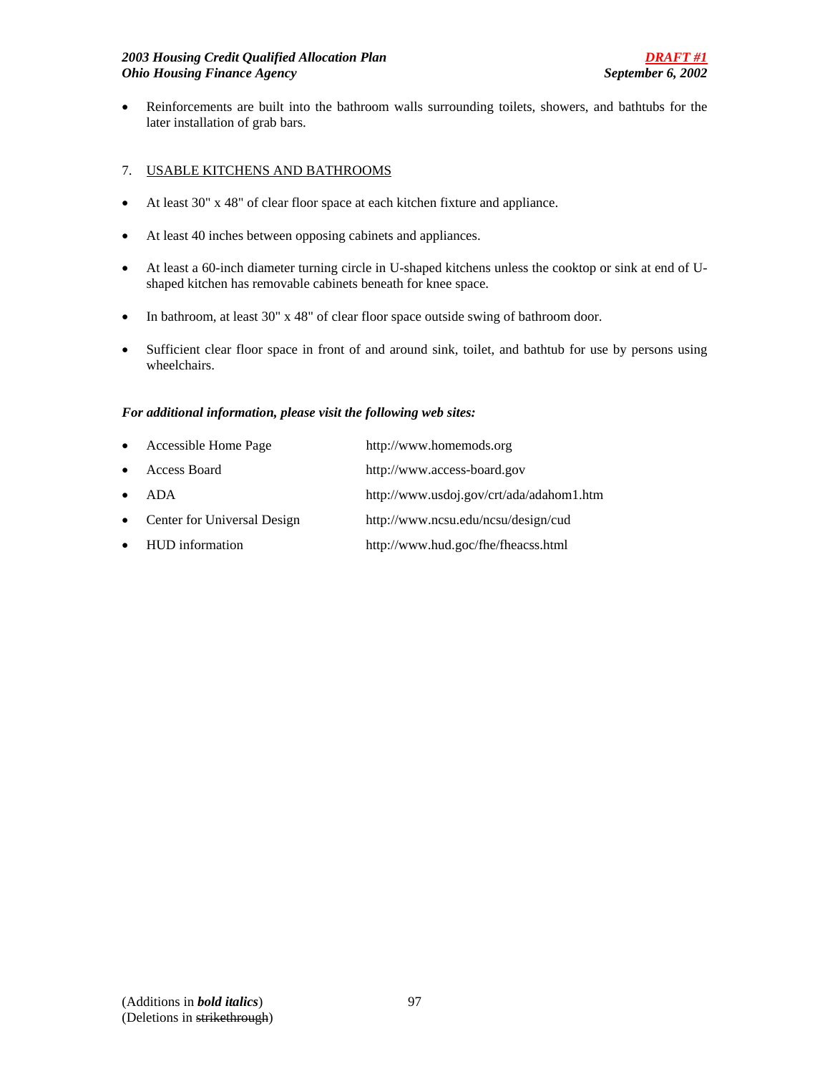• Reinforcements are built into the bathroom walls surrounding toilets, showers, and bathtubs for the later installation of grab bars.

# 7. USABLE KITCHENS AND BATHROOMS

- At least 30" x 48" of clear floor space at each kitchen fixture and appliance.
- At least 40 inches between opposing cabinets and appliances.
- At least a 60-inch diameter turning circle in U-shaped kitchens unless the cooktop or sink at end of Ushaped kitchen has removable cabinets beneath for knee space.
- In bathroom, at least 30" x 48" of clear floor space outside swing of bathroom door.
- Sufficient clear floor space in front of and around sink, toilet, and bathtub for use by persons using wheelchairs.

### *For additional information, please visit the following web sites:*

| $\bullet$ | Accessible Home Page        | http://www.homemods.org                  |
|-----------|-----------------------------|------------------------------------------|
| $\bullet$ | Access Board                | http://www.access-board.gov              |
| $\bullet$ | ADA                         | http://www.usdoj.gov/crt/ada/adahom1.htm |
| $\bullet$ | Center for Universal Design | http://www.ncsu.edu/ncsu/design/cud      |
|           | • HUD information           | http://www.hud.goc/fhe/fheacss.html      |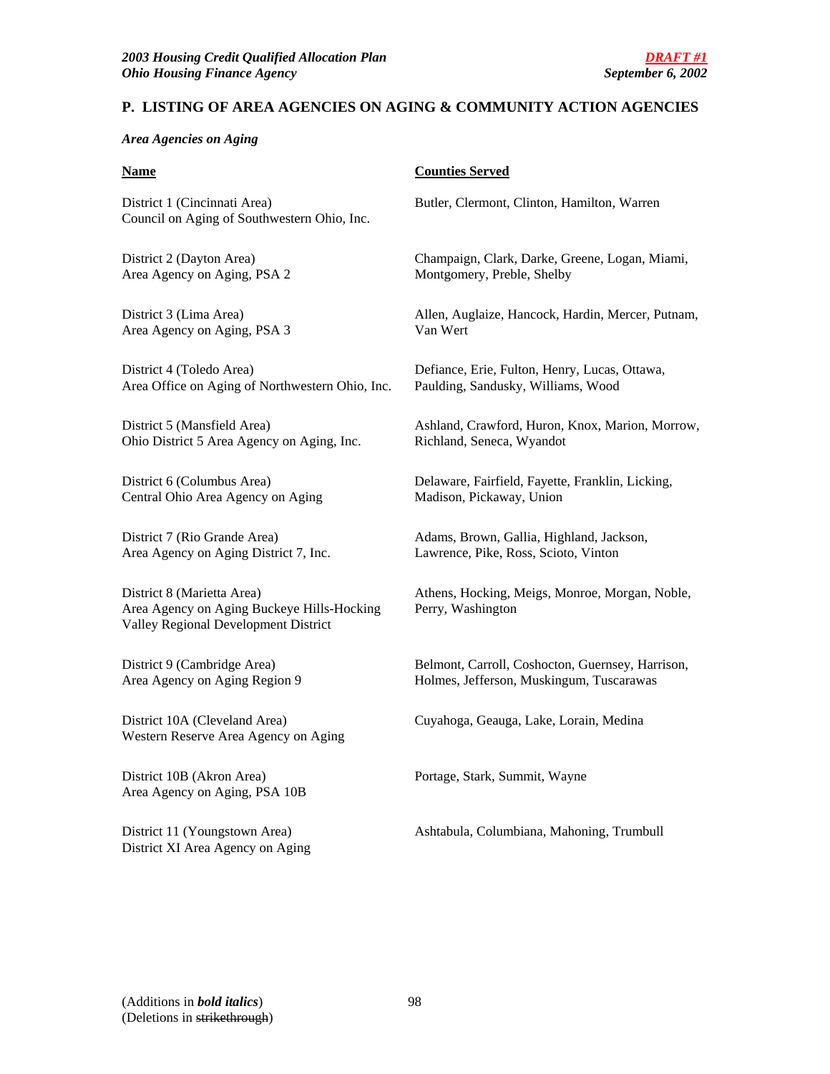# **P. LISTING OF AREA AGENCIES ON AGING & COMMUNITY ACTION AGENCIES**

### *Area Agencies on Aging*

District 1 (Cincinnati Area) Butler, Clermont, Clinton, Hamilton, Warren Council on Aging of Southwestern Ohio, Inc.

Area Agency on Aging, PSA 2 Montgomery, Preble, Shelby

Area Agency on Aging, PSA 3 Van Wert

District 4 (Toledo Area) Defiance, Erie, Fulton, Henry, Lucas, Ottawa, Area Office on Aging of Northwestern Ohio, Inc. Paulding, Sandusky, Williams, Wood

Ohio District 5 Area Agency on Aging, Inc. Richland, Seneca, Wyandot

Central Ohio Area Agency on Aging Madison, Pickaway, Union

Area Agency on Aging District 7, Inc. Lawrence, Pike, Ross, Scioto, Vinton

Area Agency on Aging Buckeye Hills-Hocking Perry, Washington Valley Regional Development District

District 10A (Cleveland Area) Cuyahoga, Geauga, Lake, Lorain, Medina Western Reserve Area Agency on Aging

District 10B (Akron Area) Portage, Stark, Summit, Wayne Area Agency on Aging, PSA 10B

District XI Area Agency on Aging

### **Name** Counties Served

District 2 (Dayton Area) Champaign, Clark, Darke, Greene, Logan, Miami,

District 3 (Lima Area) Allen, Auglaize, Hancock, Hardin, Mercer, Putnam,

District 5 (Mansfield Area) Ashland, Crawford, Huron, Knox, Marion, Morrow,

District 6 (Columbus Area) Delaware, Fairfield, Fayette, Franklin, Licking,

District 7 (Rio Grande Area) Adams, Brown, Gallia, Highland, Jackson,

District 8 (Marietta Area) Athens, Hocking, Meigs, Monroe, Morgan, Noble,

District 9 (Cambridge Area) Belmont, Carroll, Coshocton, Guernsey, Harrison, Area Agency on Aging Region 9 Holmes, Jefferson, Muskingum, Tuscarawas

District 11 (Youngstown Area) Ashtabula, Columbiana, Mahoning, Trumbull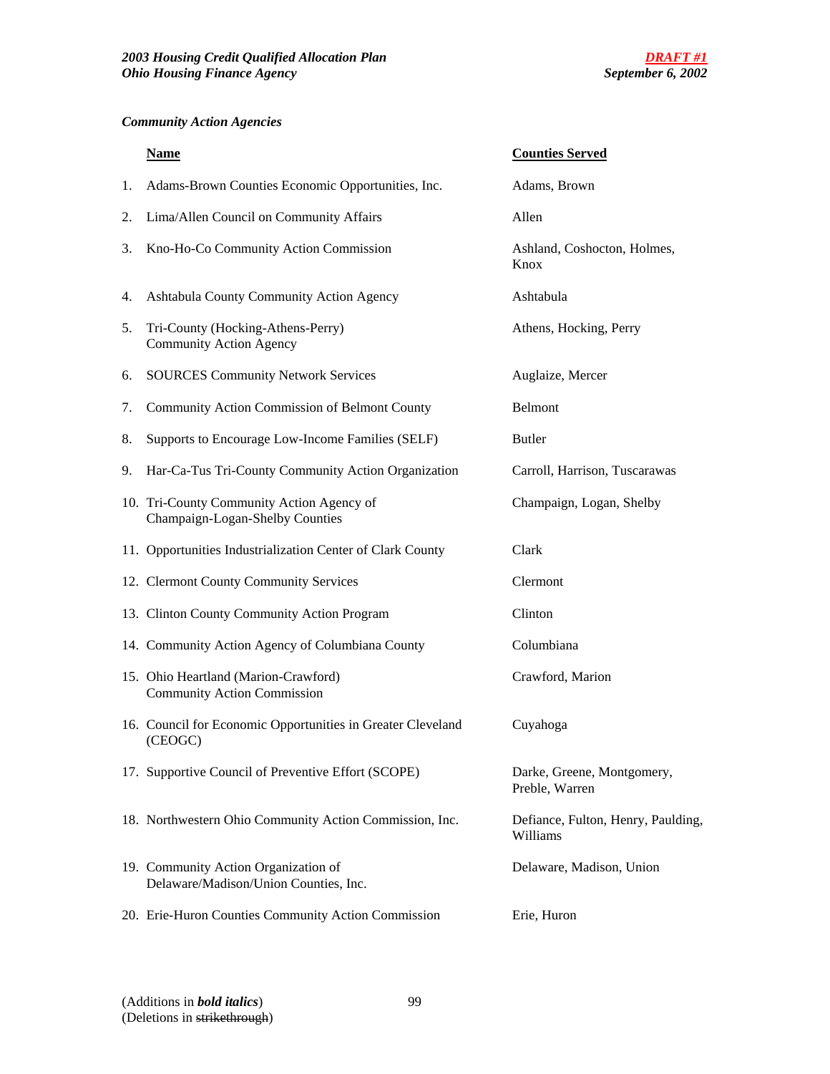# *Community Action Agencies*

|    | <b>Name</b>                                                                   | <b>Counties Served</b>                         |
|----|-------------------------------------------------------------------------------|------------------------------------------------|
| 1. | Adams-Brown Counties Economic Opportunities, Inc.                             | Adams, Brown                                   |
| 2. | Lima/Allen Council on Community Affairs                                       | Allen                                          |
| 3. | Kno-Ho-Co Community Action Commission                                         | Ashland, Coshocton, Holmes,<br>Knox            |
| 4. | Ashtabula County Community Action Agency                                      | Ashtabula                                      |
| 5. | Tri-County (Hocking-Athens-Perry)<br><b>Community Action Agency</b>           | Athens, Hocking, Perry                         |
| 6. | <b>SOURCES Community Network Services</b>                                     | Auglaize, Mercer                               |
| 7. | Community Action Commission of Belmont County                                 | <b>Belmont</b>                                 |
| 8. | Supports to Encourage Low-Income Families (SELF)                              | <b>Butler</b>                                  |
| 9. | Har-Ca-Tus Tri-County Community Action Organization                           | Carroll, Harrison, Tuscarawas                  |
|    | 10. Tri-County Community Action Agency of<br>Champaign-Logan-Shelby Counties  | Champaign, Logan, Shelby                       |
|    | 11. Opportunities Industrialization Center of Clark County                    | Clark                                          |
|    | 12. Clermont County Community Services                                        | Clermont                                       |
|    | 13. Clinton County Community Action Program                                   | Clinton                                        |
|    | 14. Community Action Agency of Columbiana County                              | Columbiana                                     |
|    | 15. Ohio Heartland (Marion-Crawford)<br><b>Community Action Commission</b>    | Crawford, Marion                               |
|    | 16. Council for Economic Opportunities in Greater Cleveland<br>(CEOGC)        | Cuyahoga                                       |
|    | 17. Supportive Council of Preventive Effort (SCOPE)                           | Darke, Greene, Montgomery,<br>Preble, Warren   |
|    | 18. Northwestern Ohio Community Action Commission, Inc.                       | Defiance, Fulton, Henry, Paulding,<br>Williams |
|    | 19. Community Action Organization of<br>Delaware/Madison/Union Counties, Inc. | Delaware, Madison, Union                       |
|    | 20. Erie-Huron Counties Community Action Commission                           | Erie, Huron                                    |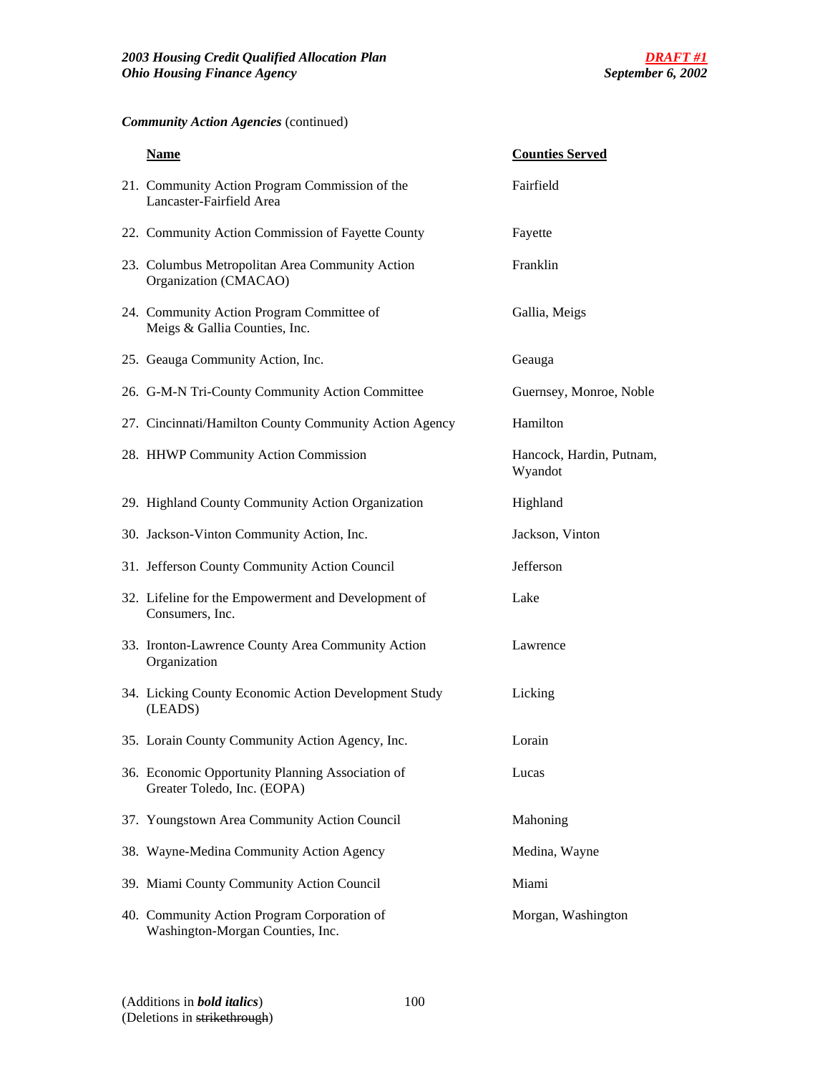# *Community Action Agencies* (continued)

| <b>Name</b>                                                                     | <b>Counties Served</b>              |
|---------------------------------------------------------------------------------|-------------------------------------|
| 21. Community Action Program Commission of the<br>Lancaster-Fairfield Area      | Fairfield                           |
| 22. Community Action Commission of Fayette County                               | Fayette                             |
| 23. Columbus Metropolitan Area Community Action<br>Organization (CMACAO)        | Franklin                            |
| 24. Community Action Program Committee of<br>Meigs & Gallia Counties, Inc.      | Gallia, Meigs                       |
| 25. Geauga Community Action, Inc.                                               | Geauga                              |
| 26. G-M-N Tri-County Community Action Committee                                 | Guernsey, Monroe, Noble             |
| 27. Cincinnati/Hamilton County Community Action Agency                          | Hamilton                            |
| 28. HHWP Community Action Commission                                            | Hancock, Hardin, Putnam,<br>Wyandot |
| 29. Highland County Community Action Organization                               | Highland                            |
| 30. Jackson-Vinton Community Action, Inc.                                       | Jackson, Vinton                     |
| 31. Jefferson County Community Action Council                                   | Jefferson                           |
| 32. Lifeline for the Empowerment and Development of<br>Consumers, Inc.          | Lake                                |
| 33. Ironton-Lawrence County Area Community Action<br>Organization               | Lawrence                            |
| 34. Licking County Economic Action Development Study<br>(LEADS)                 | Licking                             |
| 35. Lorain County Community Action Agency, Inc.                                 | Lorain                              |
| 36. Economic Opportunity Planning Association of<br>Greater Toledo, Inc. (EOPA) | Lucas                               |
| 37. Youngstown Area Community Action Council                                    | Mahoning                            |
| 38. Wayne-Medina Community Action Agency                                        | Medina, Wayne                       |
| 39. Miami County Community Action Council                                       | Miami                               |
| 40. Community Action Program Corporation of<br>Washington-Morgan Counties, Inc. | Morgan, Washington                  |